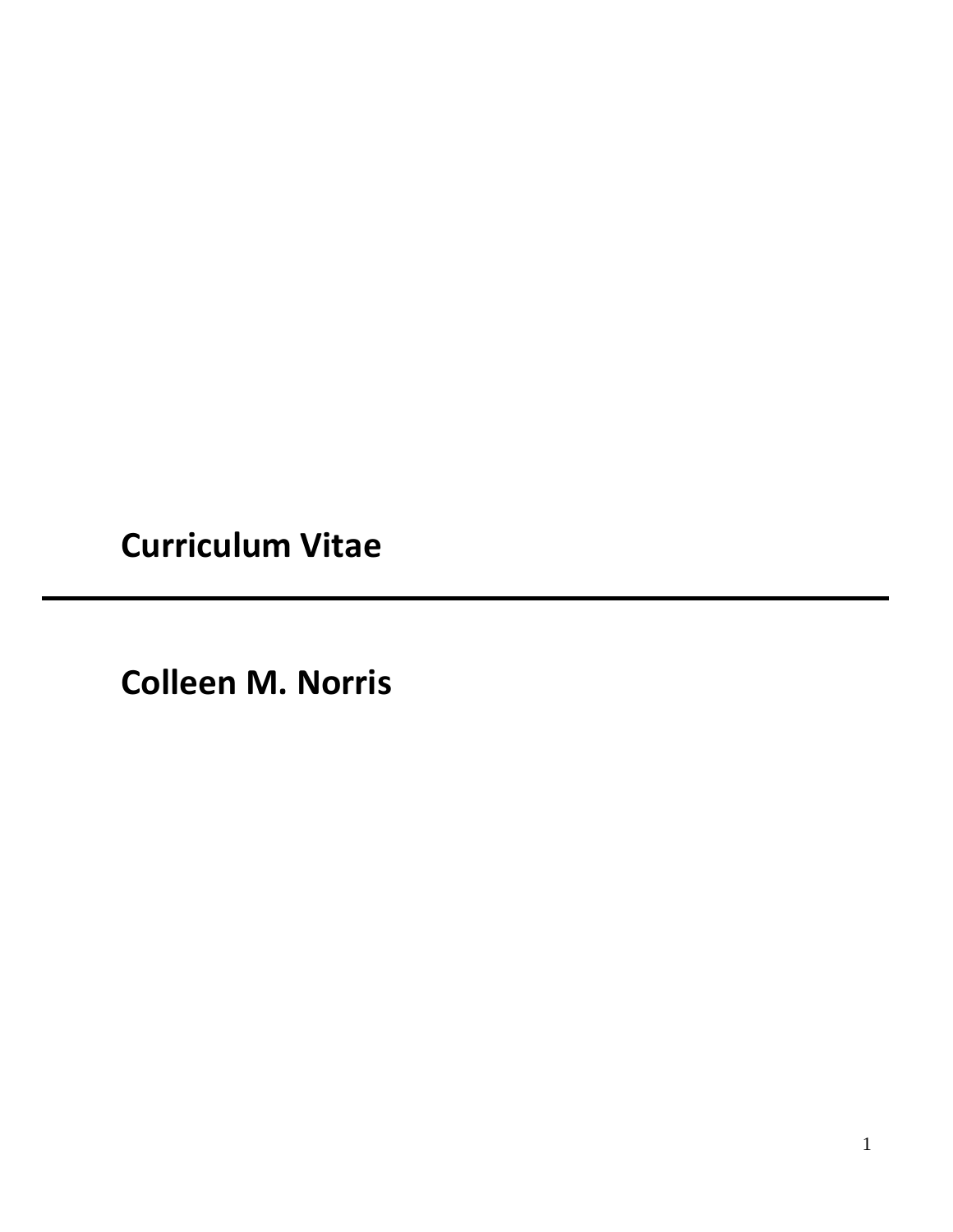**Curriculum Vitae**

**Colleen M. Norris**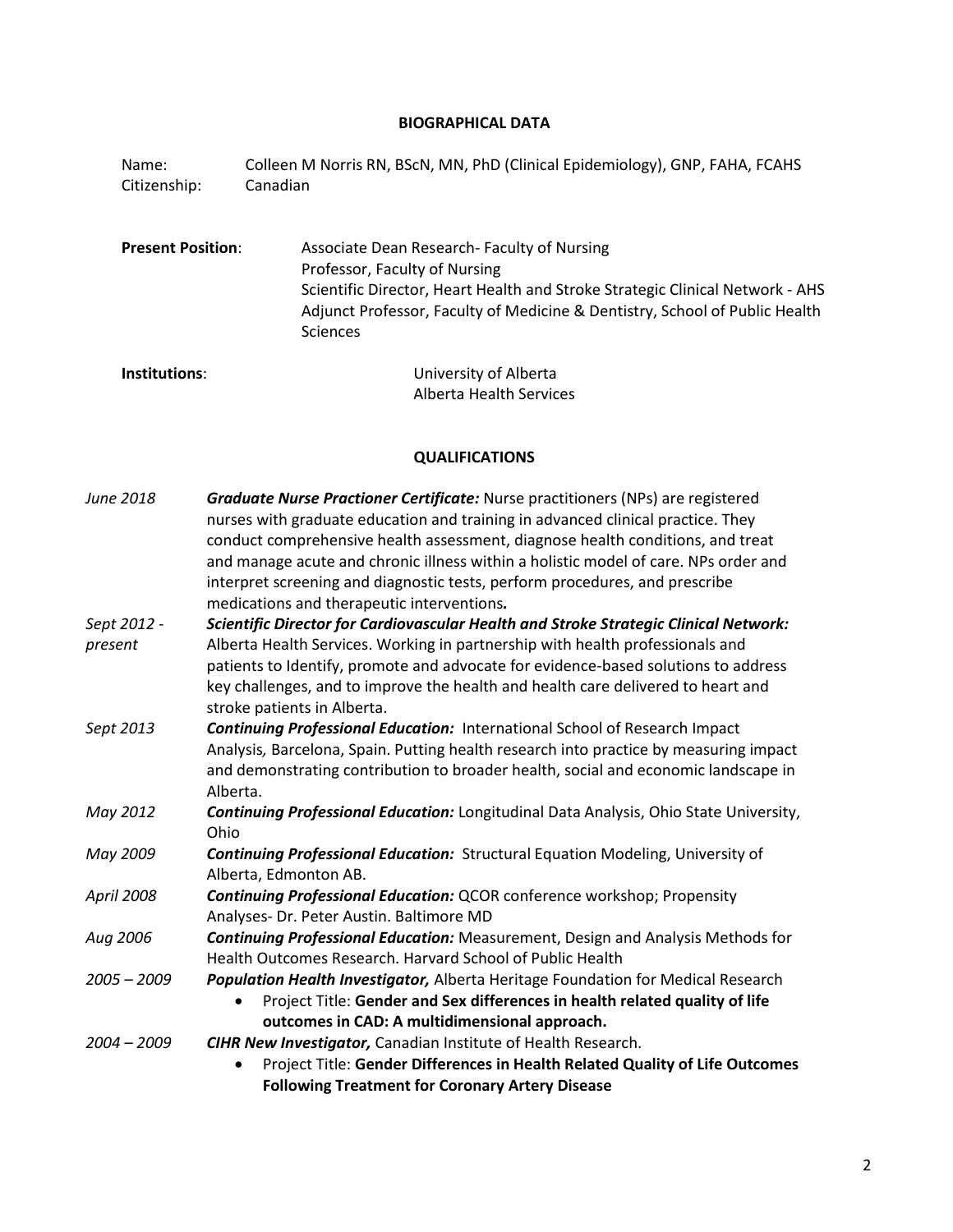#### **BIOGRAPHICAL DATA**

Name: Colleen M Norris RN, BScN, MN, PhD (Clinical Epidemiology), GNP, FAHA, FCAHS Citizenship: Canadian

**Present Position**: Associate Dean Research- Faculty of Nursing Professor, Faculty of Nursing Scientific Director, Heart Health and Stroke Strategic Clinical Network - AHS Adjunct Professor, Faculty of Medicine & Dentistry, School of Public Health Sciences

```
Institutions: University of Alberta
                Alberta Health Services
```
### **QUALIFICATIONS**

| June 2018     | <b>Graduate Nurse Practioner Certificate:</b> Nurse practitioners (NPs) are registered<br>nurses with graduate education and training in advanced clinical practice. They<br>conduct comprehensive health assessment, diagnose health conditions, and treat<br>and manage acute and chronic illness within a holistic model of care. NPs order and<br>interpret screening and diagnostic tests, perform procedures, and prescribe |
|---------------|-----------------------------------------------------------------------------------------------------------------------------------------------------------------------------------------------------------------------------------------------------------------------------------------------------------------------------------------------------------------------------------------------------------------------------------|
|               | medications and therapeutic interventions.                                                                                                                                                                                                                                                                                                                                                                                        |
| Sept 2012 -   | Scientific Director for Cardiovascular Health and Stroke Strategic Clinical Network:                                                                                                                                                                                                                                                                                                                                              |
| present       | Alberta Health Services. Working in partnership with health professionals and                                                                                                                                                                                                                                                                                                                                                     |
|               | patients to Identify, promote and advocate for evidence-based solutions to address<br>key challenges, and to improve the health and health care delivered to heart and<br>stroke patients in Alberta.                                                                                                                                                                                                                             |
| Sept 2013     | <b>Continuing Professional Education: International School of Research Impact</b>                                                                                                                                                                                                                                                                                                                                                 |
|               | Analysis, Barcelona, Spain. Putting health research into practice by measuring impact                                                                                                                                                                                                                                                                                                                                             |
|               | and demonstrating contribution to broader health, social and economic landscape in                                                                                                                                                                                                                                                                                                                                                |
|               | Alberta.                                                                                                                                                                                                                                                                                                                                                                                                                          |
| May 2012      | Continuing Professional Education: Longitudinal Data Analysis, Ohio State University,<br>Ohio                                                                                                                                                                                                                                                                                                                                     |
| May 2009      | <b>Continuing Professional Education:</b> Structural Equation Modeling, University of<br>Alberta, Edmonton AB.                                                                                                                                                                                                                                                                                                                    |
| April 2008    | <b>Continuing Professional Education: QCOR conference workshop; Propensity</b>                                                                                                                                                                                                                                                                                                                                                    |
|               | Analyses- Dr. Peter Austin. Baltimore MD                                                                                                                                                                                                                                                                                                                                                                                          |
| Aug 2006      | <b>Continuing Professional Education:</b> Measurement, Design and Analysis Methods for                                                                                                                                                                                                                                                                                                                                            |
|               | Health Outcomes Research. Harvard School of Public Health                                                                                                                                                                                                                                                                                                                                                                         |
| $2005 - 2009$ | Population Health Investigator, Alberta Heritage Foundation for Medical Research                                                                                                                                                                                                                                                                                                                                                  |
|               | Project Title: Gender and Sex differences in health related quality of life                                                                                                                                                                                                                                                                                                                                                       |
|               | outcomes in CAD: A multidimensional approach.                                                                                                                                                                                                                                                                                                                                                                                     |
| $2004 - 2009$ | <b>CIHR New Investigator, Canadian Institute of Health Research.</b>                                                                                                                                                                                                                                                                                                                                                              |
|               | Project Title: Gender Differences in Health Related Quality of Life Outcomes                                                                                                                                                                                                                                                                                                                                                      |
|               | <b>Following Treatment for Coronary Artery Disease</b>                                                                                                                                                                                                                                                                                                                                                                            |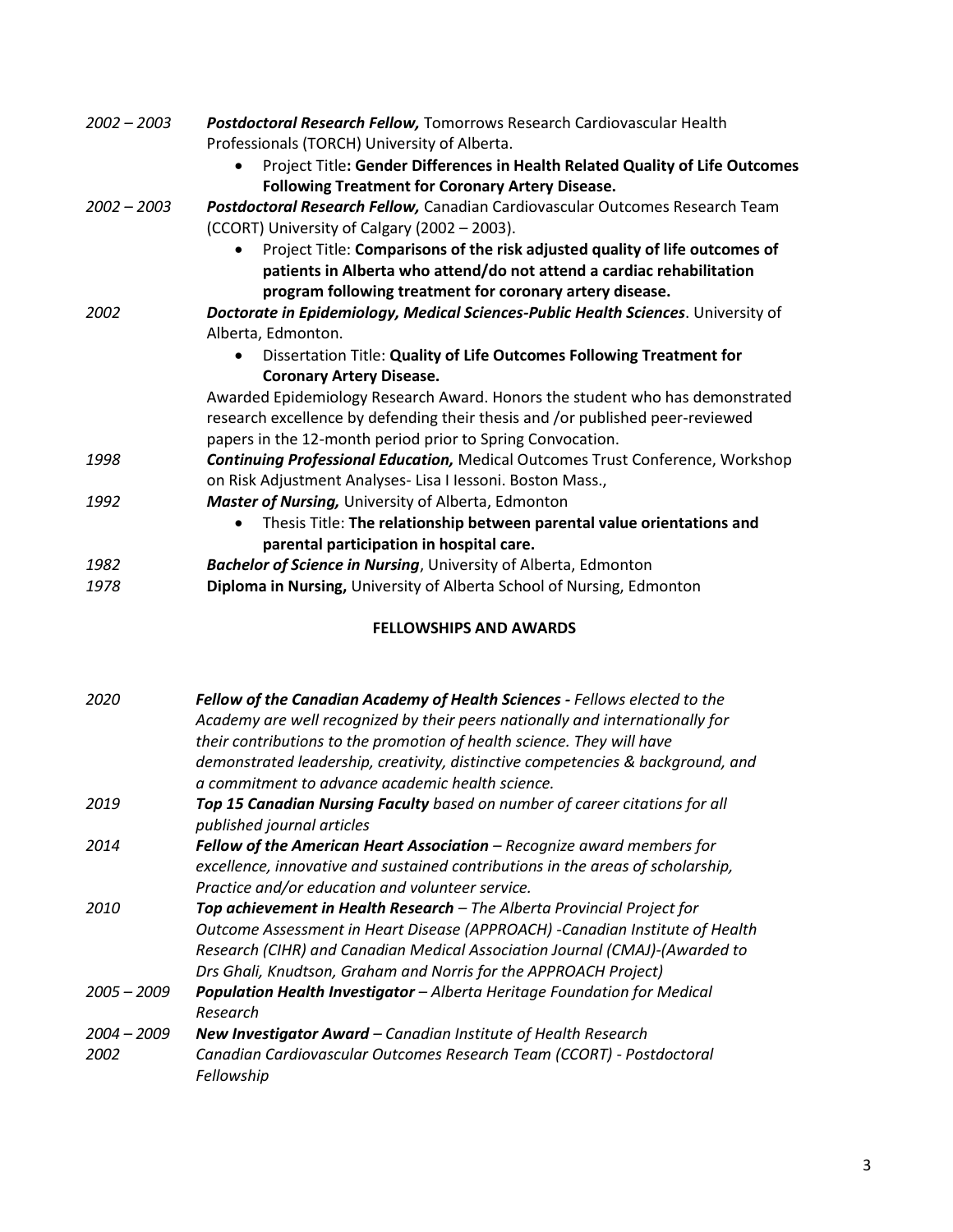| $2002 - 2003$ | Postdoctoral Research Fellow, Tomorrows Research Cardiovascular Health<br>Professionals (TORCH) University of Alberta.                                                                                                        |
|---------------|-------------------------------------------------------------------------------------------------------------------------------------------------------------------------------------------------------------------------------|
|               | Project Title: Gender Differences in Health Related Quality of Life Outcomes<br>$\bullet$<br><b>Following Treatment for Coronary Artery Disease.</b>                                                                          |
| $2002 - 2003$ | Postdoctoral Research Fellow, Canadian Cardiovascular Outcomes Research Team<br>(CCORT) University of Calgary (2002 - 2003).                                                                                                  |
|               | Project Title: Comparisons of the risk adjusted quality of life outcomes of<br>$\bullet$<br>patients in Alberta who attend/do not attend a cardiac rehabilitation<br>program following treatment for coronary artery disease. |
| 2002          | Doctorate in Epidemiology, Medical Sciences-Public Health Sciences. University of                                                                                                                                             |
|               | Alberta, Edmonton.                                                                                                                                                                                                            |
|               | Dissertation Title: Quality of Life Outcomes Following Treatment for                                                                                                                                                          |
|               | <b>Coronary Artery Disease.</b>                                                                                                                                                                                               |
|               | Awarded Epidemiology Research Award. Honors the student who has demonstrated<br>research excellence by defending their thesis and /or published peer-reviewed<br>papers in the 12-month period prior to Spring Convocation.   |
| 1998          | <b>Continuing Professional Education, Medical Outcomes Trust Conference, Workshop</b>                                                                                                                                         |
|               | on Risk Adjustment Analyses- Lisa I Iessoni. Boston Mass.,                                                                                                                                                                    |
| 1992          | <b>Master of Nursing, University of Alberta, Edmonton</b>                                                                                                                                                                     |
|               | Thesis Title: The relationship between parental value orientations and<br>$\bullet$                                                                                                                                           |
|               | parental participation in hospital care.                                                                                                                                                                                      |
| 1982          | <b>Bachelor of Science in Nursing, University of Alberta, Edmonton</b>                                                                                                                                                        |
| 1978          | Diploma in Nursing, University of Alberta School of Nursing, Edmonton                                                                                                                                                         |
|               |                                                                                                                                                                                                                               |

# **FELLOWSHIPS AND AWARDS**

| 2020                  | <b>Fellow of the Canadian Academy of Health Sciences - Fellows elected to the</b><br>Academy are well recognized by their peers nationally and internationally for<br>their contributions to the promotion of health science. They will have<br>demonstrated leadership, creativity, distinctive competencies & background, and<br>a commitment to advance academic health science. |
|-----------------------|-------------------------------------------------------------------------------------------------------------------------------------------------------------------------------------------------------------------------------------------------------------------------------------------------------------------------------------------------------------------------------------|
| 2019                  | Top 15 Canadian Nursing Faculty based on number of career citations for all<br>published journal articles                                                                                                                                                                                                                                                                           |
| 2014                  | Fellow of the American Heart Association - Recognize award members for<br>excellence, innovative and sustained contributions in the areas of scholarship,<br>Practice and/or education and volunteer service.                                                                                                                                                                       |
| 2010                  | <b>Top achievement in Health Research</b> – The Alberta Provincial Project for<br>Outcome Assessment in Heart Disease (APPROACH) -Canadian Institute of Health<br>Research (CIHR) and Canadian Medical Association Journal (CMAJ)-(Awarded to<br>Drs Ghali, Knudtson, Graham and Norris for the APPROACH Project)                                                                   |
| $2005 - 2009$         | <b>Population Health Investigator</b> - Alberta Heritage Foundation for Medical<br>Research                                                                                                                                                                                                                                                                                         |
| $2004 - 2009$<br>2002 | New Investigator Award - Canadian Institute of Health Research<br>Canadian Cardiovascular Outcomes Research Team (CCORT) - Postdoctoral<br>Fellowship                                                                                                                                                                                                                               |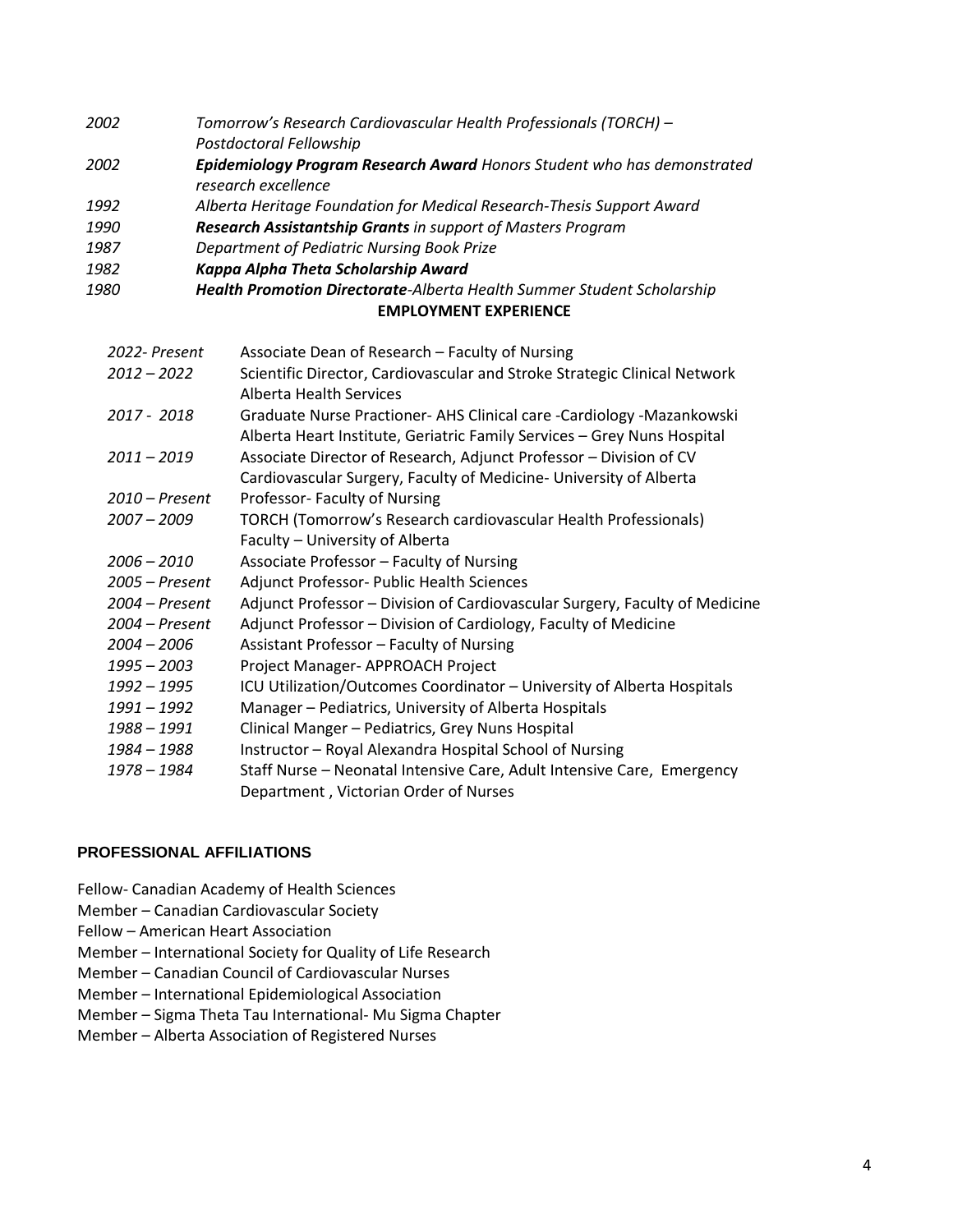- *2002 Tomorrow's Research Cardiovascular Health Professionals (TORCH) – Postdoctoral Fellowship*
- *2002 Epidemiology Program Research Award Honors Student who has demonstrated research excellence*
- *1992 Alberta Heritage Foundation for Medical Research-Thesis Support Award*
- *1990 Research Assistantship Grants in support of Masters Program*
- *1987 Department of Pediatric Nursing Book Prize*
- *1982 Kappa Alpha Theta Scholarship Award*
- **EMPLOYMENT EXPERIENCE** *1980 Health Promotion Directorate-Alberta Health Summer Student Scholarship*

| 2022- Present    | Associate Dean of Research - Faculty of Nursing                             |
|------------------|-----------------------------------------------------------------------------|
| $2012 - 2022$    | Scientific Director, Cardiovascular and Stroke Strategic Clinical Network   |
|                  | <b>Alberta Health Services</b>                                              |
| 2017 - 2018      | Graduate Nurse Practioner- AHS Clinical care -Cardiology -Mazankowski       |
|                  | Alberta Heart Institute, Geriatric Family Services - Grey Nuns Hospital     |
| $2011 - 2019$    | Associate Director of Research, Adjunct Professor - Division of CV          |
|                  | Cardiovascular Surgery, Faculty of Medicine- University of Alberta          |
| $2010$ – Present | Professor- Faculty of Nursing                                               |
| 2007 - 2009      | TORCH (Tomorrow's Research cardiovascular Health Professionals)             |
|                  | Faculty - University of Alberta                                             |
| $2006 - 2010$    | Associate Professor - Faculty of Nursing                                    |
| 2005 - Present   | Adjunct Professor- Public Health Sciences                                   |
| $2004$ – Present | Adjunct Professor – Division of Cardiovascular Surgery, Faculty of Medicine |
| 2004 - Present   | Adjunct Professor - Division of Cardiology, Faculty of Medicine             |
| $2004 - 2006$    | Assistant Professor - Faculty of Nursing                                    |
| 1995 - 2003      | Project Manager- APPROACH Project                                           |
| 1992 - 1995      | ICU Utilization/Outcomes Coordinator - University of Alberta Hospitals      |
| 1991 - 1992      | Manager - Pediatrics, University of Alberta Hospitals                       |
| 1988 – 1991      | Clinical Manger - Pediatrics, Grey Nuns Hospital                            |
| 1984 – 1988      | Instructor - Royal Alexandra Hospital School of Nursing                     |
| 1978 - 1984      | Staff Nurse - Neonatal Intensive Care, Adult Intensive Care, Emergency      |
|                  | Department, Victorian Order of Nurses                                       |

### **PROFESSIONAL AFFILIATIONS**

Fellow- Canadian Academy of Health Sciences

- Member *–* Canadian Cardiovascular Society
- Fellow *–* American Heart Association

Member *–* International Society for Quality of Life Research

- Member *–* Canadian Council of Cardiovascular Nurses
- Member *–* International Epidemiological Association
- Member *–* Sigma Theta Tau International- Mu Sigma Chapter
- Member *–* Alberta Association of Registered Nurses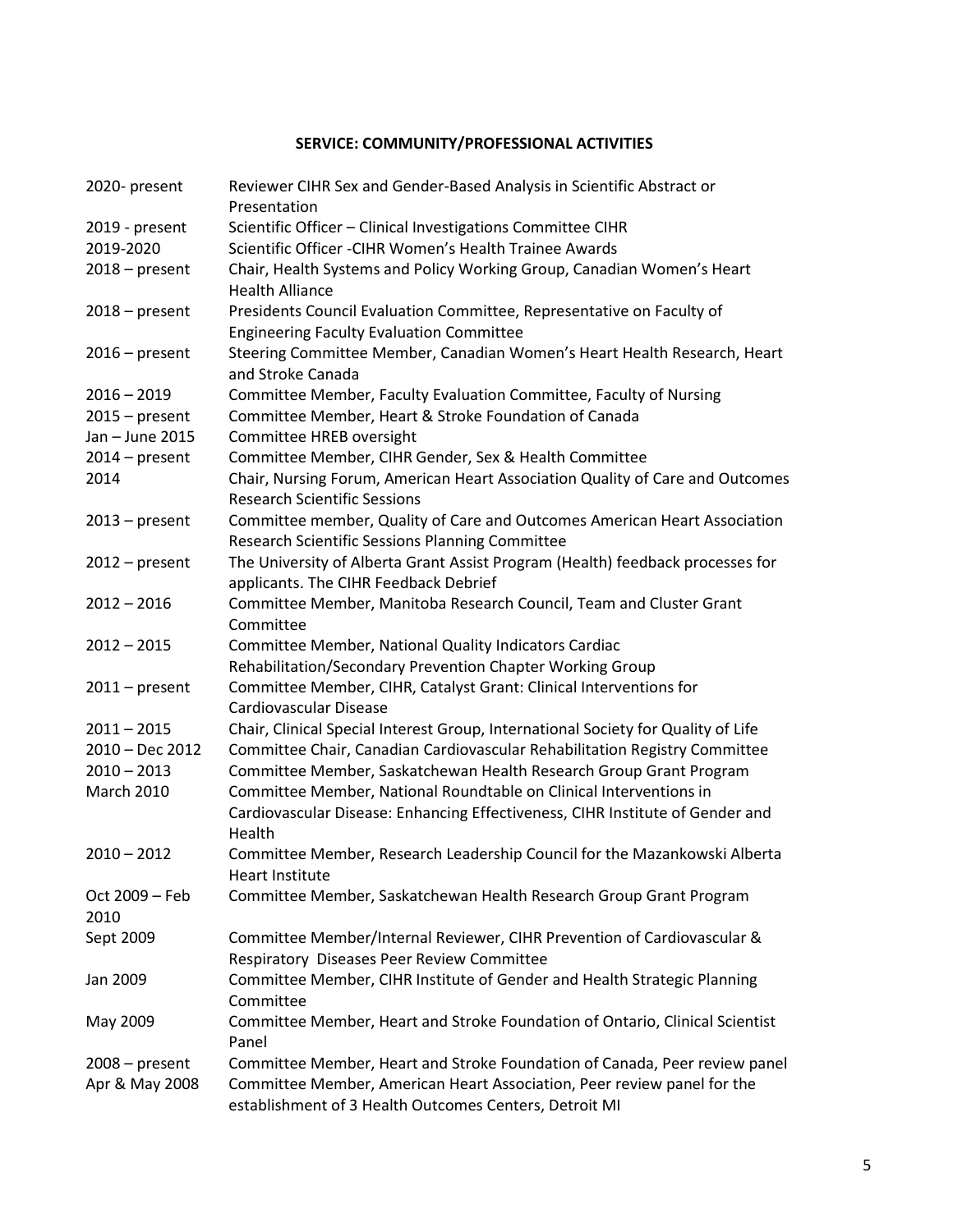## **SERVICE: COMMUNITY/PROFESSIONAL ACTIVITIES**

| 2020- present          | Reviewer CIHR Sex and Gender-Based Analysis in Scientific Abstract or<br>Presentation                                             |
|------------------------|-----------------------------------------------------------------------------------------------------------------------------------|
| 2019 - present         | Scientific Officer - Clinical Investigations Committee CIHR                                                                       |
| 2019-2020              | Scientific Officer - CIHR Women's Health Trainee Awards                                                                           |
| $2018$ – present       | Chair, Health Systems and Policy Working Group, Canadian Women's Heart<br><b>Health Alliance</b>                                  |
| $2018$ – present       | Presidents Council Evaluation Committee, Representative on Faculty of<br><b>Engineering Faculty Evaluation Committee</b>          |
| $2016$ – present       | Steering Committee Member, Canadian Women's Heart Health Research, Heart<br>and Stroke Canada                                     |
| $2016 - 2019$          | Committee Member, Faculty Evaluation Committee, Faculty of Nursing                                                                |
| $2015 - present$       | Committee Member, Heart & Stroke Foundation of Canada                                                                             |
| Jan - June 2015        | Committee HREB oversight                                                                                                          |
| $2014$ – present       | Committee Member, CIHR Gender, Sex & Health Committee                                                                             |
| 2014                   | Chair, Nursing Forum, American Heart Association Quality of Care and Outcomes<br><b>Research Scientific Sessions</b>              |
| $2013$ – present       | Committee member, Quality of Care and Outcomes American Heart Association<br>Research Scientific Sessions Planning Committee      |
| $2012$ – present       | The University of Alberta Grant Assist Program (Health) feedback processes for<br>applicants. The CIHR Feedback Debrief           |
| $2012 - 2016$          | Committee Member, Manitoba Research Council, Team and Cluster Grant<br>Committee                                                  |
| $2012 - 2015$          | Committee Member, National Quality Indicators Cardiac                                                                             |
|                        | Rehabilitation/Secondary Prevention Chapter Working Group                                                                         |
| $2011$ – present       | Committee Member, CIHR, Catalyst Grant: Clinical Interventions for<br>Cardiovascular Disease                                      |
| $2011 - 2015$          | Chair, Clinical Special Interest Group, International Society for Quality of Life                                                 |
| 2010 - Dec 2012        | Committee Chair, Canadian Cardiovascular Rehabilitation Registry Committee                                                        |
| $2010 - 2013$          | Committee Member, Saskatchewan Health Research Group Grant Program                                                                |
| <b>March 2010</b>      | Committee Member, National Roundtable on Clinical Interventions in                                                                |
|                        | Cardiovascular Disease: Enhancing Effectiveness, CIHR Institute of Gender and<br>Health                                           |
| $2010 - 2012$          | Committee Member, Research Leadership Council for the Mazankowski Alberta<br>Heart Institute                                      |
| Oct 2009 - Feb<br>2010 | Committee Member, Saskatchewan Health Research Group Grant Program                                                                |
| Sept 2009              | Committee Member/Internal Reviewer, CIHR Prevention of Cardiovascular &                                                           |
|                        | Respiratory Diseases Peer Review Committee                                                                                        |
| Jan 2009               | Committee Member, CIHR Institute of Gender and Health Strategic Planning<br>Committee                                             |
| May 2009               | Committee Member, Heart and Stroke Foundation of Ontario, Clinical Scientist<br>Panel                                             |
| $2008 - present$       | Committee Member, Heart and Stroke Foundation of Canada, Peer review panel                                                        |
| Apr & May 2008         | Committee Member, American Heart Association, Peer review panel for the<br>establishment of 3 Health Outcomes Centers, Detroit MI |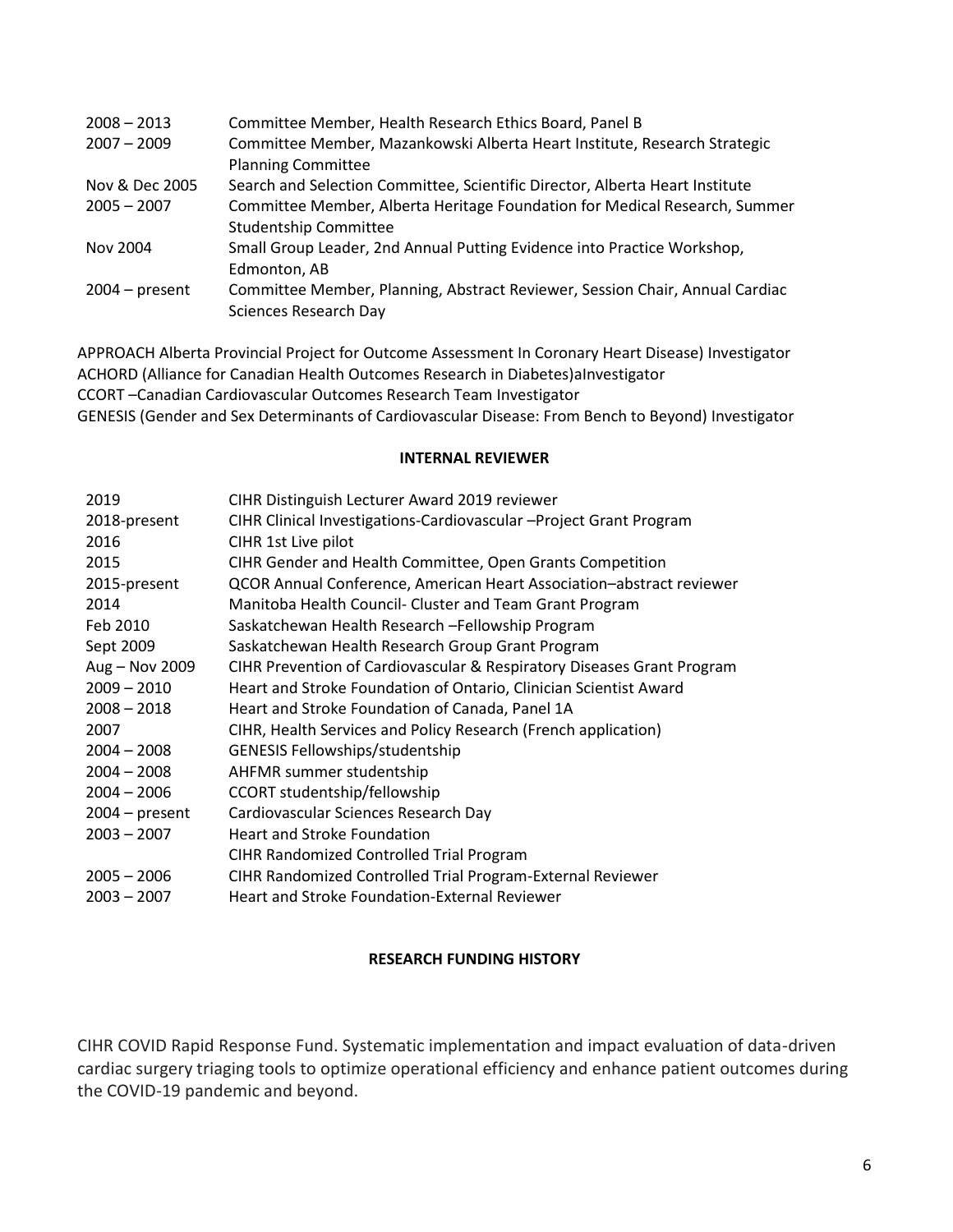| $2008 - 2013$    | Committee Member, Health Research Ethics Board, Panel B                      |
|------------------|------------------------------------------------------------------------------|
| $2007 - 2009$    | Committee Member, Mazankowski Alberta Heart Institute, Research Strategic    |
|                  | <b>Planning Committee</b>                                                    |
| Nov & Dec 2005   | Search and Selection Committee, Scientific Director, Alberta Heart Institute |
| $2005 - 2007$    | Committee Member, Alberta Heritage Foundation for Medical Research, Summer   |
|                  | <b>Studentship Committee</b>                                                 |
| Nov 2004         | Small Group Leader, 2nd Annual Putting Evidence into Practice Workshop,      |
|                  | Edmonton, AB                                                                 |
| $2004 - present$ | Committee Member, Planning, Abstract Reviewer, Session Chair, Annual Cardiac |
|                  | Sciences Research Day                                                        |
|                  |                                                                              |

APPROACH Alberta Provincial Project for Outcome Assessment In Coronary Heart Disease) Investigator ACHORD (Alliance for Canadian Health Outcomes Research in Diabetes)aInvestigator CCORT –Canadian Cardiovascular Outcomes Research Team Investigator GENESIS (Gender and Sex Determinants of Cardiovascular Disease: From Bench to Beyond) Investigator

#### **INTERNAL REVIEWER**

| 2019             | CIHR Distinguish Lecturer Award 2019 reviewer                          |
|------------------|------------------------------------------------------------------------|
| 2018-present     | CIHR Clinical Investigations-Cardiovascular - Project Grant Program    |
| 2016             | CIHR 1st Live pilot                                                    |
| 2015             | CIHR Gender and Health Committee, Open Grants Competition              |
| 2015-present     | QCOR Annual Conference, American Heart Association-abstract reviewer   |
| 2014             | Manitoba Health Council- Cluster and Team Grant Program                |
| Feb 2010         | Saskatchewan Health Research - Fellowship Program                      |
| Sept 2009        | Saskatchewan Health Research Group Grant Program                       |
| Aug - Nov 2009   | CIHR Prevention of Cardiovascular & Respiratory Diseases Grant Program |
| $2009 - 2010$    | Heart and Stroke Foundation of Ontario, Clinician Scientist Award      |
| $2008 - 2018$    | Heart and Stroke Foundation of Canada, Panel 1A                        |
| 2007             | CIHR, Health Services and Policy Research (French application)         |
| $2004 - 2008$    | GENESIS Fellowships/studentship                                        |
| $2004 - 2008$    | AHFMR summer studentship                                               |
| $2004 - 2006$    | CCORT studentship/fellowship                                           |
| $2004 - present$ | Cardiovascular Sciences Research Day                                   |
| $2003 - 2007$    | <b>Heart and Stroke Foundation</b>                                     |
|                  | <b>CIHR Randomized Controlled Trial Program</b>                        |
| $2005 - 2006$    | CIHR Randomized Controlled Trial Program-External Reviewer             |
| $2003 - 2007$    | Heart and Stroke Foundation-External Reviewer                          |

### **RESEARCH FUNDING HISTORY**

CIHR COVID Rapid Response Fund. Systematic implementation and impact evaluation of data-driven cardiac surgery triaging tools to optimize operational efficiency and enhance patient outcomes during the COVID-19 pandemic and beyond.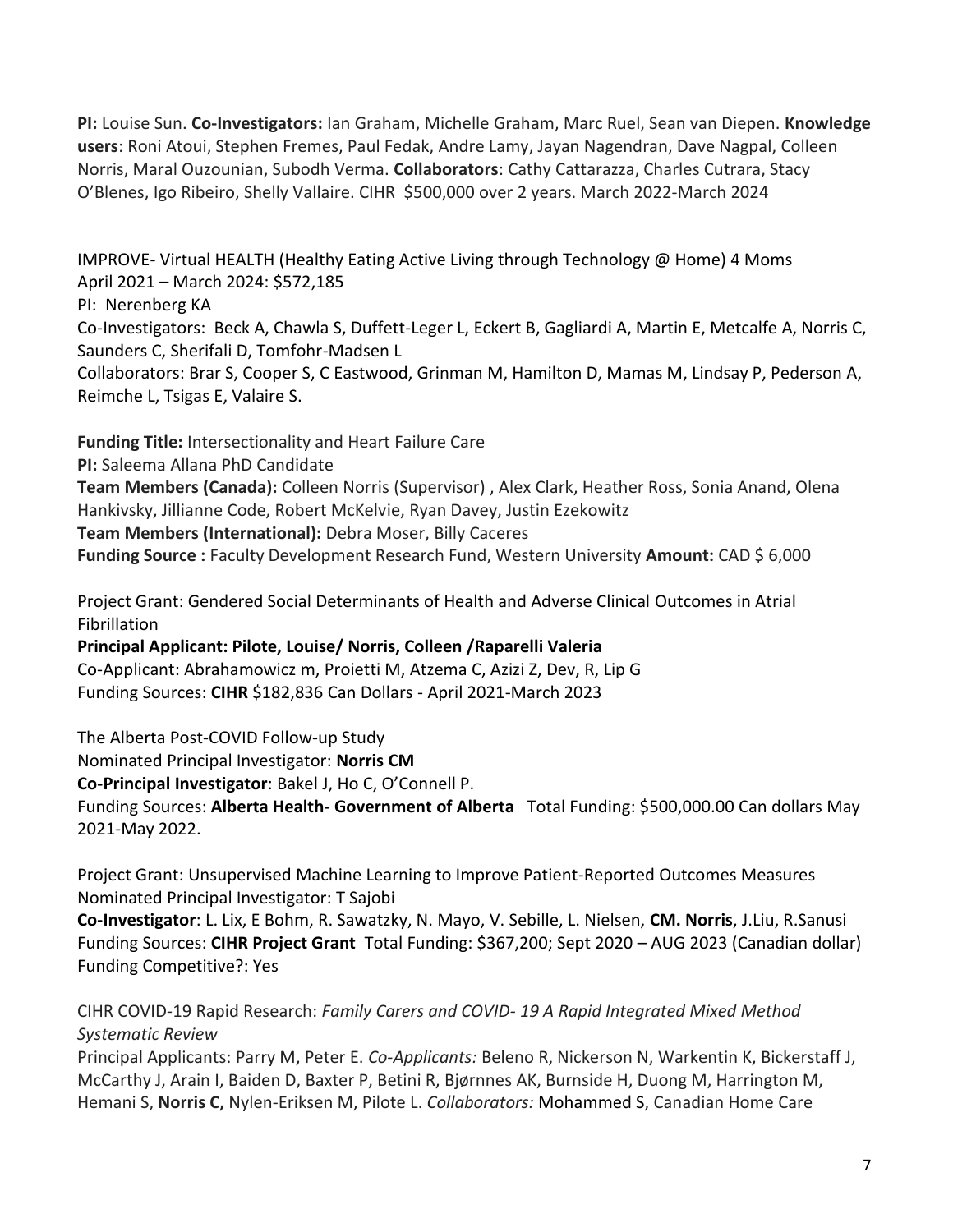**PI:** Louise Sun. **Co-Investigators:** Ian Graham, Michelle Graham, Marc Ruel, Sean van Diepen. **Knowledge users**: Roni Atoui, Stephen Fremes, Paul Fedak, Andre Lamy, Jayan Nagendran, Dave Nagpal, Colleen Norris, Maral Ouzounian, Subodh Verma. **Collaborators**: Cathy Cattarazza, Charles Cutrara, Stacy O'Blenes, Igo Ribeiro, Shelly Vallaire. CIHR \$500,000 over 2 years. March 2022-March 2024

IMPROVE- Virtual HEALTH (Healthy Eating Active Living through Technology @ Home) 4 Moms April 2021 – March 2024: \$572,185

PI: Nerenberg KA

Co-Investigators: Beck A, Chawla S, Duffett-Leger L, Eckert B, Gagliardi A, Martin E, Metcalfe A, Norris C, Saunders C, Sherifali D, Tomfohr-Madsen L

Collaborators: Brar S, Cooper S, C Eastwood, Grinman M, Hamilton D, Mamas M, Lindsay P, Pederson A, Reimche L, Tsigas E, Valaire S.

**Funding Title:** Intersectionality and Heart Failure Care

**PI:** Saleema Allana PhD Candidate

**Team Members (Canada):** Colleen Norris (Supervisor) , Alex Clark, Heather Ross, Sonia Anand, Olena Hankivsky, Jillianne Code, Robert McKelvie, Ryan Davey, Justin Ezekowitz

**Team Members (International):** Debra Moser, Billy Caceres

**Funding Source :** Faculty Development Research Fund, Western University **Amount:** CAD \$ 6,000

Project Grant: Gendered Social Determinants of Health and Adverse Clinical Outcomes in Atrial Fibrillation

**Principal Applicant: Pilote, Louise/ Norris, Colleen /Raparelli Valeria**  Co-Applicant: Abrahamowicz m, Proietti M, Atzema C, Azizi Z, Dev, R, Lip G Funding Sources: **CIHR** \$182,836 Can Dollars - April 2021-March 2023

The Alberta Post-COVID Follow-up Study

Nominated Principal Investigator: **Norris CM** 

**Co-Principal Investigator**: Bakel J, Ho C, O'Connell P.

Funding Sources: **Alberta Health- Government of Alberta** Total Funding: \$500,000.00 Can dollars May 2021-May 2022.

Project Grant: Unsupervised Machine Learning to Improve Patient-Reported Outcomes Measures Nominated Principal Investigator: T Sajobi

**Co-Investigator**: L. Lix, E Bohm, R. Sawatzky, N. Mayo, V. Sebille, L. Nielsen, **CM. Norris**, J.Liu, R.Sanusi Funding Sources: **CIHR Project Grant** Total Funding: \$367,200; Sept 2020 – AUG 2023 (Canadian dollar) Funding Competitive?: Yes

CIHR COVID-19 Rapid Research: *Family Carers and COVID- 19 A Rapid Integrated Mixed Method Systematic Review*

Principal Applicants: Parry M, Peter E. *Co-Applicants:* Beleno R, Nickerson N, Warkentin K, Bickerstaff J, McCarthy J, Arain I, Baiden D, Baxter P, Betini R, Bjørnnes AK, Burnside H, Duong M, Harrington M, Hemani S, **Norris C,** Nylen-Eriksen M, Pilote L. *Collaborators:* Mohammed S, Canadian Home Care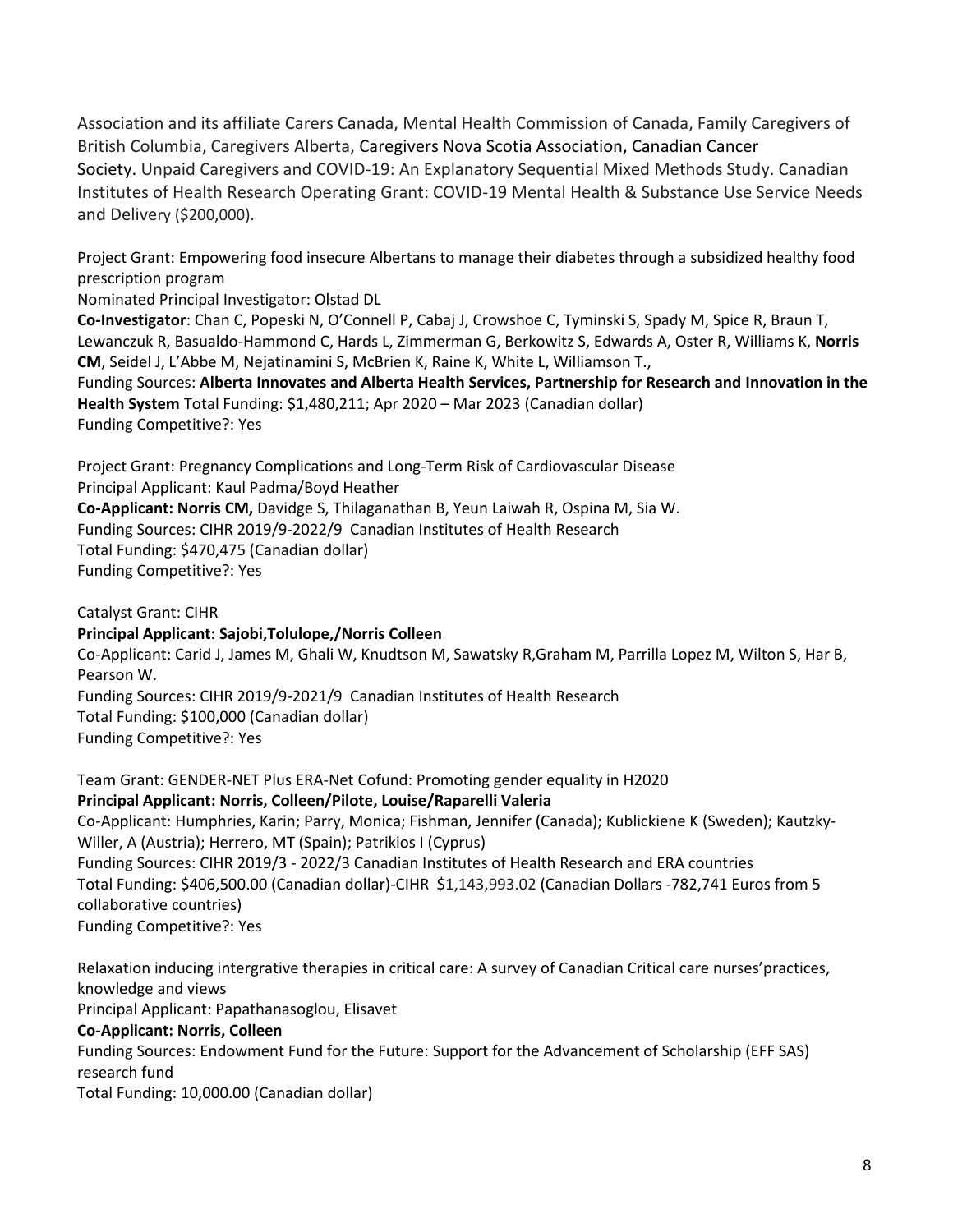Association and its affiliate Carers Canada, Mental Health Commission of Canada, Family Caregivers of British Columbia, Caregivers Alberta, Caregivers Nova Scotia Association, Canadian Cancer Society. Unpaid Caregivers and COVID-19: An Explanatory Sequential Mixed Methods Study. Canadian Institutes of Health Research Operating Grant: COVID-19 Mental Health & Substance Use Service Needs and Delivery (\$200,000).

Project Grant: Empowering food insecure Albertans to manage their diabetes through a subsidized healthy food prescription program

Nominated Principal Investigator: Olstad DL

**Co-Investigator**: Chan C, Popeski N, O'Connell P, Cabaj J, Crowshoe C, Tyminski S, Spady M, Spice R, Braun T, Lewanczuk R, Basualdo-Hammond C, Hards L, Zimmerman G, Berkowitz S, Edwards A, Oster R, Williams K, **Norris CM**, Seidel J, L'Abbe M, Nejatinamini S, McBrien K, Raine K, White L, Williamson T.,

Funding Sources: **Alberta Innovates and Alberta Health Services, Partnership for Research and Innovation in the Health System** Total Funding: \$1,480,211; Apr 2020 – Mar 2023 (Canadian dollar) Funding Competitive?: Yes

Project Grant: Pregnancy Complications and Long-Term Risk of Cardiovascular Disease Principal Applicant: Kaul Padma/Boyd Heather

**Co-Applicant: Norris CM,** Davidge S, Thilaganathan B, Yeun Laiwah R, Ospina M, Sia W. Funding Sources: CIHR 2019/9-2022/9 Canadian Institutes of Health Research Total Funding: \$470,475 (Canadian dollar) Funding Competitive?: Yes

Catalyst Grant: CIHR **Principal Applicant: Sajobi,Tolulope,/Norris Colleen**  Co-Applicant: Carid J, James M, Ghali W, Knudtson M, Sawatsky R,Graham M, Parrilla Lopez M, Wilton S, Har B, Pearson W. Funding Sources: CIHR 2019/9-2021/9 Canadian Institutes of Health Research Total Funding: \$100,000 (Canadian dollar) Funding Competitive?: Yes

Team Grant: GENDER-NET Plus ERA-Net Cofund: Promoting gender equality in H2020 **Principal Applicant: Norris, Colleen/Pilote, Louise/Raparelli Valeria**  Co-Applicant: Humphries, Karin; Parry, Monica; Fishman, Jennifer (Canada); Kublickiene K (Sweden); Kautzky-Willer, A (Austria); Herrero, MT (Spain); Patrikios I (Cyprus) Funding Sources: CIHR 2019/3 - 2022/3 Canadian Institutes of Health Research and ERA countries Total Funding: \$406,500.00 (Canadian dollar)-CIHR \$1,143,993.02 (Canadian Dollars -782,741 Euros from 5 collaborative countries) Funding Competitive?: Yes

Relaxation inducing intergrative therapies in critical care: A survey of Canadian Critical care nurses'practices, knowledge and views Principal Applicant: Papathanasoglou, Elisavet **Co-Applicant: Norris, Colleen**  Funding Sources: Endowment Fund for the Future: Support for the Advancement of Scholarship (EFF SAS) research fund Total Funding: 10,000.00 (Canadian dollar)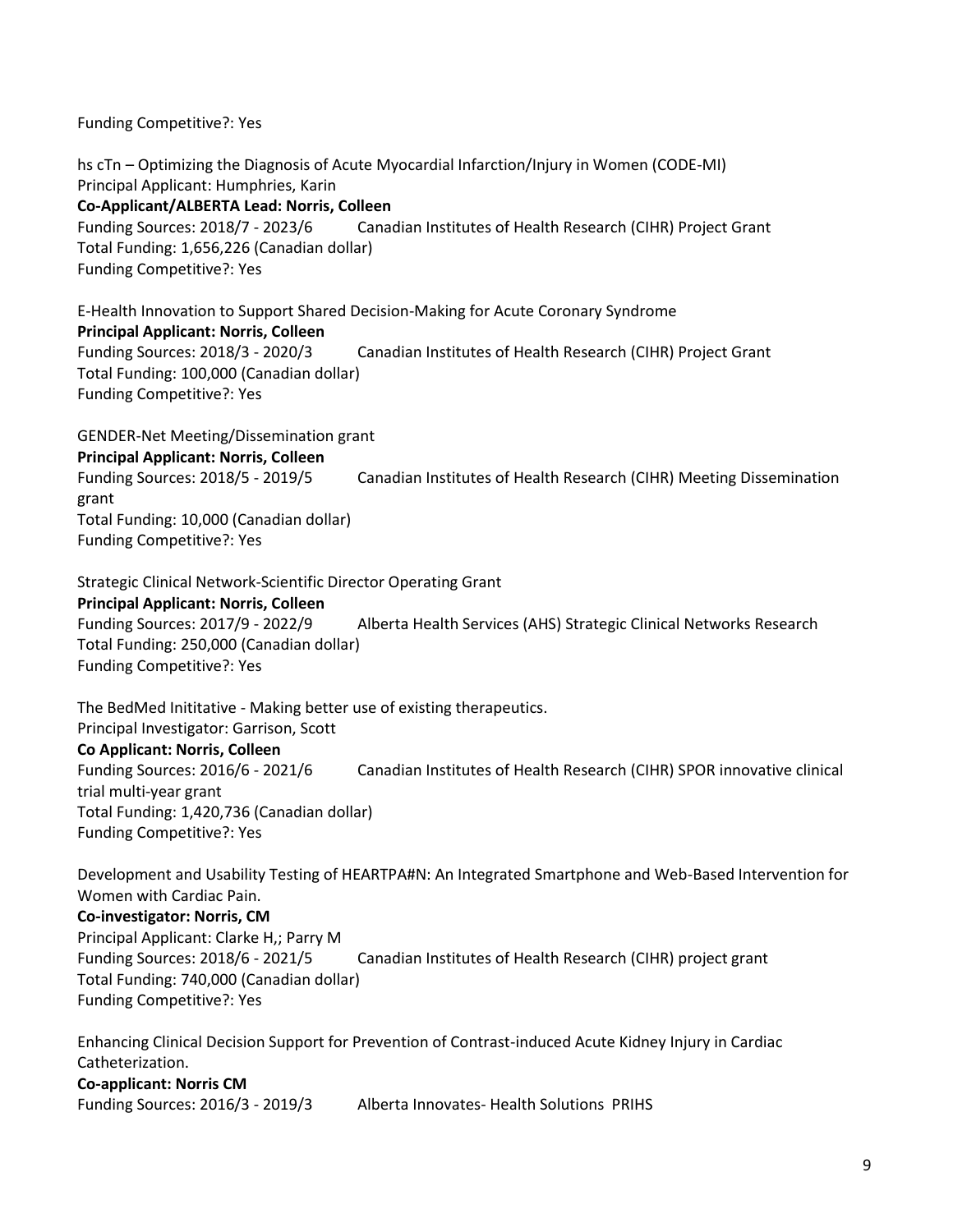Funding Competitive?: Yes

hs cTn – Optimizing the Diagnosis of Acute Myocardial Infarction/Injury in Women (CODE-MI) Principal Applicant: Humphries, Karin **Co-Applicant/ALBERTA Lead: Norris, Colleen**  Funding Sources: 2018/7 - 2023/6 Canadian Institutes of Health Research (CIHR) Project Grant Total Funding: 1,656,226 (Canadian dollar) Funding Competitive?: Yes

E-Health Innovation to Support Shared Decision-Making for Acute Coronary Syndrome **Principal Applicant: Norris, Colleen** Funding Sources: 2018/3 - 2020/3 Canadian Institutes of Health Research (CIHR) Project Grant Total Funding: 100,000 (Canadian dollar) Funding Competitive?: Yes

GENDER-Net Meeting/Dissemination grant **Principal Applicant: Norris, Colleen** Funding Sources: 2018/5 - 2019/5 Canadian Institutes of Health Research (CIHR) Meeting Dissemination grant Total Funding: 10,000 (Canadian dollar) Funding Competitive?: Yes

Strategic Clinical Network-Scientific Director Operating Grant **Principal Applicant: Norris, Colleen** Funding Sources: 2017/9 - 2022/9 Alberta Health Services (AHS) Strategic Clinical Networks Research Total Funding: 250,000 (Canadian dollar) Funding Competitive?: Yes

The BedMed Inititative - Making better use of existing therapeutics. Principal Investigator: Garrison, Scott **Co Applicant: Norris, Colleen** Funding Sources: 2016/6 - 2021/6 Canadian Institutes of Health Research (CIHR) SPOR innovative clinical trial multi-year grant Total Funding: 1,420,736 (Canadian dollar) Funding Competitive?: Yes

Development and Usability Testing of HEARTPA#N: An Integrated Smartphone and Web-Based Intervention for Women with Cardiac Pain. **Co-investigator: Norris, CM** Principal Applicant: Clarke H,; Parry M Funding Sources: 2018/6 - 2021/5 Canadian Institutes of Health Research (CIHR) project grant Total Funding: 740,000 (Canadian dollar) Funding Competitive?: Yes

Enhancing Clinical Decision Support for Prevention of Contrast-induced Acute Kidney Injury in Cardiac Catheterization. **Co-applicant: Norris CM**

Funding Sources: 2016/3 - 2019/3 Alberta Innovates- Health Solutions PRIHS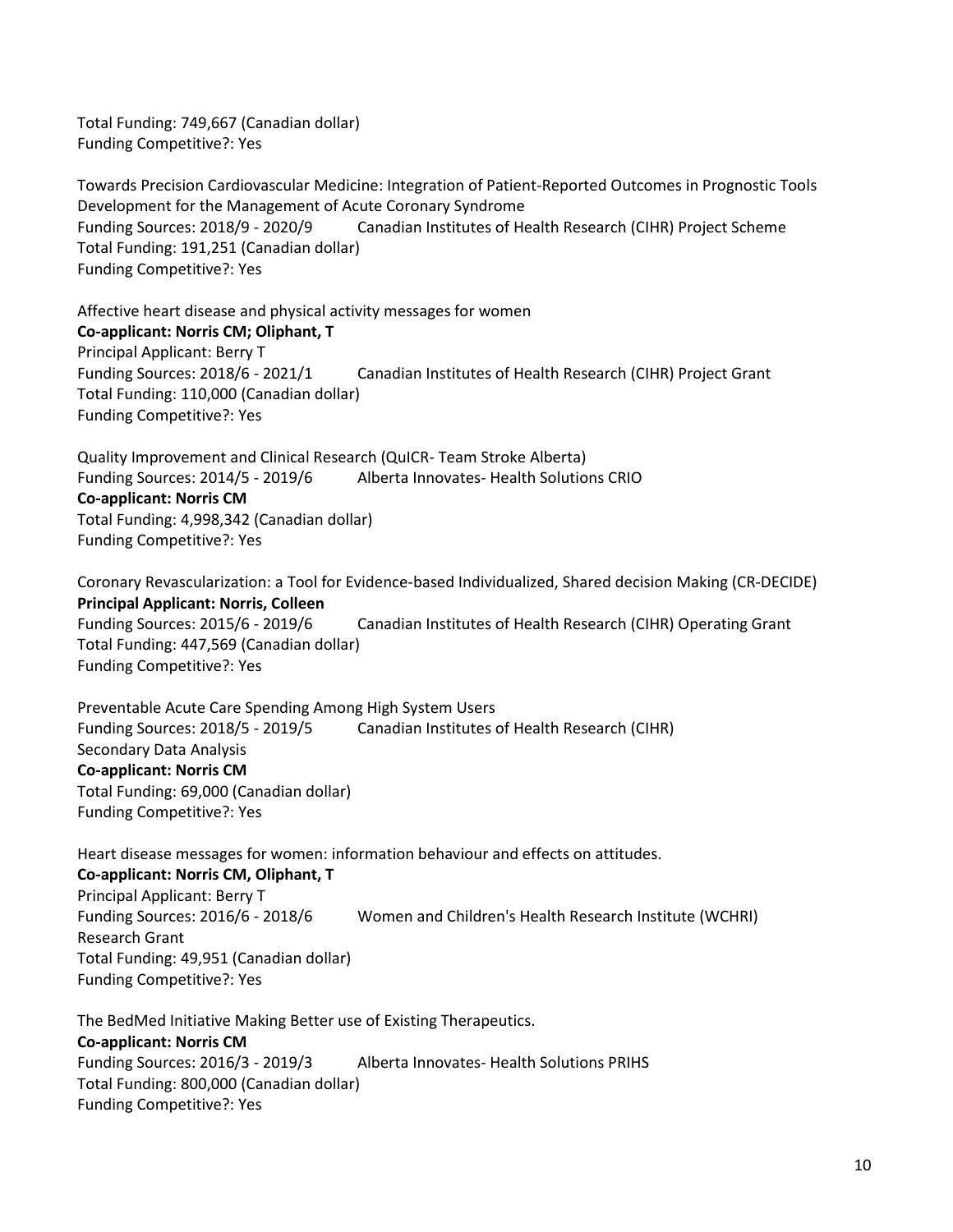Total Funding: 749,667 (Canadian dollar) Funding Competitive?: Yes

Towards Precision Cardiovascular Medicine: Integration of Patient-Reported Outcomes in Prognostic Tools Development for the Management of Acute Coronary Syndrome Funding Sources: 2018/9 - 2020/9 Canadian Institutes of Health Research (CIHR) Project Scheme Total Funding: 191,251 (Canadian dollar) Funding Competitive?: Yes

Affective heart disease and physical activity messages for women **Co-applicant: Norris CM; Oliphant, T** Principal Applicant: Berry T Funding Sources: 2018/6 - 2021/1 Canadian Institutes of Health Research (CIHR) Project Grant Total Funding: 110,000 (Canadian dollar) Funding Competitive?: Yes

Quality Improvement and Clinical Research (QuICR- Team Stroke Alberta) Funding Sources: 2014/5 - 2019/6 Alberta Innovates- Health Solutions CRIO **Co-applicant: Norris CM** Total Funding: 4,998,342 (Canadian dollar) Funding Competitive?: Yes

Coronary Revascularization: a Tool for Evidence-based Individualized, Shared decision Making (CR-DECIDE) **Principal Applicant: Norris, Colleen** Funding Sources: 2015/6 - 2019/6 Canadian Institutes of Health Research (CIHR) Operating Grant Total Funding: 447,569 (Canadian dollar) Funding Competitive?: Yes

Preventable Acute Care Spending Among High System Users Funding Sources: 2018/5 - 2019/5 Canadian Institutes of Health Research (CIHR) Secondary Data Analysis **Co-applicant: Norris CM** Total Funding: 69,000 (Canadian dollar) Funding Competitive?: Yes

Heart disease messages for women: information behaviour and effects on attitudes. **Co-applicant: Norris CM, Oliphant, T** Principal Applicant: Berry T Funding Sources: 2016/6 - 2018/6 Women and Children's Health Research Institute (WCHRI) Research Grant Total Funding: 49,951 (Canadian dollar) Funding Competitive?: Yes

The BedMed Initiative Making Better use of Existing Therapeutics. **Co-applicant: Norris CM** Funding Sources: 2016/3 - 2019/3 Alberta Innovates- Health Solutions PRIHS Total Funding: 800,000 (Canadian dollar) Funding Competitive?: Yes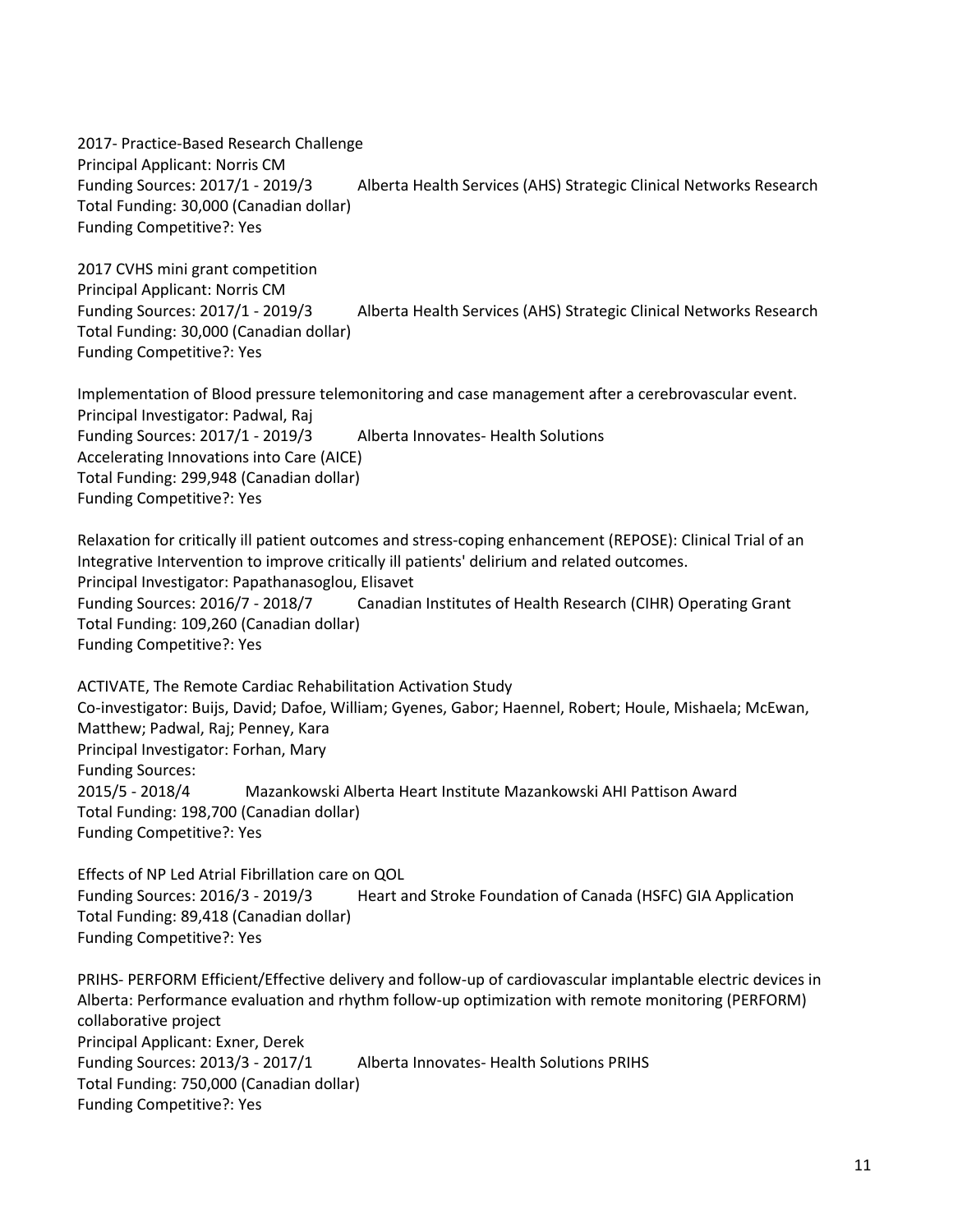2017- Practice-Based Research Challenge Principal Applicant: Norris CM Funding Sources: 2017/1 - 2019/3 Alberta Health Services (AHS) Strategic Clinical Networks Research Total Funding: 30,000 (Canadian dollar) Funding Competitive?: Yes

2017 CVHS mini grant competition Principal Applicant: Norris CM Funding Sources: 2017/1 - 2019/3 Alberta Health Services (AHS) Strategic Clinical Networks Research Total Funding: 30,000 (Canadian dollar) Funding Competitive?: Yes

Implementation of Blood pressure telemonitoring and case management after a cerebrovascular event. Principal Investigator: Padwal, Raj Funding Sources: 2017/1 - 2019/3 Alberta Innovates- Health Solutions Accelerating Innovations into Care (AICE) Total Funding: 299,948 (Canadian dollar) Funding Competitive?: Yes

Relaxation for critically ill patient outcomes and stress-coping enhancement (REPOSE): Clinical Trial of an Integrative Intervention to improve critically ill patients' delirium and related outcomes. Principal Investigator: Papathanasoglou, Elisavet Funding Sources: 2016/7 - 2018/7 Canadian Institutes of Health Research (CIHR) Operating Grant Total Funding: 109,260 (Canadian dollar) Funding Competitive?: Yes

ACTIVATE, The Remote Cardiac Rehabilitation Activation Study Co-investigator: Buijs, David; Dafoe, William; Gyenes, Gabor; Haennel, Robert; Houle, Mishaela; McEwan, Matthew; Padwal, Raj; Penney, Kara Principal Investigator: Forhan, Mary Funding Sources: 2015/5 - 2018/4 Mazankowski Alberta Heart Institute Mazankowski AHI Pattison Award Total Funding: 198,700 (Canadian dollar) Funding Competitive?: Yes

Effects of NP Led Atrial Fibrillation care on QOL Funding Sources: 2016/3 - 2019/3 Heart and Stroke Foundation of Canada (HSFC) GIA Application Total Funding: 89,418 (Canadian dollar) Funding Competitive?: Yes

PRIHS- PERFORM Efficient/Effective delivery and follow-up of cardiovascular implantable electric devices in Alberta: Performance evaluation and rhythm follow-up optimization with remote monitoring (PERFORM) collaborative project Principal Applicant: Exner, Derek Funding Sources: 2013/3 - 2017/1 Alberta Innovates- Health Solutions PRIHS Total Funding: 750,000 (Canadian dollar) Funding Competitive?: Yes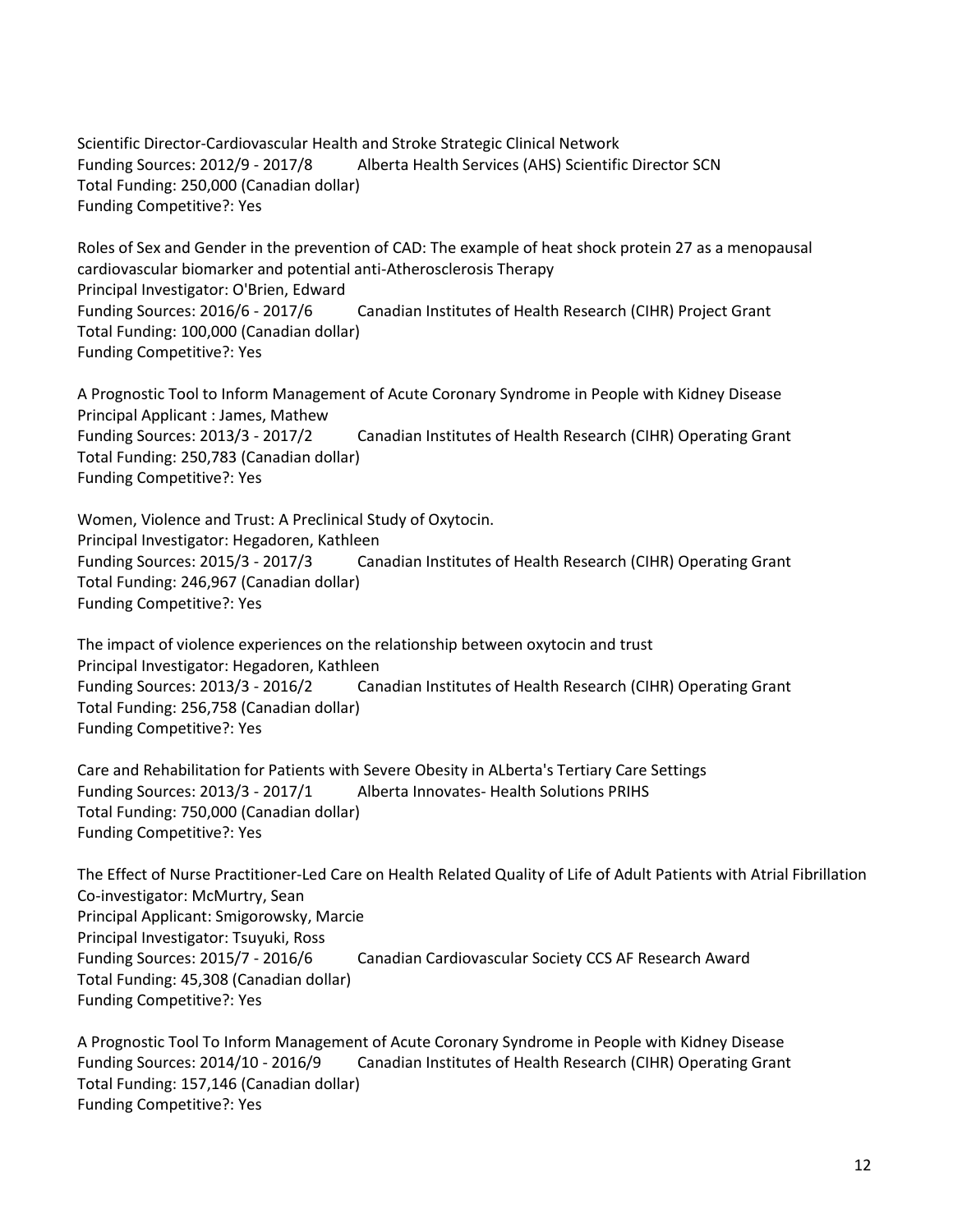Scientific Director-Cardiovascular Health and Stroke Strategic Clinical Network Funding Sources: 2012/9 - 2017/8 Alberta Health Services (AHS) Scientific Director SCN Total Funding: 250,000 (Canadian dollar) Funding Competitive?: Yes

Roles of Sex and Gender in the prevention of CAD: The example of heat shock protein 27 as a menopausal cardiovascular biomarker and potential anti-Atherosclerosis Therapy Principal Investigator: O'Brien, Edward Funding Sources: 2016/6 - 2017/6 Canadian Institutes of Health Research (CIHR) Project Grant Total Funding: 100,000 (Canadian dollar) Funding Competitive?: Yes

A Prognostic Tool to Inform Management of Acute Coronary Syndrome in People with Kidney Disease Principal Applicant : James, Mathew Funding Sources: 2013/3 - 2017/2 Canadian Institutes of Health Research (CIHR) Operating Grant Total Funding: 250,783 (Canadian dollar) Funding Competitive?: Yes

Women, Violence and Trust: A Preclinical Study of Oxytocin. Principal Investigator: Hegadoren, Kathleen Funding Sources: 2015/3 - 2017/3 Canadian Institutes of Health Research (CIHR) Operating Grant Total Funding: 246,967 (Canadian dollar) Funding Competitive?: Yes

The impact of violence experiences on the relationship between oxytocin and trust Principal Investigator: Hegadoren, Kathleen Funding Sources: 2013/3 - 2016/2 Canadian Institutes of Health Research (CIHR) Operating Grant Total Funding: 256,758 (Canadian dollar) Funding Competitive?: Yes

Care and Rehabilitation for Patients with Severe Obesity in ALberta's Tertiary Care Settings Funding Sources: 2013/3 - 2017/1 Alberta Innovates- Health Solutions PRIHS Total Funding: 750,000 (Canadian dollar) Funding Competitive?: Yes

The Effect of Nurse Practitioner-Led Care on Health Related Quality of Life of Adult Patients with Atrial Fibrillation Co-investigator: McMurtry, Sean Principal Applicant: Smigorowsky, Marcie Principal Investigator: Tsuyuki, Ross Funding Sources: 2015/7 - 2016/6 Canadian Cardiovascular Society CCS AF Research Award Total Funding: 45,308 (Canadian dollar) Funding Competitive?: Yes

A Prognostic Tool To Inform Management of Acute Coronary Syndrome in People with Kidney Disease Funding Sources: 2014/10 - 2016/9 Canadian Institutes of Health Research (CIHR) Operating Grant Total Funding: 157,146 (Canadian dollar) Funding Competitive?: Yes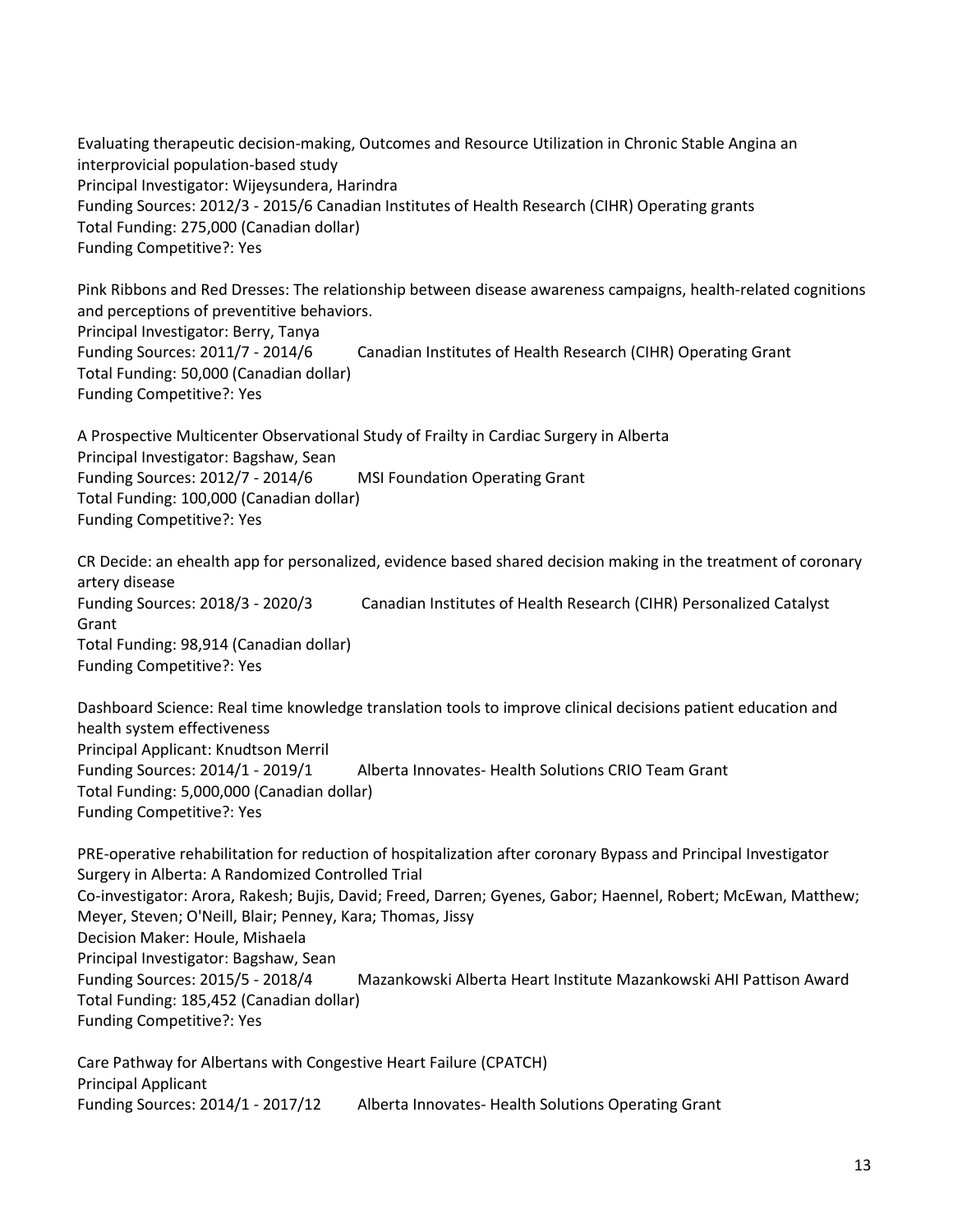Evaluating therapeutic decision-making, Outcomes and Resource Utilization in Chronic Stable Angina an interprovicial population-based study Principal Investigator: Wijeysundera, Harindra Funding Sources: 2012/3 - 2015/6 Canadian Institutes of Health Research (CIHR) Operating grants Total Funding: 275,000 (Canadian dollar) Funding Competitive?: Yes

Pink Ribbons and Red Dresses: The relationship between disease awareness campaigns, health-related cognitions and perceptions of preventitive behaviors. Principal Investigator: Berry, Tanya Funding Sources: 2011/7 - 2014/6 Canadian Institutes of Health Research (CIHR) Operating Grant

Total Funding: 50,000 (Canadian dollar) Funding Competitive?: Yes

A Prospective Multicenter Observational Study of Frailty in Cardiac Surgery in Alberta Principal Investigator: Bagshaw, Sean Funding Sources: 2012/7 - 2014/6 MSI Foundation Operating Grant Total Funding: 100,000 (Canadian dollar) Funding Competitive?: Yes

CR Decide: an ehealth app for personalized, evidence based shared decision making in the treatment of coronary artery disease Funding Sources: 2018/3 - 2020/3 Canadian Institutes of Health Research (CIHR) Personalized Catalyst Grant Total Funding: 98,914 (Canadian dollar) Funding Competitive?: Yes

Dashboard Science: Real time knowledge translation tools to improve clinical decisions patient education and health system effectiveness Principal Applicant: Knudtson Merril Funding Sources: 2014/1 - 2019/1 Alberta Innovates- Health Solutions CRIO Team Grant Total Funding: 5,000,000 (Canadian dollar) Funding Competitive?: Yes

PRE-operative rehabilitation for reduction of hospitalization after coronary Bypass and Principal Investigator Surgery in Alberta: A Randomized Controlled Trial Co-investigator: Arora, Rakesh; Bujis, David; Freed, Darren; Gyenes, Gabor; Haennel, Robert; McEwan, Matthew; Meyer, Steven; O'Neill, Blair; Penney, Kara; Thomas, Jissy Decision Maker: Houle, Mishaela Principal Investigator: Bagshaw, Sean Funding Sources: 2015/5 - 2018/4 Mazankowski Alberta Heart Institute Mazankowski AHI Pattison Award Total Funding: 185,452 (Canadian dollar) Funding Competitive?: Yes

Care Pathway for Albertans with Congestive Heart Failure (CPATCH) Principal Applicant Funding Sources: 2014/1 - 2017/12 Alberta Innovates- Health Solutions Operating Grant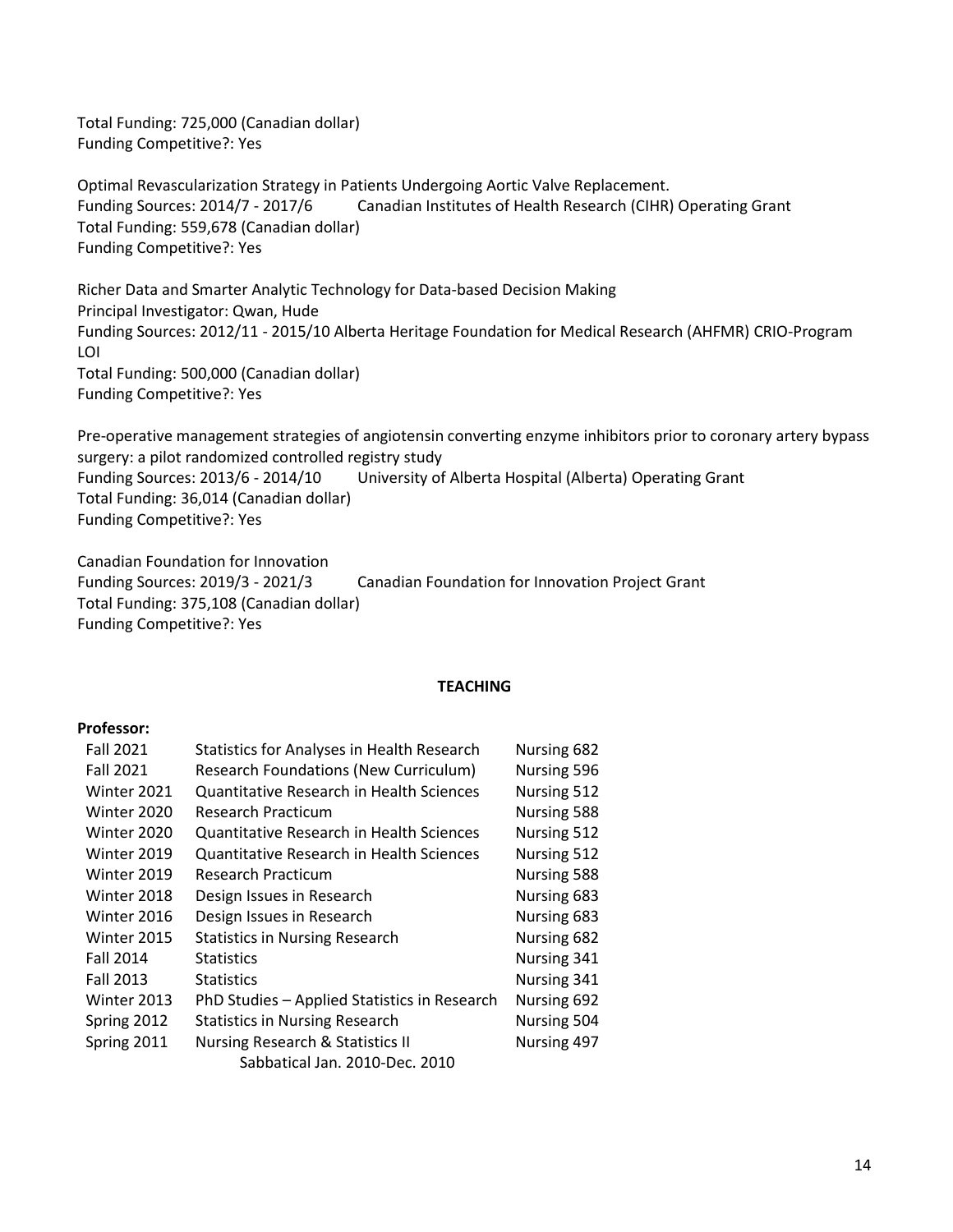Total Funding: 725,000 (Canadian dollar) Funding Competitive?: Yes

Optimal Revascularization Strategy in Patients Undergoing Aortic Valve Replacement. Funding Sources: 2014/7 - 2017/6 Canadian Institutes of Health Research (CIHR) Operating Grant Total Funding: 559,678 (Canadian dollar) Funding Competitive?: Yes

Richer Data and Smarter Analytic Technology for Data-based Decision Making Principal Investigator: Qwan, Hude Funding Sources: 2012/11 - 2015/10 Alberta Heritage Foundation for Medical Research (AHFMR) CRIO-Program LOI Total Funding: 500,000 (Canadian dollar) Funding Competitive?: Yes

Pre-operative management strategies of angiotensin converting enzyme inhibitors prior to coronary artery bypass surgery: a pilot randomized controlled registry study Funding Sources: 2013/6 - 2014/10 University of Alberta Hospital (Alberta) Operating Grant Total Funding: 36,014 (Canadian dollar) Funding Competitive?: Yes

Canadian Foundation for Innovation Funding Sources: 2019/3 - 2021/3 Canadian Foundation for Innovation Project Grant Total Funding: 375,108 (Canadian dollar) Funding Competitive?: Yes

#### **TEACHING**

#### **Professor:**

| <b>Fall 2021</b> | <b>Statistics for Analyses in Health Research</b> | Nursing 682 |
|------------------|---------------------------------------------------|-------------|
| <b>Fall 2021</b> | <b>Research Foundations (New Curriculum)</b>      | Nursing 596 |
| Winter 2021      | Quantitative Research in Health Sciences          | Nursing 512 |
| Winter 2020      | <b>Research Practicum</b>                         | Nursing 588 |
| Winter 2020      | Quantitative Research in Health Sciences          | Nursing 512 |
| Winter 2019      | Quantitative Research in Health Sciences          | Nursing 512 |
| Winter 2019      | <b>Research Practicum</b>                         | Nursing 588 |
| Winter 2018      | Design Issues in Research                         | Nursing 683 |
| Winter 2016      | Design Issues in Research                         | Nursing 683 |
| Winter 2015      | <b>Statistics in Nursing Research</b>             | Nursing 682 |
| <b>Fall 2014</b> | <b>Statistics</b>                                 | Nursing 341 |
| <b>Fall 2013</b> | <b>Statistics</b>                                 | Nursing 341 |
| Winter 2013      | PhD Studies - Applied Statistics in Research      | Nursing 692 |
| Spring 2012      | <b>Statistics in Nursing Research</b>             | Nursing 504 |
| Spring 2011      | Nursing Research & Statistics II                  | Nursing 497 |
|                  | Sabbatical Jan. 2010-Dec. 2010                    |             |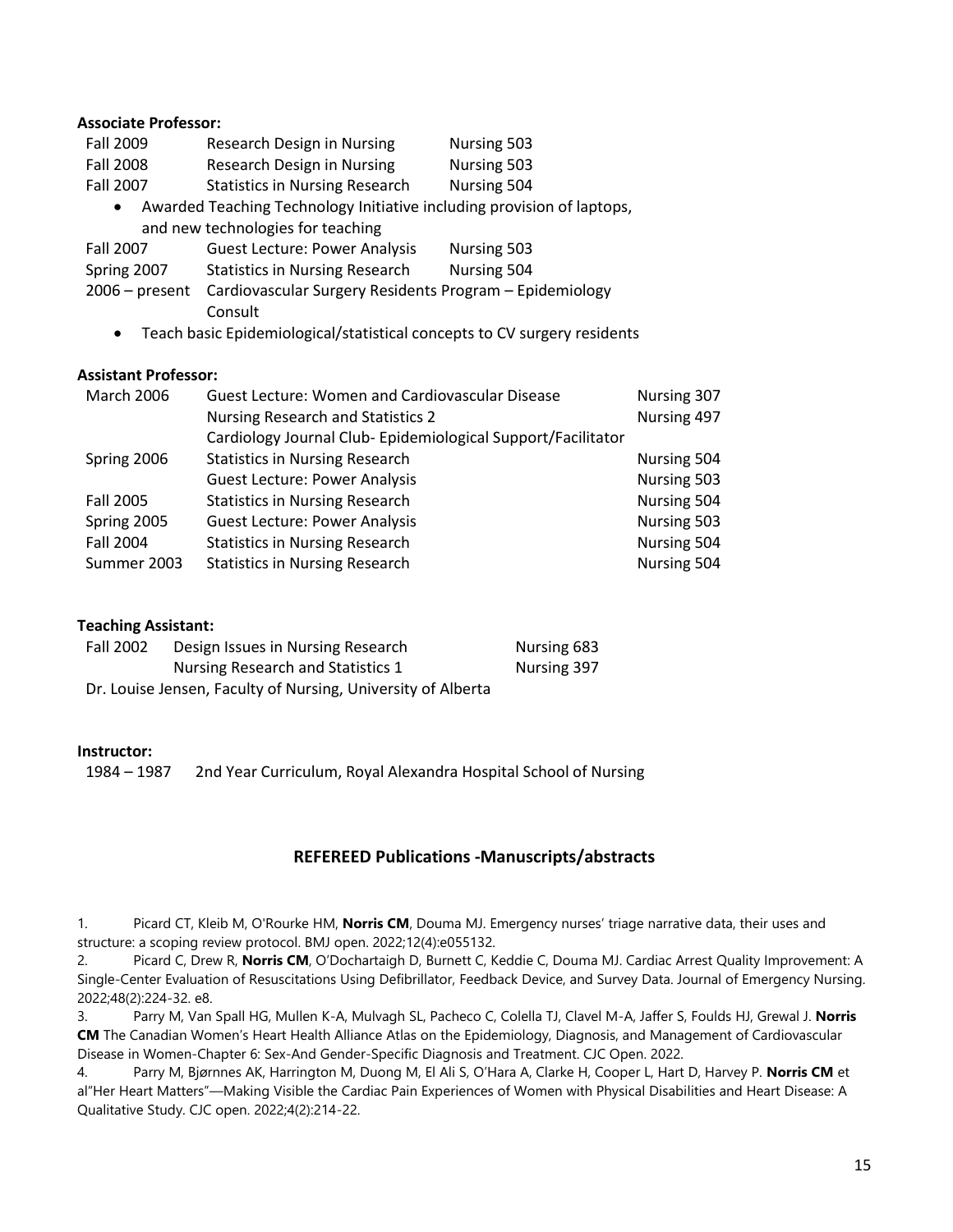#### **Associate Professor:**

| <b>Fall 2009</b> | Research Design in Nursing | Nursing 503 |
|------------------|----------------------------|-------------|
| Fall 2008        | Research Design in Nursing | Nursing 503 |

Fall 2007 Statistics in Nursing Research Nursing 504

• Awarded Teaching Technology Initiative including provision of laptops, and new technologies for teaching

| Fall 2007 | <b>Guest Lecture: Power Analysis</b> | <b>Nursing 503</b> |
|-----------|--------------------------------------|--------------------|

- Spring 2007 Statistics in Nursing Research Nursing 504
- 2006 present Cardiovascular Surgery Residents Program Epidemiology Consult
	- Teach basic Epidemiological/statistical concepts to CV surgery residents

### **Assistant Professor:**

| <b>March 2006</b> | <b>Guest Lecture: Women and Cardiovascular Disease</b>      | Nursing 307 |
|-------------------|-------------------------------------------------------------|-------------|
|                   | <b>Nursing Research and Statistics 2</b>                    | Nursing 497 |
|                   | Cardiology Journal Club-Epidemiological Support/Facilitator |             |
| Spring 2006       | <b>Statistics in Nursing Research</b>                       | Nursing 504 |
|                   | <b>Guest Lecture: Power Analysis</b>                        | Nursing 503 |
| <b>Fall 2005</b>  | <b>Statistics in Nursing Research</b>                       | Nursing 504 |
| Spring 2005       | <b>Guest Lecture: Power Analysis</b>                        | Nursing 503 |
| <b>Fall 2004</b>  | <b>Statistics in Nursing Research</b>                       | Nursing 504 |
| Summer 2003       | <b>Statistics in Nursing Research</b>                       | Nursing 504 |

### **Teaching Assistant:**

| <b>Fall 2002</b>                                             | Design Issues in Nursing Research | Nursing 683 |
|--------------------------------------------------------------|-----------------------------------|-------------|
|                                                              | Nursing Research and Statistics 1 | Nursing 397 |
| Dr. Louise Jensen, Faculty of Nursing, University of Alberta |                                   |             |

#### **Instructor:**

1984 – 1987 2nd Year Curriculum, Royal Alexandra Hospital School of Nursing

### **REFEREED Publications -Manuscripts/abstracts**

1. Picard CT, Kleib M, O'Rourke HM, **Norris CM**, Douma MJ. Emergency nurses' triage narrative data, their uses and structure: a scoping review protocol. BMJ open. 2022;12(4):e055132.

2. Picard C, Drew R, **Norris CM**, O'Dochartaigh D, Burnett C, Keddie C, Douma MJ. Cardiac Arrest Quality Improvement: A Single-Center Evaluation of Resuscitations Using Defibrillator, Feedback Device, and Survey Data. Journal of Emergency Nursing. 2022;48(2):224-32. e8.

3. Parry M, Van Spall HG, Mullen K-A, Mulvagh SL, Pacheco C, Colella TJ, Clavel M-A, Jaffer S, Foulds HJ, Grewal J. **Norris CM** The Canadian Women's Heart Health Alliance Atlas on the Epidemiology, Diagnosis, and Management of Cardiovascular Disease in Women-Chapter 6: Sex-And Gender-Specific Diagnosis and Treatment. CJC Open. 2022.

4. Parry M, Bjørnnes AK, Harrington M, Duong M, El Ali S, O'Hara A, Clarke H, Cooper L, Hart D, Harvey P. **Norris CM** et al"Her Heart Matters"—Making Visible the Cardiac Pain Experiences of Women with Physical Disabilities and Heart Disease: A Qualitative Study. CJC open. 2022;4(2):214-22.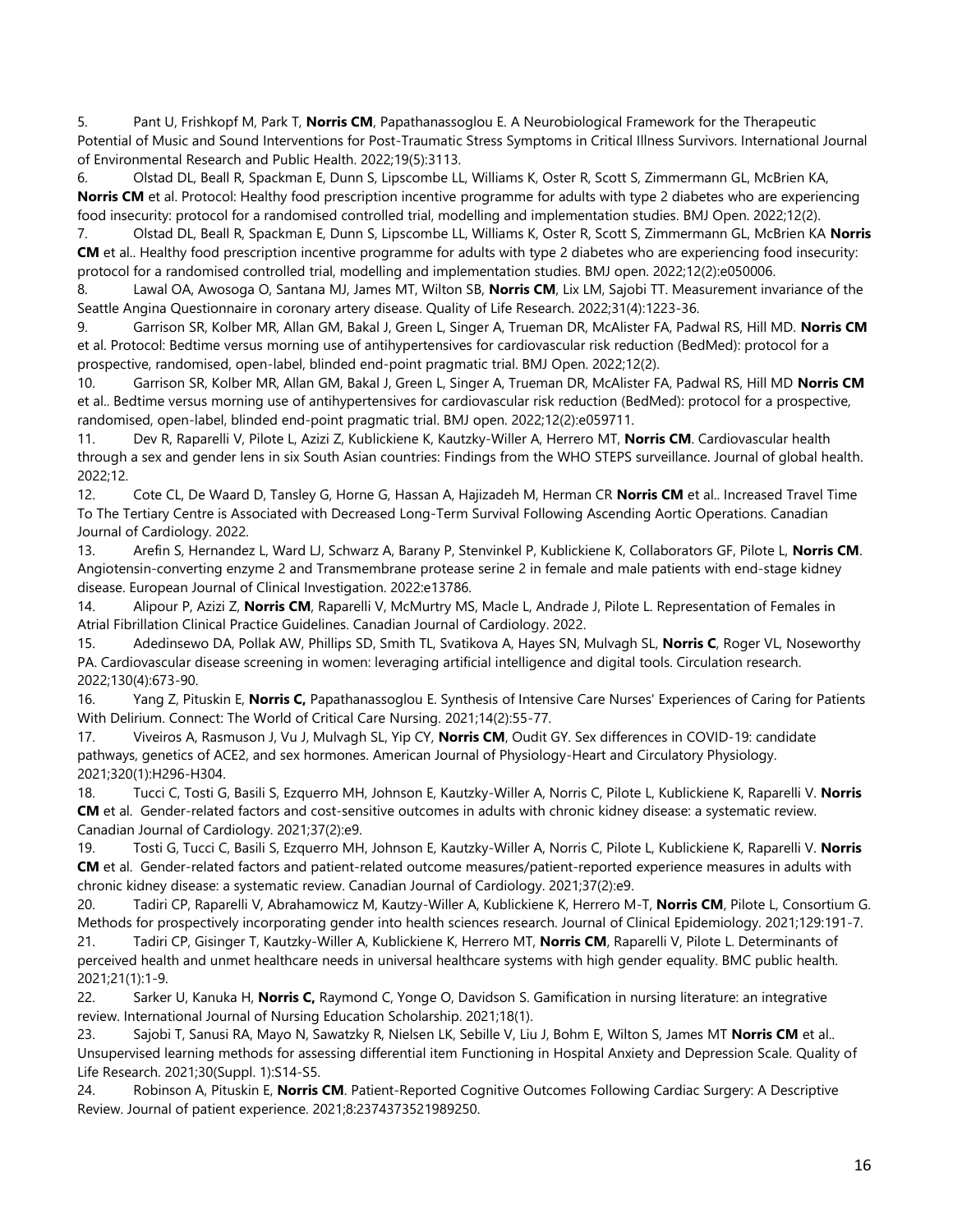5. Pant U, Frishkopf M, Park T, **Norris CM**, Papathanassoglou E. A Neurobiological Framework for the Therapeutic Potential of Music and Sound Interventions for Post-Traumatic Stress Symptoms in Critical Illness Survivors. International Journal of Environmental Research and Public Health. 2022;19(5):3113.

6. Olstad DL, Beall R, Spackman E, Dunn S, Lipscombe LL, Williams K, Oster R, Scott S, Zimmermann GL, McBrien KA, **Norris CM** et al. Protocol: Healthy food prescription incentive programme for adults with type 2 diabetes who are experiencing food insecurity: protocol for a randomised controlled trial, modelling and implementation studies. BMJ Open. 2022;12(2).

7. Olstad DL, Beall R, Spackman E, Dunn S, Lipscombe LL, Williams K, Oster R, Scott S, Zimmermann GL, McBrien KA **Norris CM** et al.. Healthy food prescription incentive programme for adults with type 2 diabetes who are experiencing food insecurity: protocol for a randomised controlled trial, modelling and implementation studies. BMJ open. 2022;12(2):e050006.

8. Lawal OA, Awosoga O, Santana MJ, James MT, Wilton SB, **Norris CM**, Lix LM, Sajobi TT. Measurement invariance of the Seattle Angina Questionnaire in coronary artery disease. Quality of Life Research. 2022;31(4):1223-36.

9. Garrison SR, Kolber MR, Allan GM, Bakal J, Green L, Singer A, Trueman DR, McAlister FA, Padwal RS, Hill MD. **Norris CM**  et al. Protocol: Bedtime versus morning use of antihypertensives for cardiovascular risk reduction (BedMed): protocol for a prospective, randomised, open-label, blinded end-point pragmatic trial. BMJ Open. 2022;12(2).

10. Garrison SR, Kolber MR, Allan GM, Bakal J, Green L, Singer A, Trueman DR, McAlister FA, Padwal RS, Hill MD **Norris CM**  et al.. Bedtime versus morning use of antihypertensives for cardiovascular risk reduction (BedMed): protocol for a prospective, randomised, open-label, blinded end-point pragmatic trial. BMJ open. 2022;12(2):e059711.

11. Dev R, Raparelli V, Pilote L, Azizi Z, Kublickiene K, Kautzky-Willer A, Herrero MT, **Norris CM**. Cardiovascular health through a sex and gender lens in six South Asian countries: Findings from the WHO STEPS surveillance. Journal of global health. 2022;12.

12. Cote CL, De Waard D, Tansley G, Horne G, Hassan A, Hajizadeh M, Herman CR **Norris CM** et al.. Increased Travel Time To The Tertiary Centre is Associated with Decreased Long-Term Survival Following Ascending Aortic Operations. Canadian Journal of Cardiology. 2022.

13. Arefin S, Hernandez L, Ward LJ, Schwarz A, Barany P, Stenvinkel P, Kublickiene K, Collaborators GF, Pilote L, **Norris CM**. Angiotensin‐converting enzyme 2 and Transmembrane protease serine 2 in female and male patients with end‐stage kidney disease. European Journal of Clinical Investigation. 2022:e13786.

14. Alipour P, Azizi Z, **Norris CM**, Raparelli V, McMurtry MS, Macle L, Andrade J, Pilote L. Representation of Females in Atrial Fibrillation Clinical Practice Guidelines. Canadian Journal of Cardiology. 2022.

15. Adedinsewo DA, Pollak AW, Phillips SD, Smith TL, Svatikova A, Hayes SN, Mulvagh SL, **Norris C**, Roger VL, Noseworthy PA. Cardiovascular disease screening in women: leveraging artificial intelligence and digital tools. Circulation research. 2022;130(4):673-90.

16. Yang Z, Pituskin E, **Norris C,** Papathanassoglou E. Synthesis of Intensive Care Nurses' Experiences of Caring for Patients With Delirium. Connect: The World of Critical Care Nursing. 2021;14(2):55-77.

17. Viveiros A, Rasmuson J, Vu J, Mulvagh SL, Yip CY, **Norris CM**, Oudit GY. Sex differences in COVID-19: candidate pathways, genetics of ACE2, and sex hormones. American Journal of Physiology-Heart and Circulatory Physiology. 2021;320(1):H296-H304.

18. Tucci C, Tosti G, Basili S, Ezquerro MH, Johnson E, Kautzky-Willer A, Norris C, Pilote L, Kublickiene K, Raparelli V. **Norris CM** et al. Gender-related factors and cost-sensitive outcomes in adults with chronic kidney disease: a systematic review. Canadian Journal of Cardiology. 2021;37(2):e9.

19. Tosti G, Tucci C, Basili S, Ezquerro MH, Johnson E, Kautzky-Willer A, Norris C, Pilote L, Kublickiene K, Raparelli V. **Norris CM** et al. Gender-related factors and patient-related outcome measures/patient-reported experience measures in adults with chronic kidney disease: a systematic review. Canadian Journal of Cardiology. 2021;37(2):e9.

20. Tadiri CP, Raparelli V, Abrahamowicz M, Kautzy-Willer A, Kublickiene K, Herrero M-T, **Norris CM**, Pilote L, Consortium G. Methods for prospectively incorporating gender into health sciences research. Journal of Clinical Epidemiology. 2021;129:191-7.

21. Tadiri CP, Gisinger T, Kautzky-Willer A, Kublickiene K, Herrero MT, **Norris CM**, Raparelli V, Pilote L. Determinants of perceived health and unmet healthcare needs in universal healthcare systems with high gender equality. BMC public health. 2021;21(1):1-9.

22. Sarker U, Kanuka H, **Norris C,** Raymond C, Yonge O, Davidson S. Gamification in nursing literature: an integrative review. International Journal of Nursing Education Scholarship. 2021;18(1).

23. Sajobi T, Sanusi RA, Mayo N, Sawatzky R, Nielsen LK, Sebille V, Liu J, Bohm E, Wilton S, James MT **Norris CM** et al.. Unsupervised learning methods for assessing differential item Functioning in Hospital Anxiety and Depression Scale. Quality of Life Research. 2021;30(Suppl. 1):S14-S5.

24. Robinson A, Pituskin E, **Norris CM**. Patient-Reported Cognitive Outcomes Following Cardiac Surgery: A Descriptive Review. Journal of patient experience. 2021;8:2374373521989250.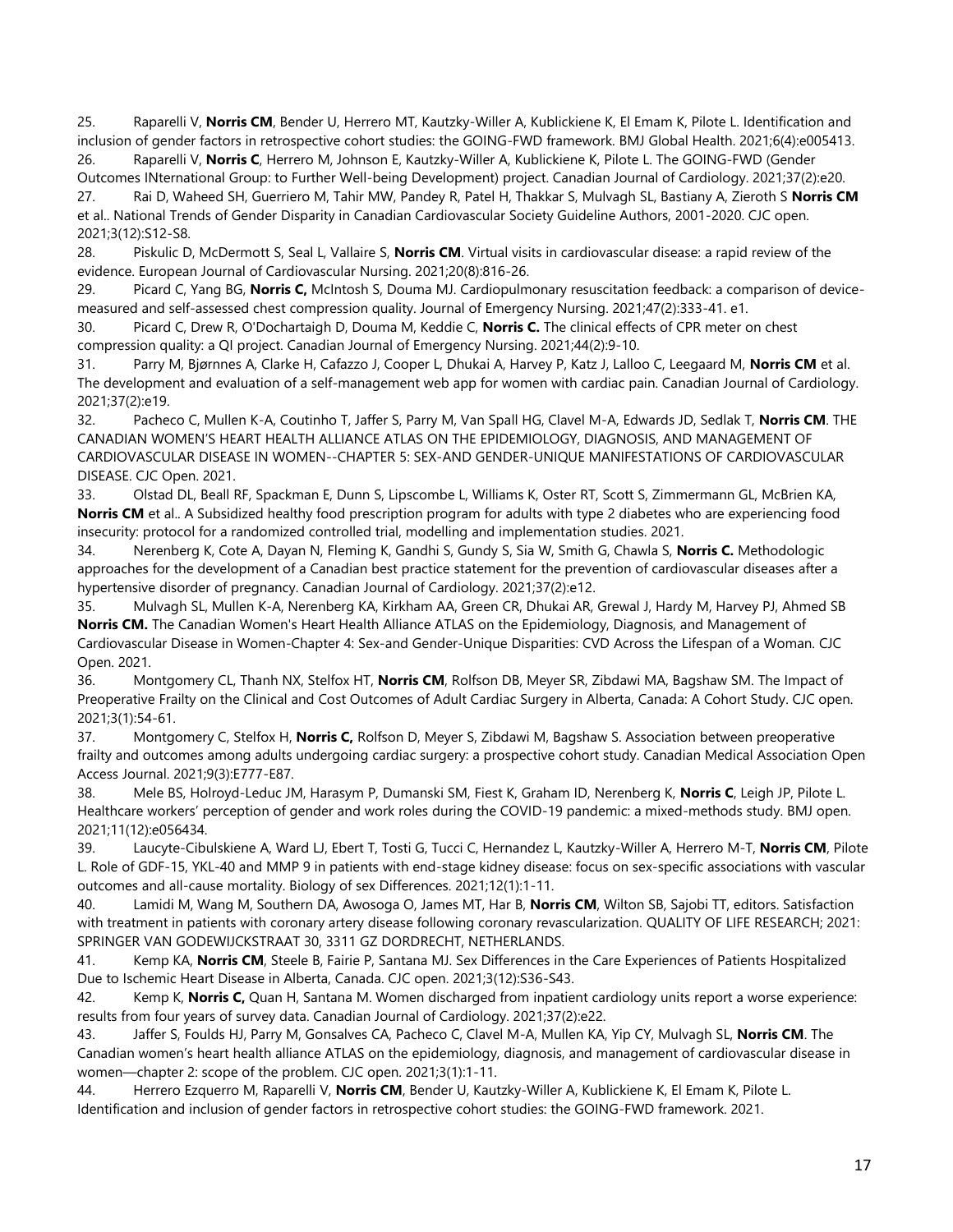25. Raparelli V, **Norris CM**, Bender U, Herrero MT, Kautzky-Willer A, Kublickiene K, El Emam K, Pilote L. Identification and inclusion of gender factors in retrospective cohort studies: the GOING-FWD framework. BMJ Global Health. 2021;6(4):e005413. 26. Raparelli V, **Norris C**, Herrero M, Johnson E, Kautzky-Willer A, Kublickiene K, Pilote L. The GOING-FWD (Gender

Outcomes INternational Group: to Further Well-being Development) project. Canadian Journal of Cardiology. 2021;37(2):e20. 27. Rai D, Waheed SH, Guerriero M, Tahir MW, Pandey R, Patel H, Thakkar S, Mulvagh SL, Bastiany A, Zieroth S **Norris CM**  et al.. National Trends of Gender Disparity in Canadian Cardiovascular Society Guideline Authors, 2001-2020. CJC open.

2021;3(12):S12-S8.

28. Piskulic D, McDermott S, Seal L, Vallaire S, **Norris CM**. Virtual visits in cardiovascular disease: a rapid review of the evidence. European Journal of Cardiovascular Nursing. 2021;20(8):816-26.

29. Picard C, Yang BG, **Norris C,** McIntosh S, Douma MJ. Cardiopulmonary resuscitation feedback: a comparison of devicemeasured and self-assessed chest compression quality. Journal of Emergency Nursing. 2021;47(2):333-41. e1.

30. Picard C, Drew R, O'Dochartaigh D, Douma M, Keddie C, **Norris C.** The clinical effects of CPR meter on chest compression quality: a QI project. Canadian Journal of Emergency Nursing. 2021;44(2):9-10.

31. Parry M, Bjørnnes A, Clarke H, Cafazzo J, Cooper L, Dhukai A, Harvey P, Katz J, Lalloo C, Leegaard M, **Norris CM** et al. The development and evaluation of a self-management web app for women with cardiac pain. Canadian Journal of Cardiology. 2021;37(2):e19.

32. Pacheco C, Mullen K-A, Coutinho T, Jaffer S, Parry M, Van Spall HG, Clavel M-A, Edwards JD, Sedlak T, **Norris CM**. THE CANADIAN WOMEN'S HEART HEALTH ALLIANCE ATLAS ON THE EPIDEMIOLOGY, DIAGNOSIS, AND MANAGEMENT OF CARDIOVASCULAR DISEASE IN WOMEN--CHAPTER 5: SEX-AND GENDER-UNIQUE MANIFESTATIONS OF CARDIOVASCULAR DISEASE. CJC Open. 2021.

33. Olstad DL, Beall RF, Spackman E, Dunn S, Lipscombe L, Williams K, Oster RT, Scott S, Zimmermann GL, McBrien KA, **Norris CM** et al.. A Subsidized healthy food prescription program for adults with type 2 diabetes who are experiencing food insecurity: protocol for a randomized controlled trial, modelling and implementation studies. 2021.

34. Nerenberg K, Cote A, Dayan N, Fleming K, Gandhi S, Gundy S, Sia W, Smith G, Chawla S, **Norris C.** Methodologic approaches for the development of a Canadian best practice statement for the prevention of cardiovascular diseases after a hypertensive disorder of pregnancy. Canadian Journal of Cardiology. 2021;37(2):e12.

35. Mulvagh SL, Mullen K-A, Nerenberg KA, Kirkham AA, Green CR, Dhukai AR, Grewal J, Hardy M, Harvey PJ, Ahmed SB **Norris CM.** The Canadian Women's Heart Health Alliance ATLAS on the Epidemiology, Diagnosis, and Management of Cardiovascular Disease in Women-Chapter 4: Sex-and Gender-Unique Disparities: CVD Across the Lifespan of a Woman. CJC Open. 2021.

36. Montgomery CL, Thanh NX, Stelfox HT, **Norris CM**, Rolfson DB, Meyer SR, Zibdawi MA, Bagshaw SM. The Impact of Preoperative Frailty on the Clinical and Cost Outcomes of Adult Cardiac Surgery in Alberta, Canada: A Cohort Study. CJC open. 2021;3(1):54-61.

37. Montgomery C, Stelfox H, **Norris C,** Rolfson D, Meyer S, Zibdawi M, Bagshaw S. Association between preoperative frailty and outcomes among adults undergoing cardiac surgery: a prospective cohort study. Canadian Medical Association Open Access Journal. 2021;9(3):E777-E87.

38. Mele BS, Holroyd-Leduc JM, Harasym P, Dumanski SM, Fiest K, Graham ID, Nerenberg K, **Norris C**, Leigh JP, Pilote L. Healthcare workers' perception of gender and work roles during the COVID-19 pandemic: a mixed-methods study. BMJ open. 2021;11(12):e056434.

39. Laucyte-Cibulskiene A, Ward LJ, Ebert T, Tosti G, Tucci C, Hernandez L, Kautzky-Willer A, Herrero M-T, **Norris CM**, Pilote L. Role of GDF-15, YKL-40 and MMP 9 in patients with end-stage kidney disease: focus on sex-specific associations with vascular outcomes and all-cause mortality. Biology of sex Differences. 2021;12(1):1-11.

40. Lamidi M, Wang M, Southern DA, Awosoga O, James MT, Har B, **Norris CM**, Wilton SB, Sajobi TT, editors. Satisfaction with treatment in patients with coronary artery disease following coronary revascularization. QUALITY OF LIFE RESEARCH; 2021: SPRINGER VAN GODEWIJCKSTRAAT 30, 3311 GZ DORDRECHT, NETHERLANDS.

41. Kemp KA, **Norris CM**, Steele B, Fairie P, Santana MJ. Sex Differences in the Care Experiences of Patients Hospitalized Due to Ischemic Heart Disease in Alberta, Canada. CJC open. 2021;3(12):S36-S43.

42. Kemp K, **Norris C,** Quan H, Santana M. Women discharged from inpatient cardiology units report a worse experience: results from four years of survey data. Canadian Journal of Cardiology. 2021;37(2):e22.

43. Jaffer S, Foulds HJ, Parry M, Gonsalves CA, Pacheco C, Clavel M-A, Mullen KA, Yip CY, Mulvagh SL, **Norris CM**. The Canadian women's heart health alliance ATLAS on the epidemiology, diagnosis, and management of cardiovascular disease in women—chapter 2: scope of the problem. CJC open. 2021;3(1):1-11.

44. Herrero Ezquerro M, Raparelli V, **Norris CM**, Bender U, Kautzky-Willer A, Kublickiene K, El Emam K, Pilote L. Identification and inclusion of gender factors in retrospective cohort studies: the GOING-FWD framework. 2021.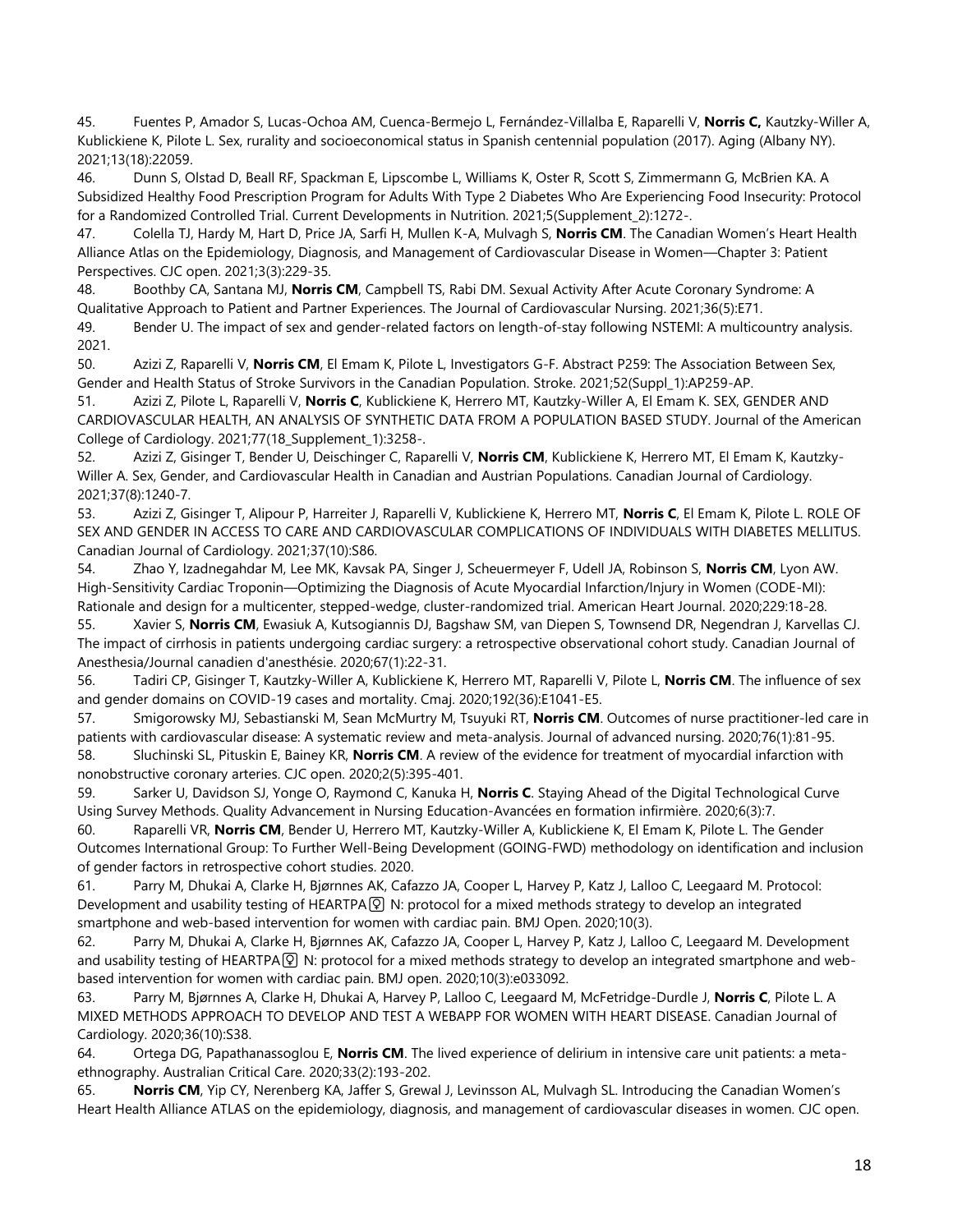45. Fuentes P, Amador S, Lucas-Ochoa AM, Cuenca-Bermejo L, Fernández-Villalba E, Raparelli V, **Norris C,** Kautzky-Willer A, Kublickiene K, Pilote L. Sex, rurality and socioeconomical status in Spanish centennial population (2017). Aging (Albany NY). 2021;13(18):22059.

46. Dunn S, Olstad D, Beall RF, Spackman E, Lipscombe L, Williams K, Oster R, Scott S, Zimmermann G, McBrien KA. A Subsidized Healthy Food Prescription Program for Adults With Type 2 Diabetes Who Are Experiencing Food Insecurity: Protocol for a Randomized Controlled Trial. Current Developments in Nutrition. 2021;5(Supplement\_2):1272-.

47. Colella TJ, Hardy M, Hart D, Price JA, Sarfi H, Mullen K-A, Mulvagh S, **Norris CM**. The Canadian Women's Heart Health Alliance Atlas on the Epidemiology, Diagnosis, and Management of Cardiovascular Disease in Women—Chapter 3: Patient Perspectives. CJC open. 2021;3(3):229-35.

48. Boothby CA, Santana MJ, **Norris CM**, Campbell TS, Rabi DM. Sexual Activity After Acute Coronary Syndrome: A Qualitative Approach to Patient and Partner Experiences. The Journal of Cardiovascular Nursing. 2021;36(5):E71.

49. Bender U. The impact of sex and gender-related factors on length-of-stay following NSTEMI: A multicountry analysis. 2021.

50. Azizi Z, Raparelli V, **Norris CM**, El Emam K, Pilote L, Investigators G-F. Abstract P259: The Association Between Sex, Gender and Health Status of Stroke Survivors in the Canadian Population. Stroke. 2021;52(Suppl\_1):AP259-AP.

51. Azizi Z, Pilote L, Raparelli V, **Norris C**, Kublickiene K, Herrero MT, Kautzky-Willer A, El Emam K. SEX, GENDER AND CARDIOVASCULAR HEALTH, AN ANALYSIS OF SYNTHETIC DATA FROM A POPULATION BASED STUDY. Journal of the American College of Cardiology. 2021;77(18\_Supplement\_1):3258-.

52. Azizi Z, Gisinger T, Bender U, Deischinger C, Raparelli V, **Norris CM**, Kublickiene K, Herrero MT, El Emam K, Kautzky-Willer A. Sex, Gender, and Cardiovascular Health in Canadian and Austrian Populations. Canadian Journal of Cardiology. 2021;37(8):1240-7.

53. Azizi Z, Gisinger T, Alipour P, Harreiter J, Raparelli V, Kublickiene K, Herrero MT, **Norris C**, El Emam K, Pilote L. ROLE OF SEX AND GENDER IN ACCESS TO CARE AND CARDIOVASCULAR COMPLICATIONS OF INDIVIDUALS WITH DIABETES MELLITUS. Canadian Journal of Cardiology. 2021;37(10):S86.

54. Zhao Y, Izadnegahdar M, Lee MK, Kavsak PA, Singer J, Scheuermeyer F, Udell JA, Robinson S, **Norris CM**, Lyon AW. High-Sensitivity Cardiac Troponin—Optimizing the Diagnosis of Acute Myocardial Infarction/Injury in Women (CODE-MI): Rationale and design for a multicenter, stepped-wedge, cluster-randomized trial. American Heart Journal. 2020;229:18-28.

55. Xavier S, **Norris CM**, Ewasiuk A, Kutsogiannis DJ, Bagshaw SM, van Diepen S, Townsend DR, Negendran J, Karvellas CJ. The impact of cirrhosis in patients undergoing cardiac surgery: a retrospective observational cohort study. Canadian Journal of Anesthesia/Journal canadien d'anesthésie. 2020;67(1):22-31.

56. Tadiri CP, Gisinger T, Kautzky-Willer A, Kublickiene K, Herrero MT, Raparelli V, Pilote L, **Norris CM**. The influence of sex and gender domains on COVID-19 cases and mortality. Cmaj. 2020;192(36):E1041-E5.

57. Smigorowsky MJ, Sebastianski M, Sean McMurtry M, Tsuyuki RT, **Norris CM**. Outcomes of nurse practitioner‐led care in patients with cardiovascular disease: A systematic review and meta-analysis. Journal of advanced nursing. 2020;76(1):81-95. 58. Sluchinski SL, Pituskin E, Bainey KR, **Norris CM**. A review of the evidence for treatment of myocardial infarction with

nonobstructive coronary arteries. CJC open. 2020;2(5):395-401.

59. Sarker U, Davidson SJ, Yonge O, Raymond C, Kanuka H, **Norris C**. Staying Ahead of the Digital Technological Curve Using Survey Methods. Quality Advancement in Nursing Education-Avancées en formation infirmière. 2020;6(3):7.

60. Raparelli VR, **Norris CM**, Bender U, Herrero MT, Kautzky-Willer A, Kublickiene K, El Emam K, Pilote L. The Gender Outcomes International Group: To Further Well-Being Development (GOING-FWD) methodology on identification and inclusion of gender factors in retrospective cohort studies. 2020.

61. Parry M, Dhukai A, Clarke H, Bjørnnes AK, Cafazzo JA, Cooper L, Harvey P, Katz J, Lalloo C, Leegaard M. Protocol: Development and usability testing of HEARTPA <sup>p</sup> N: protocol for a mixed methods strategy to develop an integrated smartphone and web-based intervention for women with cardiac pain. BMJ Open. 2020;10(3).

62. Parry M, Dhukai A, Clarke H, Bjørnnes AK, Cafazzo JA, Cooper L, Harvey P, Katz J, Lalloo C, Leegaard M. Development and usability testing of HEARTPA $\widehat{Q}$  N: protocol for a mixed methods strategy to develop an integrated smartphone and webbased intervention for women with cardiac pain. BMJ open. 2020;10(3):e033092.

63. Parry M, Bjørnnes A, Clarke H, Dhukai A, Harvey P, Lalloo C, Leegaard M, McFetridge-Durdle J, **Norris C**, Pilote L. A MIXED METHODS APPROACH TO DEVELOP AND TEST A WEBAPP FOR WOMEN WITH HEART DISEASE. Canadian Journal of Cardiology. 2020;36(10):S38.

64. Ortega DG, Papathanassoglou E, **Norris CM**. The lived experience of delirium in intensive care unit patients: a metaethnography. Australian Critical Care. 2020;33(2):193-202.

65. **Norris CM**, Yip CY, Nerenberg KA, Jaffer S, Grewal J, Levinsson AL, Mulvagh SL. Introducing the Canadian Women's Heart Health Alliance ATLAS on the epidemiology, diagnosis, and management of cardiovascular diseases in women. CJC open.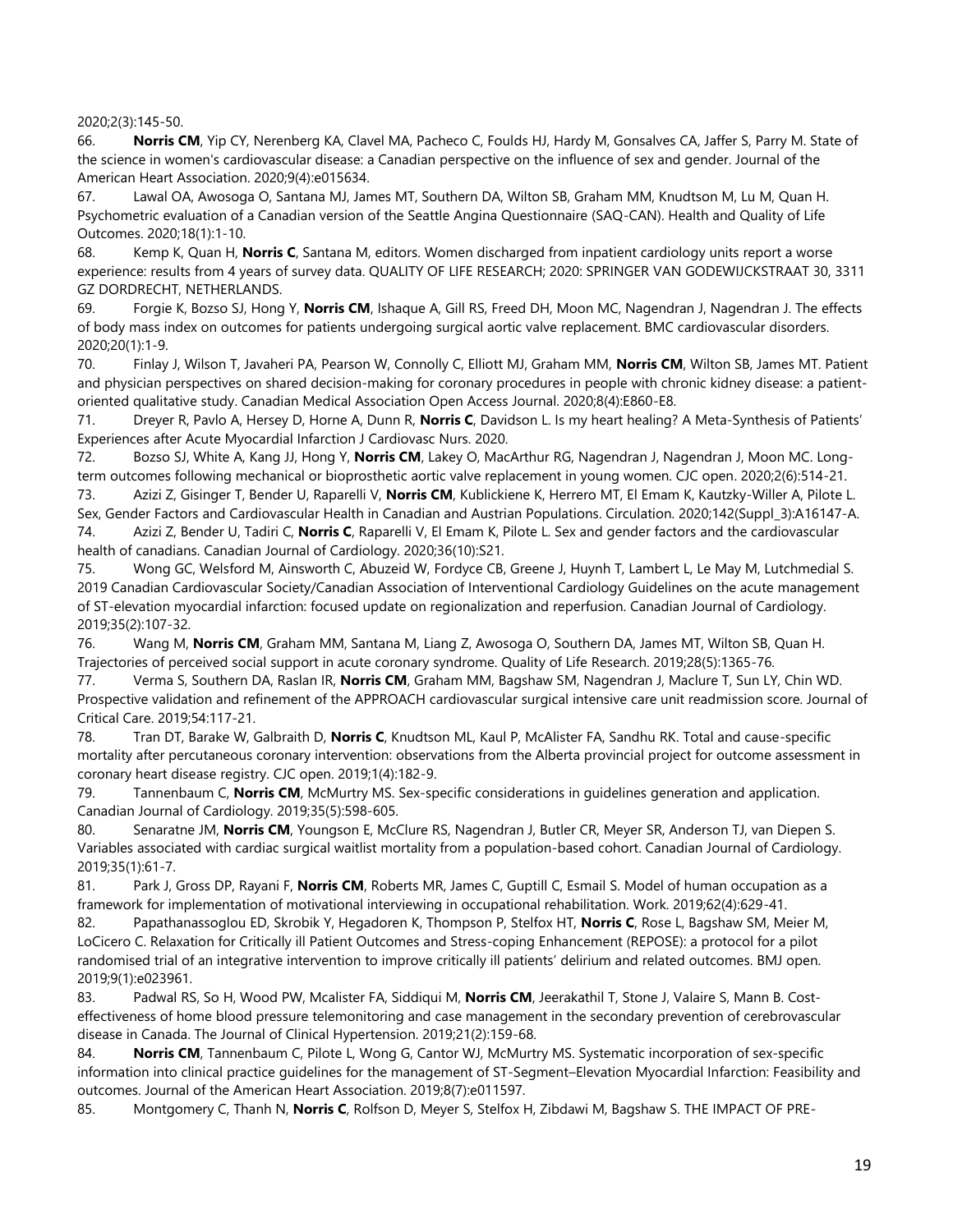2020;2(3):145-50.

66. **Norris CM**, Yip CY, Nerenberg KA, Clavel MA, Pacheco C, Foulds HJ, Hardy M, Gonsalves CA, Jaffer S, Parry M. State of the science in women's cardiovascular disease: a Canadian perspective on the influence of sex and gender. Journal of the American Heart Association. 2020;9(4):e015634.

67. Lawal OA, Awosoga O, Santana MJ, James MT, Southern DA, Wilton SB, Graham MM, Knudtson M, Lu M, Quan H. Psychometric evaluation of a Canadian version of the Seattle Angina Questionnaire (SAQ-CAN). Health and Quality of Life Outcomes. 2020;18(1):1-10.

68. Kemp K, Quan H, **Norris C**, Santana M, editors. Women discharged from inpatient cardiology units report a worse experience: results from 4 years of survey data. QUALITY OF LIFE RESEARCH; 2020: SPRINGER VAN GODEWIJCKSTRAAT 30, 3311 GZ DORDRECHT, NETHERLANDS.

69. Forgie K, Bozso SJ, Hong Y, **Norris CM**, Ishaque A, Gill RS, Freed DH, Moon MC, Nagendran J, Nagendran J. The effects of body mass index on outcomes for patients undergoing surgical aortic valve replacement. BMC cardiovascular disorders. 2020;20(1):1-9.

70. Finlay J, Wilson T, Javaheri PA, Pearson W, Connolly C, Elliott MJ, Graham MM, **Norris CM**, Wilton SB, James MT. Patient and physician perspectives on shared decision-making for coronary procedures in people with chronic kidney disease: a patientoriented qualitative study. Canadian Medical Association Open Access Journal. 2020;8(4):E860-E8.

71. Dreyer R, Pavlo A, Hersey D, Horne A, Dunn R, **Norris C**, Davidson L. Is my heart healing? A Meta-Synthesis of Patients' Experiences after Acute Myocardial Infarction J Cardiovasc Nurs. 2020.

72. Bozso SJ, White A, Kang JJ, Hong Y, **Norris CM**, Lakey O, MacArthur RG, Nagendran J, Nagendran J, Moon MC. Longterm outcomes following mechanical or bioprosthetic aortic valve replacement in young women. CJC open. 2020;2(6):514-21.

73. Azizi Z, Gisinger T, Bender U, Raparelli V, **Norris CM**, Kublickiene K, Herrero MT, El Emam K, Kautzky-Willer A, Pilote L. Sex, Gender Factors and Cardiovascular Health in Canadian and Austrian Populations. Circulation. 2020;142(Suppl\_3):A16147-A. 74. Azizi Z, Bender U, Tadiri C, **Norris C**, Raparelli V, El Emam K, Pilote L. Sex and gender factors and the cardiovascular health of canadians. Canadian Journal of Cardiology. 2020;36(10):S21.

75. Wong GC, Welsford M, Ainsworth C, Abuzeid W, Fordyce CB, Greene J, Huynh T, Lambert L, Le May M, Lutchmedial S. 2019 Canadian Cardiovascular Society/Canadian Association of Interventional Cardiology Guidelines on the acute management of ST-elevation myocardial infarction: focused update on regionalization and reperfusion. Canadian Journal of Cardiology. 2019;35(2):107-32.

76. Wang M, **Norris CM**, Graham MM, Santana M, Liang Z, Awosoga O, Southern DA, James MT, Wilton SB, Quan H. Trajectories of perceived social support in acute coronary syndrome. Quality of Life Research. 2019;28(5):1365-76.

77. Verma S, Southern DA, Raslan IR, **Norris CM**, Graham MM, Bagshaw SM, Nagendran J, Maclure T, Sun LY, Chin WD. Prospective validation and refinement of the APPROACH cardiovascular surgical intensive care unit readmission score. Journal of Critical Care. 2019;54:117-21.

78. Tran DT, Barake W, Galbraith D, **Norris C**, Knudtson ML, Kaul P, McAlister FA, Sandhu RK. Total and cause-specific mortality after percutaneous coronary intervention: observations from the Alberta provincial project for outcome assessment in coronary heart disease registry. CJC open. 2019;1(4):182-9.

79. Tannenbaum C, **Norris CM**, McMurtry MS. Sex-specific considerations in guidelines generation and application. Canadian Journal of Cardiology. 2019;35(5):598-605.

80. Senaratne JM, **Norris CM**, Youngson E, McClure RS, Nagendran J, Butler CR, Meyer SR, Anderson TJ, van Diepen S. Variables associated with cardiac surgical waitlist mortality from a population-based cohort. Canadian Journal of Cardiology. 2019;35(1):61-7.

81. Park J, Gross DP, Rayani F, **Norris CM**, Roberts MR, James C, Guptill C, Esmail S. Model of human occupation as a framework for implementation of motivational interviewing in occupational rehabilitation. Work. 2019;62(4):629-41.

82. Papathanassoglou ED, Skrobik Y, Hegadoren K, Thompson P, Stelfox HT, **Norris C**, Rose L, Bagshaw SM, Meier M, LoCicero C. Relaxation for Critically ill Patient Outcomes and Stress-coping Enhancement (REPOSE): a protocol for a pilot randomised trial of an integrative intervention to improve critically ill patients' delirium and related outcomes. BMJ open. 2019;9(1):e023961.

83. Padwal RS, So H, Wood PW, Mcalister FA, Siddiqui M, **Norris CM**, Jeerakathil T, Stone J, Valaire S, Mann B. Cost‐ effectiveness of home blood pressure telemonitoring and case management in the secondary prevention of cerebrovascular disease in Canada. The Journal of Clinical Hypertension. 2019;21(2):159-68.

84. **Norris CM**, Tannenbaum C, Pilote L, Wong G, Cantor WJ, McMurtry MS. Systematic incorporation of sex-specific information into clinical practice quidelines for the management of ST-Segment–Elevation Myocardial Infarction: Feasibility and outcomes. Journal of the American Heart Association. 2019;8(7):e011597.

85. Montgomery C, Thanh N, **Norris C**, Rolfson D, Meyer S, Stelfox H, Zibdawi M, Bagshaw S. THE IMPACT OF PRE-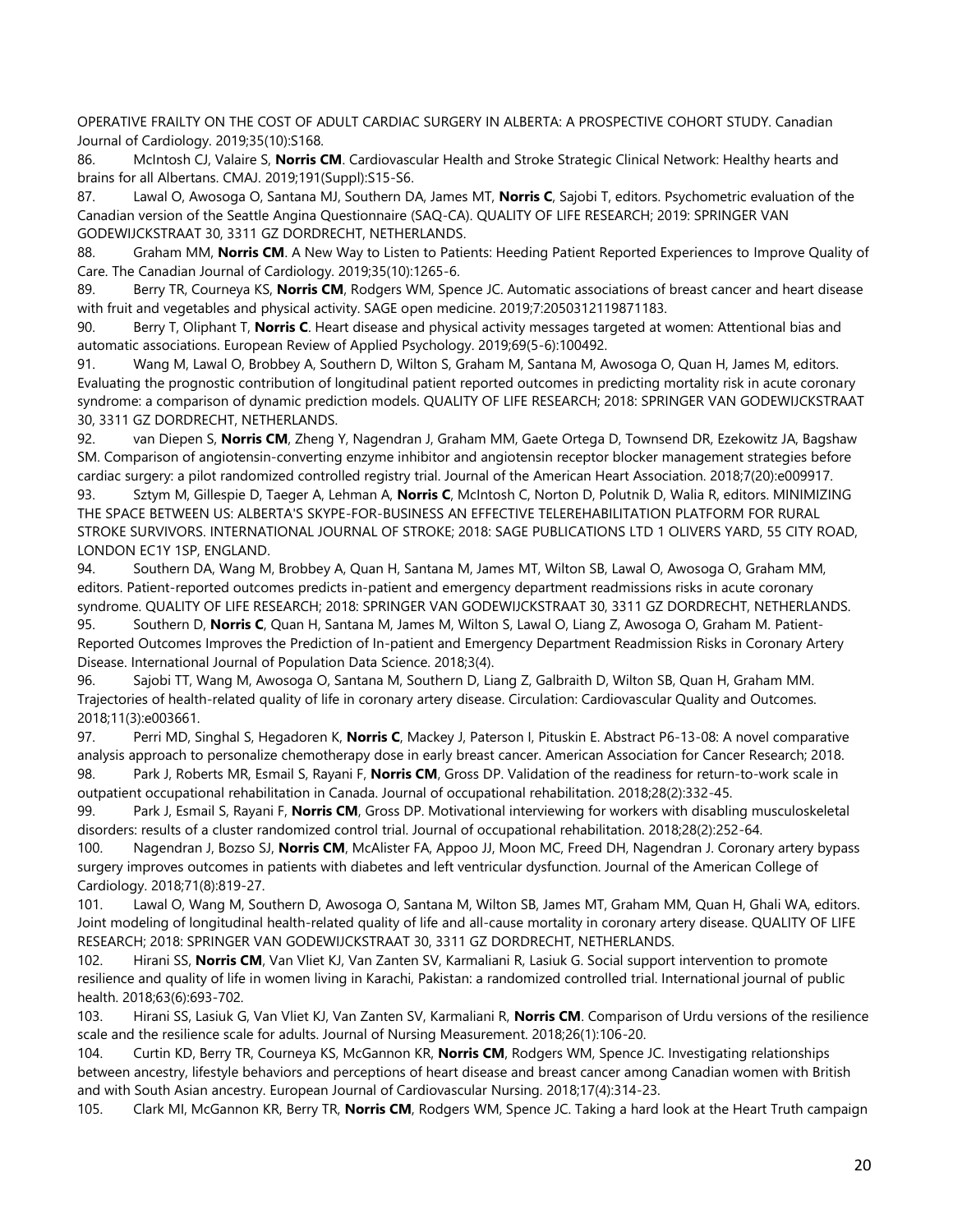OPERATIVE FRAILTY ON THE COST OF ADULT CARDIAC SURGERY IN ALBERTA: A PROSPECTIVE COHORT STUDY. Canadian Journal of Cardiology. 2019;35(10):S168.

86. McIntosh CJ, Valaire S, **Norris CM**. Cardiovascular Health and Stroke Strategic Clinical Network: Healthy hearts and brains for all Albertans. CMAJ. 2019;191(Suppl):S15-S6.

87. Lawal O, Awosoga O, Santana MJ, Southern DA, James MT, **Norris C**, Sajobi T, editors. Psychometric evaluation of the Canadian version of the Seattle Angina Questionnaire (SAQ-CA). QUALITY OF LIFE RESEARCH; 2019: SPRINGER VAN GODEWIJCKSTRAAT 30, 3311 GZ DORDRECHT, NETHERLANDS.

88. Graham MM, **Norris CM**. A New Way to Listen to Patients: Heeding Patient Reported Experiences to Improve Quality of Care. The Canadian Journal of Cardiology. 2019;35(10):1265-6.

89. Berry TR, Courneya KS, **Norris CM**, Rodgers WM, Spence JC. Automatic associations of breast cancer and heart disease with fruit and vegetables and physical activity. SAGE open medicine. 2019;7:2050312119871183.

90. Berry T, Oliphant T, **Norris C**. Heart disease and physical activity messages targeted at women: Attentional bias and automatic associations. European Review of Applied Psychology. 2019;69(5-6):100492.

91. Wang M, Lawal O, Brobbey A, Southern D, Wilton S, Graham M, Santana M, Awosoga O, Quan H, James M, editors. Evaluating the prognostic contribution of longitudinal patient reported outcomes in predicting mortality risk in acute coronary syndrome: a comparison of dynamic prediction models. QUALITY OF LIFE RESEARCH; 2018: SPRINGER VAN GODEWIJCKSTRAAT 30, 3311 GZ DORDRECHT, NETHERLANDS.

92. van Diepen S, **Norris CM**, Zheng Y, Nagendran J, Graham MM, Gaete Ortega D, Townsend DR, Ezekowitz JA, Bagshaw SM. Comparison of angiotensin‐converting enzyme inhibitor and angiotensin receptor blocker management strategies before cardiac surgery: a pilot randomized controlled registry trial. Journal of the American Heart Association. 2018;7(20):e009917.

93. Sztym M, Gillespie D, Taeger A, Lehman A, **Norris C**, McIntosh C, Norton D, Polutnik D, Walia R, editors. MINIMIZING THE SPACE BETWEEN US: ALBERTA'S SKYPE-FOR-BUSINESS AN EFFECTIVE TELEREHABILITATION PLATFORM FOR RURAL STROKE SURVIVORS. INTERNATIONAL JOURNAL OF STROKE; 2018: SAGE PUBLICATIONS LTD 1 OLIVERS YARD, 55 CITY ROAD, LONDON EC1Y 1SP, ENGLAND.

94. Southern DA, Wang M, Brobbey A, Quan H, Santana M, James MT, Wilton SB, Lawal O, Awosoga O, Graham MM, editors. Patient-reported outcomes predicts in-patient and emergency department readmissions risks in acute coronary syndrome. QUALITY OF LIFE RESEARCH; 2018: SPRINGER VAN GODEWIJCKSTRAAT 30, 3311 GZ DORDRECHT, NETHERLANDS.

95. Southern D, **Norris C**, Quan H, Santana M, James M, Wilton S, Lawal O, Liang Z, Awosoga O, Graham M. Patient-Reported Outcomes Improves the Prediction of In-patient and Emergency Department Readmission Risks in Coronary Artery Disease. International Journal of Population Data Science. 2018;3(4).

96. Sajobi TT, Wang M, Awosoga O, Santana M, Southern D, Liang Z, Galbraith D, Wilton SB, Quan H, Graham MM. Trajectories of health-related quality of life in coronary artery disease. Circulation: Cardiovascular Quality and Outcomes. 2018;11(3):e003661.

97. Perri MD, Singhal S, Hegadoren K, **Norris C**, Mackey J, Paterson I, Pituskin E. Abstract P6-13-08: A novel comparative analysis approach to personalize chemotherapy dose in early breast cancer. American Association for Cancer Research; 2018. 98. Park J, Roberts MR, Esmail S, Rayani F, **Norris CM**, Gross DP. Validation of the readiness for return-to-work scale in

outpatient occupational rehabilitation in Canada. Journal of occupational rehabilitation. 2018;28(2):332-45. 99. Park J, Esmail S, Rayani F, **Norris CM**, Gross DP. Motivational interviewing for workers with disabling musculoskeletal disorders: results of a cluster randomized control trial. Journal of occupational rehabilitation. 2018;28(2):252-64.

100. Nagendran J, Bozso SJ, **Norris CM**, McAlister FA, Appoo JJ, Moon MC, Freed DH, Nagendran J. Coronary artery bypass surgery improves outcomes in patients with diabetes and left ventricular dysfunction. Journal of the American College of Cardiology. 2018;71(8):819-27.

101. Lawal O, Wang M, Southern D, Awosoga O, Santana M, Wilton SB, James MT, Graham MM, Quan H, Ghali WA, editors. Joint modeling of longitudinal health-related quality of life and all-cause mortality in coronary artery disease. QUALITY OF LIFE RESEARCH; 2018: SPRINGER VAN GODEWIJCKSTRAAT 30, 3311 GZ DORDRECHT, NETHERLANDS.

102. Hirani SS, **Norris CM**, Van Vliet KJ, Van Zanten SV, Karmaliani R, Lasiuk G. Social support intervention to promote resilience and quality of life in women living in Karachi, Pakistan: a randomized controlled trial. International journal of public health. 2018;63(6):693-702.

103. Hirani SS, Lasiuk G, Van Vliet KJ, Van Zanten SV, Karmaliani R, **Norris CM**. Comparison of Urdu versions of the resilience scale and the resilience scale for adults. Journal of Nursing Measurement. 2018;26(1):106-20.

104. Curtin KD, Berry TR, Courneya KS, McGannon KR, **Norris CM**, Rodgers WM, Spence JC. Investigating relationships between ancestry, lifestyle behaviors and perceptions of heart disease and breast cancer among Canadian women with British and with South Asian ancestry. European Journal of Cardiovascular Nursing. 2018;17(4):314-23.

105. Clark MI, McGannon KR, Berry TR, **Norris CM**, Rodgers WM, Spence JC. Taking a hard look at the Heart Truth campaign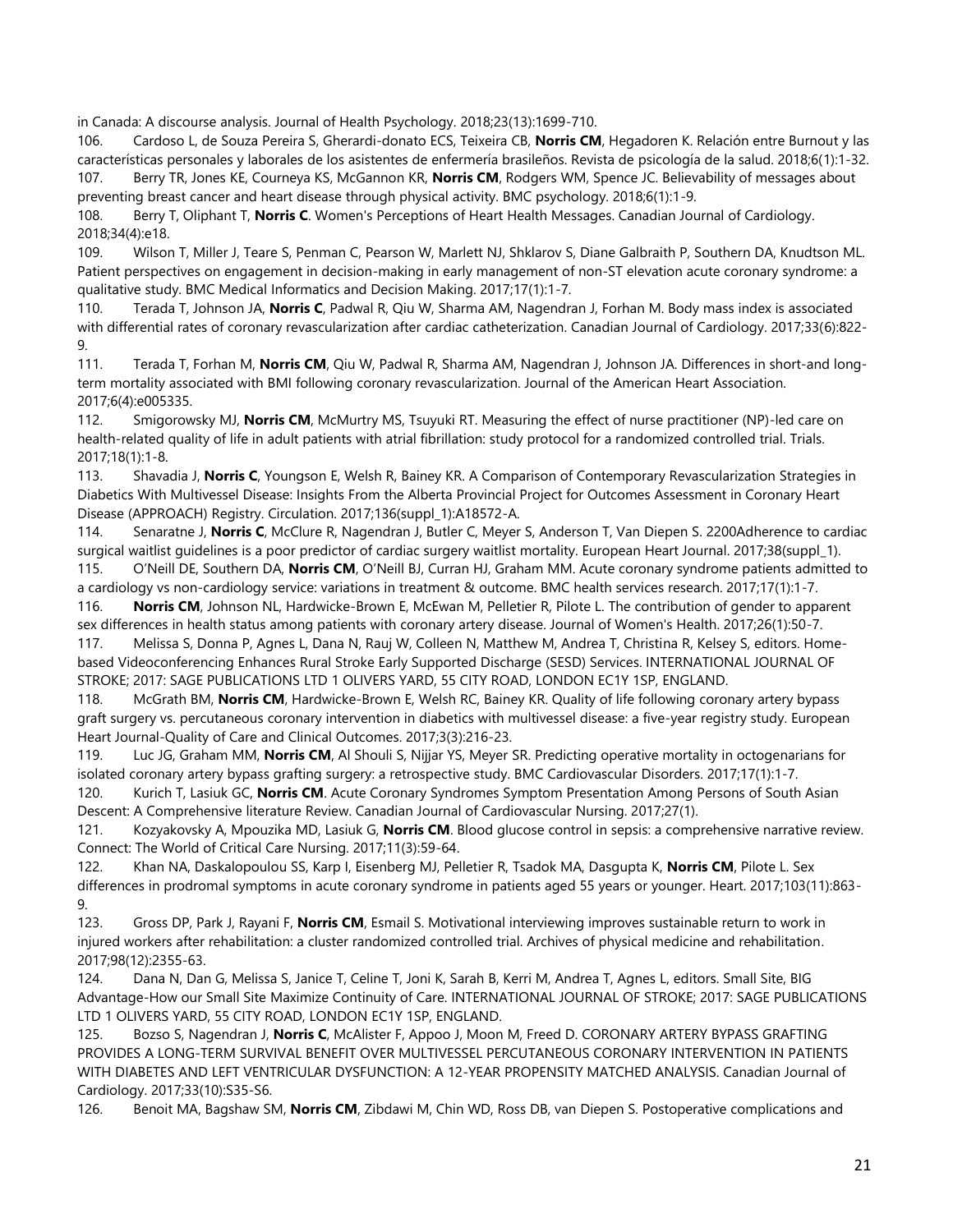in Canada: A discourse analysis. Journal of Health Psychology. 2018;23(13):1699-710.

106. Cardoso L, de Souza Pereira S, Gherardi-donato ECS, Teixeira CB, **Norris CM**, Hegadoren K. Relación entre Burnout y las características personales y laborales de los asistentes de enfermería brasileños. Revista de psicología de la salud. 2018;6(1):1-32. 107. Berry TR, Jones KE, Courneya KS, McGannon KR, **Norris CM**, Rodgers WM, Spence JC. Believability of messages about preventing breast cancer and heart disease through physical activity. BMC psychology. 2018;6(1):1-9.

108. Berry T, Oliphant T, **Norris C**. Women's Perceptions of Heart Health Messages. Canadian Journal of Cardiology. 2018;34(4):e18.

109. Wilson T, Miller J, Teare S, Penman C, Pearson W, Marlett NJ, Shklarov S, Diane Galbraith P, Southern DA, Knudtson ML. Patient perspectives on engagement in decision-making in early management of non-ST elevation acute coronary syndrome: a qualitative study. BMC Medical Informatics and Decision Making. 2017;17(1):1-7.

110. Terada T, Johnson JA, **Norris C**, Padwal R, Qiu W, Sharma AM, Nagendran J, Forhan M. Body mass index is associated with differential rates of coronary revascularization after cardiac catheterization. Canadian Journal of Cardiology. 2017;33(6):822- 9.

111. Terada T, Forhan M, **Norris CM**, Qiu W, Padwal R, Sharma AM, Nagendran J, Johnson JA. Differences in short‐and long‐ term mortality associated with BMI following coronary revascularization. Journal of the American Heart Association. 2017;6(4):e005335.

112. Smigorowsky MJ, **Norris CM**, McMurtry MS, Tsuyuki RT. Measuring the effect of nurse practitioner (NP)-led care on health-related quality of life in adult patients with atrial fibrillation: study protocol for a randomized controlled trial. Trials. 2017;18(1):1-8.

113. Shavadia J, **Norris C**, Youngson E, Welsh R, Bainey KR. A Comparison of Contemporary Revascularization Strategies in Diabetics With Multivessel Disease: Insights From the Alberta Provincial Project for Outcomes Assessment in Coronary Heart Disease (APPROACH) Registry. Circulation. 2017;136(suppl\_1):A18572-A.

114. Senaratne J, **Norris C**, McClure R, Nagendran J, Butler C, Meyer S, Anderson T, Van Diepen S. 2200Adherence to cardiac surgical waitlist guidelines is a poor predictor of cardiac surgery waitlist mortality. European Heart Journal. 2017;38(suppl\_1). 115. O'Neill DE, Southern DA, **Norris CM**, O'Neill BJ, Curran HJ, Graham MM. Acute coronary syndrome patients admitted to

a cardiology vs non-cardiology service: variations in treatment & outcome. BMC health services research. 2017;17(1):1-7. 116. **Norris CM**, Johnson NL, Hardwicke-Brown E, McEwan M, Pelletier R, Pilote L. The contribution of gender to apparent sex differences in health status among patients with coronary artery disease. Journal of Women's Health. 2017;26(1):50-7.

117. Melissa S, Donna P, Agnes L, Dana N, Rauj W, Colleen N, Matthew M, Andrea T, Christina R, Kelsey S, editors. Homebased Videoconferencing Enhances Rural Stroke Early Supported Discharge (SESD) Services. INTERNATIONAL JOURNAL OF STROKE; 2017: SAGE PUBLICATIONS LTD 1 OLIVERS YARD, 55 CITY ROAD, LONDON EC1Y 1SP, ENGLAND.

118. McGrath BM, **Norris CM**, Hardwicke-Brown E, Welsh RC, Bainey KR. Quality of life following coronary artery bypass graft surgery vs. percutaneous coronary intervention in diabetics with multivessel disease: a five-year registry study. European Heart Journal-Quality of Care and Clinical Outcomes. 2017;3(3):216-23.

119. Luc JG, Graham MM, **Norris CM**, Al Shouli S, Nijjar YS, Meyer SR. Predicting operative mortality in octogenarians for isolated coronary artery bypass grafting surgery: a retrospective study. BMC Cardiovascular Disorders. 2017;17(1):1-7.

120. Kurich T, Lasiuk GC, **Norris CM**. Acute Coronary Syndromes Symptom Presentation Among Persons of South Asian Descent: A Comprehensive literature Review. Canadian Journal of Cardiovascular Nursing. 2017;27(1).

121. Kozyakovsky A, Mpouzika MD, Lasiuk G, **Norris CM**. Blood glucose control in sepsis: a comprehensive narrative review. Connect: The World of Critical Care Nursing. 2017;11(3):59-64.

122. Khan NA, Daskalopoulou SS, Karp I, Eisenberg MJ, Pelletier R, Tsadok MA, Dasgupta K, **Norris CM**, Pilote L. Sex differences in prodromal symptoms in acute coronary syndrome in patients aged 55 years or younger. Heart. 2017;103(11):863- 9.

123. Gross DP, Park J, Rayani F, **Norris CM**, Esmail S. Motivational interviewing improves sustainable return to work in injured workers after rehabilitation: a cluster randomized controlled trial. Archives of physical medicine and rehabilitation. 2017;98(12):2355-63.

124. Dana N, Dan G, Melissa S, Janice T, Celine T, Joni K, Sarah B, Kerri M, Andrea T, Agnes L, editors. Small Site, BIG Advantage-How our Small Site Maximize Continuity of Care. INTERNATIONAL JOURNAL OF STROKE; 2017: SAGE PUBLICATIONS LTD 1 OLIVERS YARD, 55 CITY ROAD, LONDON EC1Y 1SP, ENGLAND.

125. Bozso S, Nagendran J, **Norris C**, McAlister F, Appoo J, Moon M, Freed D. CORONARY ARTERY BYPASS GRAFTING PROVIDES A LONG-TERM SURVIVAL BENEFIT OVER MULTIVESSEL PERCUTANEOUS CORONARY INTERVENTION IN PATIENTS WITH DIABETES AND LEFT VENTRICULAR DYSFUNCTION: A 12-YEAR PROPENSITY MATCHED ANALYSIS. Canadian Journal of Cardiology. 2017;33(10):S35-S6.

126. Benoit MA, Bagshaw SM, **Norris CM**, Zibdawi M, Chin WD, Ross DB, van Diepen S. Postoperative complications and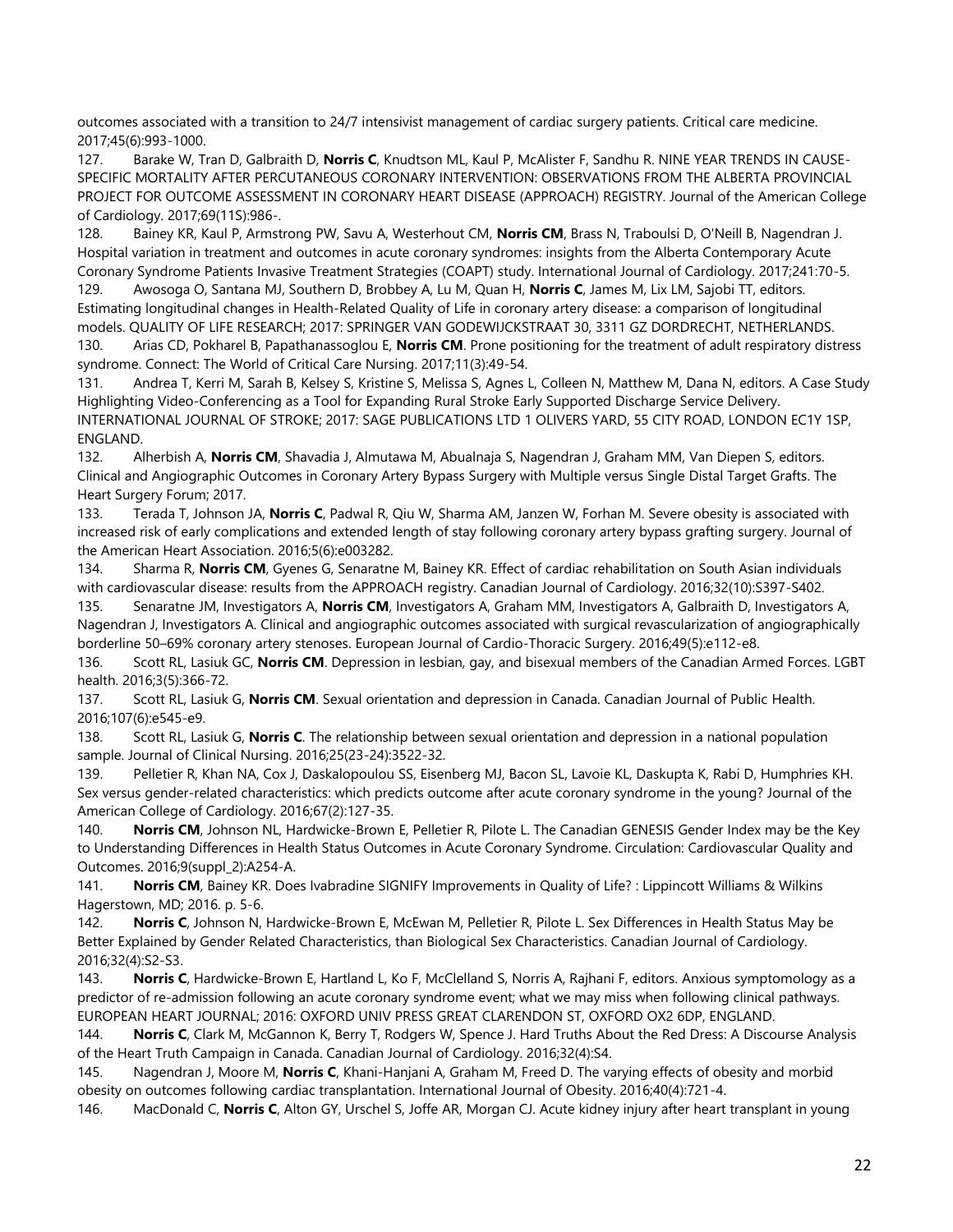outcomes associated with a transition to 24/7 intensivist management of cardiac surgery patients. Critical care medicine. 2017;45(6):993-1000.

127. Barake W, Tran D, Galbraith D, **Norris C**, Knudtson ML, Kaul P, McAlister F, Sandhu R. NINE YEAR TRENDS IN CAUSE-SPECIFIC MORTALITY AFTER PERCUTANEOUS CORONARY INTERVENTION: OBSERVATIONS FROM THE ALBERTA PROVINCIAL PROJECT FOR OUTCOME ASSESSMENT IN CORONARY HEART DISEASE (APPROACH) REGISTRY. Journal of the American College of Cardiology. 2017;69(11S):986-.

128. Bainey KR, Kaul P, Armstrong PW, Savu A, Westerhout CM, **Norris CM**, Brass N, Traboulsi D, O'Neill B, Nagendran J. Hospital variation in treatment and outcomes in acute coronary syndromes: insights from the Alberta Contemporary Acute Coronary Syndrome Patients Invasive Treatment Strategies (COAPT) study. International Journal of Cardiology. 2017;241:70-5.

129. Awosoga O, Santana MJ, Southern D, Brobbey A, Lu M, Quan H, **Norris C**, James M, Lix LM, Sajobi TT, editors. Estimating longitudinal changes in Health-Related Quality of Life in coronary artery disease: a comparison of longitudinal models. QUALITY OF LIFE RESEARCH; 2017: SPRINGER VAN GODEWIJCKSTRAAT 30, 3311 GZ DORDRECHT, NETHERLANDS.

130. Arias CD, Pokharel B, Papathanassoglou E, **Norris CM**. Prone positioning for the treatment of adult respiratory distress syndrome. Connect: The World of Critical Care Nursing. 2017;11(3):49-54.

131. Andrea T, Kerri M, Sarah B, Kelsey S, Kristine S, Melissa S, Agnes L, Colleen N, Matthew M, Dana N, editors. A Case Study Highlighting Video-Conferencing as a Tool for Expanding Rural Stroke Early Supported Discharge Service Delivery. INTERNATIONAL JOURNAL OF STROKE; 2017: SAGE PUBLICATIONS LTD 1 OLIVERS YARD, 55 CITY ROAD, LONDON EC1Y 1SP, ENGLAND.

132. Alherbish A, **Norris CM**, Shavadia J, Almutawa M, Abualnaja S, Nagendran J, Graham MM, Van Diepen S, editors. Clinical and Angiographic Outcomes in Coronary Artery Bypass Surgery with Multiple versus Single Distal Target Grafts. The Heart Surgery Forum; 2017.

133. Terada T, Johnson JA, **Norris C**, Padwal R, Qiu W, Sharma AM, Janzen W, Forhan M. Severe obesity is associated with increased risk of early complications and extended length of stay following coronary artery bypass grafting surgery. Journal of the American Heart Association. 2016;5(6):e003282.

134. Sharma R, **Norris CM**, Gyenes G, Senaratne M, Bainey KR. Effect of cardiac rehabilitation on South Asian individuals with cardiovascular disease: results from the APPROACH registry. Canadian Journal of Cardiology. 2016;32(10):S397-S402.

135. Senaratne JM, Investigators A, **Norris CM**, Investigators A, Graham MM, Investigators A, Galbraith D, Investigators A, Nagendran J, Investigators A. Clinical and angiographic outcomes associated with surgical revascularization of angiographically borderline 50–69% coronary artery stenoses. European Journal of Cardio-Thoracic Surgery. 2016;49(5):e112-e8.

136. Scott RL, Lasiuk GC, **Norris CM**. Depression in lesbian, gay, and bisexual members of the Canadian Armed Forces. LGBT health. 2016;3(5):366-72.

137. Scott RL, Lasiuk G, **Norris CM**. Sexual orientation and depression in Canada. Canadian Journal of Public Health. 2016;107(6):e545-e9.

138. Scott RL, Lasiuk G, **Norris C**. The relationship between sexual orientation and depression in a national population sample. Journal of Clinical Nursing. 2016;25(23-24):3522-32.

139. Pelletier R, Khan NA, Cox J, Daskalopoulou SS, Eisenberg MJ, Bacon SL, Lavoie KL, Daskupta K, Rabi D, Humphries KH. Sex versus gender-related characteristics: which predicts outcome after acute coronary syndrome in the young? Journal of the American College of Cardiology. 2016;67(2):127-35.

140. **Norris CM**, Johnson NL, Hardwicke-Brown E, Pelletier R, Pilote L. The Canadian GENESIS Gender Index may be the Key to Understanding Differences in Health Status Outcomes in Acute Coronary Syndrome. Circulation: Cardiovascular Quality and Outcomes. 2016;9(suppl\_2):A254-A.

141. **Norris CM**, Bainey KR. Does Ivabradine SIGNIFY Improvements in Quality of Life? : Lippincott Williams & Wilkins Hagerstown, MD; 2016. p. 5-6.

142. **Norris C**, Johnson N, Hardwicke-Brown E, McEwan M, Pelletier R, Pilote L. Sex Differences in Health Status May be Better Explained by Gender Related Characteristics, than Biological Sex Characteristics. Canadian Journal of Cardiology. 2016;32(4):S2-S3.

143. **Norris C**, Hardwicke-Brown E, Hartland L, Ko F, McClelland S, Norris A, Rajhani F, editors. Anxious symptomology as a predictor of re-admission following an acute coronary syndrome event; what we may miss when following clinical pathways. EUROPEAN HEART JOURNAL; 2016: OXFORD UNIV PRESS GREAT CLARENDON ST, OXFORD OX2 6DP, ENGLAND.

144. **Norris C**, Clark M, McGannon K, Berry T, Rodgers W, Spence J. Hard Truths About the Red Dress: A Discourse Analysis of the Heart Truth Campaign in Canada. Canadian Journal of Cardiology. 2016;32(4):S4.

145. Nagendran J, Moore M, **Norris C**, Khani-Hanjani A, Graham M, Freed D. The varying effects of obesity and morbid obesity on outcomes following cardiac transplantation. International Journal of Obesity. 2016;40(4):721-4.

146. MacDonald C, **Norris C**, Alton GY, Urschel S, Joffe AR, Morgan CJ. Acute kidney injury after heart transplant in young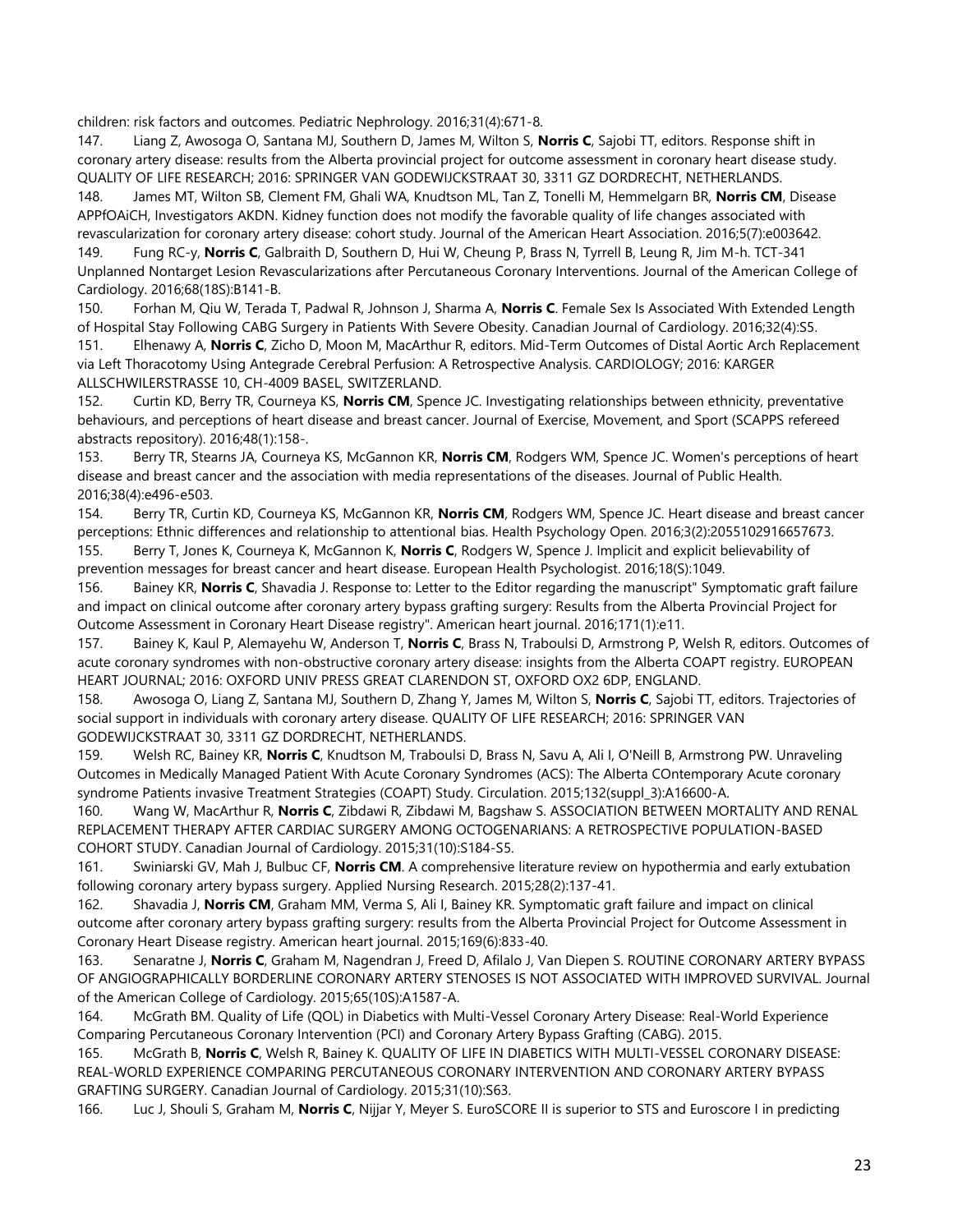children: risk factors and outcomes. Pediatric Nephrology. 2016;31(4):671-8.

147. Liang Z, Awosoga O, Santana MJ, Southern D, James M, Wilton S, **Norris C**, Sajobi TT, editors. Response shift in coronary artery disease: results from the Alberta provincial project for outcome assessment in coronary heart disease study. QUALITY OF LIFE RESEARCH; 2016: SPRINGER VAN GODEWIJCKSTRAAT 30, 3311 GZ DORDRECHT, NETHERLANDS.

148. James MT, Wilton SB, Clement FM, Ghali WA, Knudtson ML, Tan Z, Tonelli M, Hemmelgarn BR, **Norris CM**, Disease APPfOAiCH, Investigators AKDN. Kidney function does not modify the favorable quality of life changes associated with revascularization for coronary artery disease: cohort study. Journal of the American Heart Association. 2016;5(7):e003642. 149. Fung RC-y, **Norris C**, Galbraith D, Southern D, Hui W, Cheung P, Brass N, Tyrrell B, Leung R, Jim M-h. TCT-341 Unplanned Nontarget Lesion Revascularizations after Percutaneous Coronary Interventions. Journal of the American College of Cardiology. 2016;68(18S):B141-B.

150. Forhan M, Qiu W, Terada T, Padwal R, Johnson J, Sharma A, **Norris C**. Female Sex Is Associated With Extended Length of Hospital Stay Following CABG Surgery in Patients With Severe Obesity. Canadian Journal of Cardiology. 2016;32(4):S5. 151. Elhenawy A, **Norris C**, Zicho D, Moon M, MacArthur R, editors. Mid-Term Outcomes of Distal Aortic Arch Replacement via Left Thoracotomy Using Antegrade Cerebral Perfusion: A Retrospective Analysis. CARDIOLOGY; 2016: KARGER ALLSCHWILERSTRASSE 10, CH-4009 BASEL, SWITZERLAND.

152. Curtin KD, Berry TR, Courneya KS, **Norris CM**, Spence JC. Investigating relationships between ethnicity, preventative behaviours, and perceptions of heart disease and breast cancer. Journal of Exercise, Movement, and Sport (SCAPPS refereed abstracts repository). 2016;48(1):158-.

153. Berry TR, Stearns JA, Courneya KS, McGannon KR, **Norris CM**, Rodgers WM, Spence JC. Women's perceptions of heart disease and breast cancer and the association with media representations of the diseases. Journal of Public Health. 2016;38(4):e496-e503.

154. Berry TR, Curtin KD, Courneya KS, McGannon KR, **Norris CM**, Rodgers WM, Spence JC. Heart disease and breast cancer perceptions: Ethnic differences and relationship to attentional bias. Health Psychology Open. 2016;3(2):2055102916657673. 155. Berry T, Jones K, Courneya K, McGannon K, **Norris C**, Rodgers W, Spence J. Implicit and explicit believability of prevention messages for breast cancer and heart disease. European Health Psychologist. 2016;18(S):1049.

156. Bainey KR, **Norris C**, Shavadia J. Response to: Letter to the Editor regarding the manuscript" Symptomatic graft failure and impact on clinical outcome after coronary artery bypass grafting surgery: Results from the Alberta Provincial Project for Outcome Assessment in Coronary Heart Disease registry". American heart journal. 2016;171(1):e11.

157. Bainey K, Kaul P, Alemayehu W, Anderson T, **Norris C**, Brass N, Traboulsi D, Armstrong P, Welsh R, editors. Outcomes of acute coronary syndromes with non-obstructive coronary artery disease: insights from the Alberta COAPT registry. EUROPEAN HEART JOURNAL; 2016: OXFORD UNIV PRESS GREAT CLARENDON ST, OXFORD OX2 6DP, ENGLAND.

158. Awosoga O, Liang Z, Santana MJ, Southern D, Zhang Y, James M, Wilton S, **Norris C**, Sajobi TT, editors. Trajectories of social support in individuals with coronary artery disease. QUALITY OF LIFE RESEARCH; 2016: SPRINGER VAN GODEWIJCKSTRAAT 30, 3311 GZ DORDRECHT, NETHERLANDS.

159. Welsh RC, Bainey KR, **Norris C**, Knudtson M, Traboulsi D, Brass N, Savu A, Ali I, O'Neill B, Armstrong PW. Unraveling Outcomes in Medically Managed Patient With Acute Coronary Syndromes (ACS): The Alberta COntemporary Acute coronary syndrome Patients invasive Treatment Strategies (COAPT) Study. Circulation. 2015;132(suppl\_3):A16600-A.

160. Wang W, MacArthur R, **Norris C**, Zibdawi R, Zibdawi M, Bagshaw S. ASSOCIATION BETWEEN MORTALITY AND RENAL REPLACEMENT THERAPY AFTER CARDIAC SURGERY AMONG OCTOGENARIANS: A RETROSPECTIVE POPULATION-BASED COHORT STUDY. Canadian Journal of Cardiology. 2015;31(10):S184-S5.

161. Swiniarski GV, Mah J, Bulbuc CF, **Norris CM**. A comprehensive literature review on hypothermia and early extubation following coronary artery bypass surgery. Applied Nursing Research. 2015;28(2):137-41.

162. Shavadia J, **Norris CM**, Graham MM, Verma S, Ali I, Bainey KR. Symptomatic graft failure and impact on clinical outcome after coronary artery bypass grafting surgery: results from the Alberta Provincial Project for Outcome Assessment in Coronary Heart Disease registry. American heart journal. 2015;169(6):833-40.

163. Senaratne J, **Norris C**, Graham M, Nagendran J, Freed D, Afilalo J, Van Diepen S. ROUTINE CORONARY ARTERY BYPASS OF ANGIOGRAPHICALLY BORDERLINE CORONARY ARTERY STENOSES IS NOT ASSOCIATED WITH IMPROVED SURVIVAL. Journal of the American College of Cardiology. 2015;65(10S):A1587-A.

164. McGrath BM. Quality of Life (QOL) in Diabetics with Multi-Vessel Coronary Artery Disease: Real-World Experience Comparing Percutaneous Coronary Intervention (PCI) and Coronary Artery Bypass Grafting (CABG). 2015.

165. McGrath B, **Norris C**, Welsh R, Bainey K. QUALITY OF LIFE IN DIABETICS WITH MULTI-VESSEL CORONARY DISEASE: REAL-WORLD EXPERIENCE COMPARING PERCUTANEOUS CORONARY INTERVENTION AND CORONARY ARTERY BYPASS GRAFTING SURGERY. Canadian Journal of Cardiology. 2015;31(10):S63.

166. Luc J, Shouli S, Graham M, **Norris C**, Nijjar Y, Meyer S. EuroSCORE II is superior to STS and Euroscore I in predicting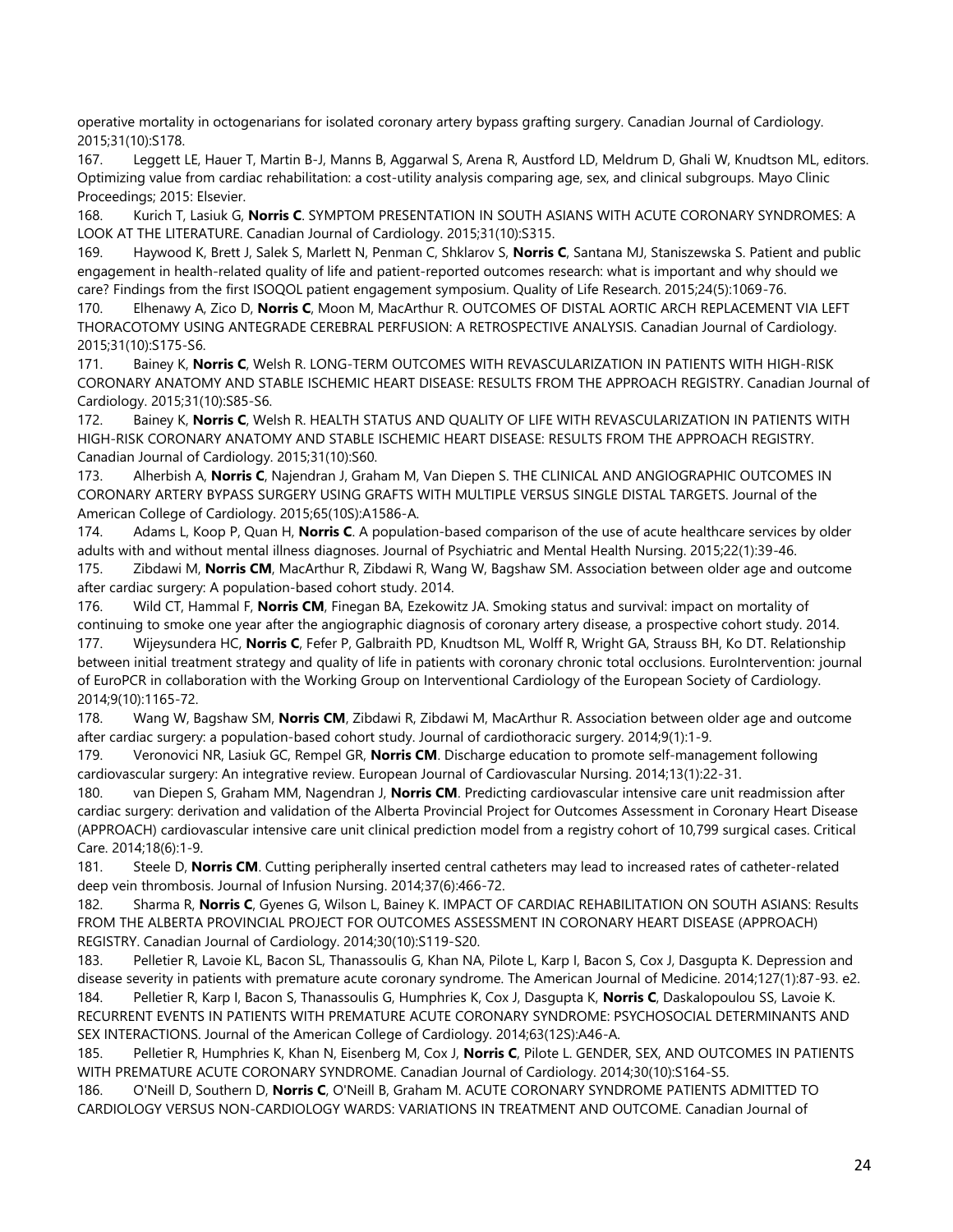operative mortality in octogenarians for isolated coronary artery bypass grafting surgery. Canadian Journal of Cardiology. 2015;31(10):S178.

167. Leggett LE, Hauer T, Martin B-J, Manns B, Aggarwal S, Arena R, Austford LD, Meldrum D, Ghali W, Knudtson ML, editors. Optimizing value from cardiac rehabilitation: a cost-utility analysis comparing age, sex, and clinical subgroups. Mayo Clinic Proceedings; 2015: Elsevier.

168. Kurich T, Lasiuk G, **Norris C**. SYMPTOM PRESENTATION IN SOUTH ASIANS WITH ACUTE CORONARY SYNDROMES: A LOOK AT THE LITERATURE. Canadian Journal of Cardiology. 2015;31(10):S315.

169. Haywood K, Brett J, Salek S, Marlett N, Penman C, Shklarov S, **Norris C**, Santana MJ, Staniszewska S. Patient and public engagement in health-related quality of life and patient-reported outcomes research: what is important and why should we care? Findings from the first ISOQOL patient engagement symposium. Quality of Life Research. 2015;24(5):1069-76.

170. Elhenawy A, Zico D, **Norris C**, Moon M, MacArthur R. OUTCOMES OF DISTAL AORTIC ARCH REPLACEMENT VIA LEFT THORACOTOMY USING ANTEGRADE CEREBRAL PERFUSION: A RETROSPECTIVE ANALYSIS. Canadian Journal of Cardiology. 2015;31(10):S175-S6.

171. Bainey K, **Norris C**, Welsh R. LONG-TERM OUTCOMES WITH REVASCULARIZATION IN PATIENTS WITH HIGH-RISK CORONARY ANATOMY AND STABLE ISCHEMIC HEART DISEASE: RESULTS FROM THE APPROACH REGISTRY. Canadian Journal of Cardiology. 2015;31(10):S85-S6.

172. Bainey K, **Norris C**, Welsh R. HEALTH STATUS AND QUALITY OF LIFE WITH REVASCULARIZATION IN PATIENTS WITH HIGH-RISK CORONARY ANATOMY AND STABLE ISCHEMIC HEART DISEASE: RESULTS FROM THE APPROACH REGISTRY. Canadian Journal of Cardiology. 2015;31(10):S60.

173. Alherbish A, **Norris C**, Najendran J, Graham M, Van Diepen S. THE CLINICAL AND ANGIOGRAPHIC OUTCOMES IN CORONARY ARTERY BYPASS SURGERY USING GRAFTS WITH MULTIPLE VERSUS SINGLE DISTAL TARGETS. Journal of the American College of Cardiology. 2015;65(10S):A1586-A.

174. Adams L, Koop P, Quan H, **Norris C**. A population‐based comparison of the use of acute healthcare services by older adults with and without mental illness diagnoses. Journal of Psychiatric and Mental Health Nursing. 2015;22(1):39-46.

175. Zibdawi M, **Norris CM**, MacArthur R, Zibdawi R, Wang W, Bagshaw SM. Association between older age and outcome after cardiac surgery: A population-based cohort study. 2014.

176. Wild CT, Hammal F, **Norris CM**, Finegan BA, Ezekowitz JA. Smoking status and survival: impact on mortality of continuing to smoke one year after the angiographic diagnosis of coronary artery disease, a prospective cohort study. 2014.

177. Wijeysundera HC, **Norris C**, Fefer P, Galbraith PD, Knudtson ML, Wolff R, Wright GA, Strauss BH, Ko DT. Relationship between initial treatment strategy and quality of life in patients with coronary chronic total occlusions. EuroIntervention: journal of EuroPCR in collaboration with the Working Group on Interventional Cardiology of the European Society of Cardiology. 2014;9(10):1165-72.

178. Wang W, Bagshaw SM, **Norris CM**, Zibdawi R, Zibdawi M, MacArthur R. Association between older age and outcome after cardiac surgery: a population-based cohort study. Journal of cardiothoracic surgery. 2014;9(1):1-9.

179. Veronovici NR, Lasiuk GC, Rempel GR, **Norris CM**. Discharge education to promote self-management following cardiovascular surgery: An integrative review. European Journal of Cardiovascular Nursing. 2014;13(1):22-31.

180. van Diepen S, Graham MM, Nagendran J, **Norris CM**. Predicting cardiovascular intensive care unit readmission after cardiac surgery: derivation and validation of the Alberta Provincial Project for Outcomes Assessment in Coronary Heart Disease (APPROACH) cardiovascular intensive care unit clinical prediction model from a registry cohort of 10,799 surgical cases. Critical Care. 2014;18(6):1-9.

181. Steele D, **Norris CM**. Cutting peripherally inserted central catheters may lead to increased rates of catheter-related deep vein thrombosis. Journal of Infusion Nursing. 2014;37(6):466-72.

182. Sharma R, **Norris C**, Gyenes G, Wilson L, Bainey K. IMPACT OF CARDIAC REHABILITATION ON SOUTH ASIANS: Results FROM THE ALBERTA PROVINCIAL PROJECT FOR OUTCOMES ASSESSMENT IN CORONARY HEART DISEASE (APPROACH) REGISTRY. Canadian Journal of Cardiology. 2014;30(10):S119-S20.

183. Pelletier R, Lavoie KL, Bacon SL, Thanassoulis G, Khan NA, Pilote L, Karp I, Bacon S, Cox J, Dasgupta K. Depression and disease severity in patients with premature acute coronary syndrome. The American Journal of Medicine. 2014;127(1):87-93. e2. 184. Pelletier R, Karp I, Bacon S, Thanassoulis G, Humphries K, Cox J, Dasgupta K, **Norris C**, Daskalopoulou SS, Lavoie K. RECURRENT EVENTS IN PATIENTS WITH PREMATURE ACUTE CORONARY SYNDROME: PSYCHOSOCIAL DETERMINANTS AND SEX INTERACTIONS. Journal of the American College of Cardiology. 2014;63(12S):A46-A.

185. Pelletier R, Humphries K, Khan N, Eisenberg M, Cox J, **Norris C**, Pilote L. GENDER, SEX, AND OUTCOMES IN PATIENTS WITH PREMATURE ACUTE CORONARY SYNDROME. Canadian Journal of Cardiology. 2014;30(10):S164-S5.

186. O'Neill D, Southern D, **Norris C**, O'Neill B, Graham M. ACUTE CORONARY SYNDROME PATIENTS ADMITTED TO CARDIOLOGY VERSUS NON-CARDIOLOGY WARDS: VARIATIONS IN TREATMENT AND OUTCOME. Canadian Journal of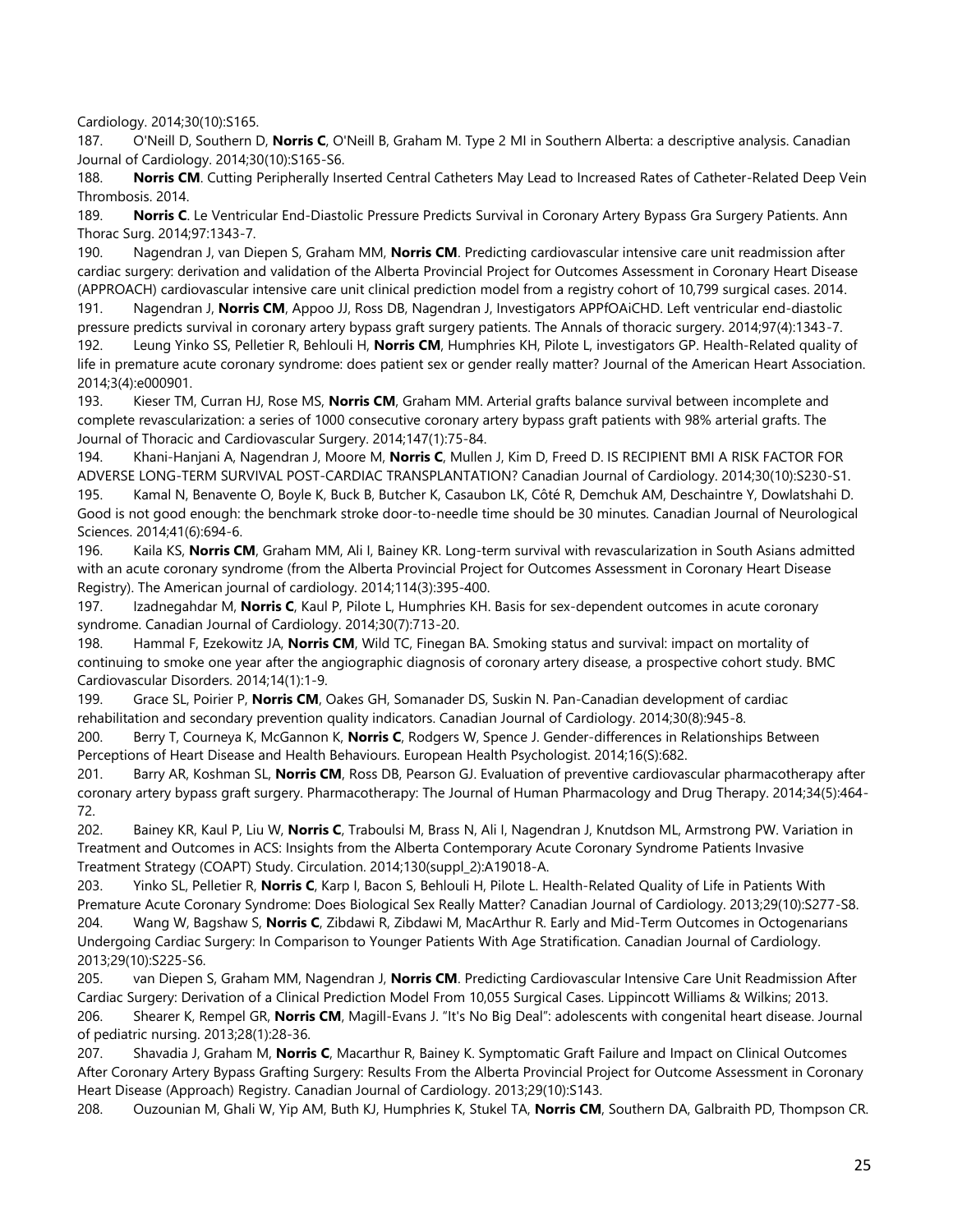Cardiology. 2014;30(10):S165.

187. O'Neill D, Southern D, **Norris C**, O'Neill B, Graham M. Type 2 MI in Southern Alberta: a descriptive analysis. Canadian Journal of Cardiology. 2014;30(10):S165-S6.

188. **Norris CM**. Cutting Peripherally Inserted Central Catheters May Lead to Increased Rates of Catheter-Related Deep Vein Thrombosis. 2014.

189. **Norris C**. Le Ventricular End-Diastolic Pressure Predicts Survival in Coronary Artery Bypass Gra Surgery Patients. Ann Thorac Surg. 2014;97:1343-7.

190. Nagendran J, van Diepen S, Graham MM, **Norris CM**. Predicting cardiovascular intensive care unit readmission after cardiac surgery: derivation and validation of the Alberta Provincial Project for Outcomes Assessment in Coronary Heart Disease (APPROACH) cardiovascular intensive care unit clinical prediction model from a registry cohort of 10,799 surgical cases. 2014.

191. Nagendran J, **Norris CM**, Appoo JJ, Ross DB, Nagendran J, Investigators APPfOAiCHD. Left ventricular end-diastolic pressure predicts survival in coronary artery bypass graft surgery patients. The Annals of thoracic surgery. 2014;97(4):1343-7. 192. Leung Yinko SS, Pelletier R, Behlouli H, **Norris CM**, Humphries KH, Pilote L, investigators GP. Health‐Related quality of life in premature acute coronary syndrome: does patient sex or gender really matter? Journal of the American Heart Association. 2014;3(4):e000901.

193. Kieser TM, Curran HJ, Rose MS, **Norris CM**, Graham MM. Arterial grafts balance survival between incomplete and complete revascularization: a series of 1000 consecutive coronary artery bypass graft patients with 98% arterial grafts. The Journal of Thoracic and Cardiovascular Surgery. 2014;147(1):75-84.

194. Khani-Hanjani A, Nagendran J, Moore M, **Norris C**, Mullen J, Kim D, Freed D. IS RECIPIENT BMI A RISK FACTOR FOR ADVERSE LONG-TERM SURVIVAL POST-CARDIAC TRANSPLANTATION? Canadian Journal of Cardiology. 2014;30(10):S230-S1.

195. Kamal N, Benavente O, Boyle K, Buck B, Butcher K, Casaubon LK, Côté R, Demchuk AM, Deschaintre Y, Dowlatshahi D. Good is not good enough: the benchmark stroke door-to-needle time should be 30 minutes. Canadian Journal of Neurological Sciences. 2014;41(6):694-6.

196. Kaila KS, **Norris CM**, Graham MM, Ali I, Bainey KR. Long-term survival with revascularization in South Asians admitted with an acute coronary syndrome (from the Alberta Provincial Project for Outcomes Assessment in Coronary Heart Disease Registry). The American journal of cardiology. 2014;114(3):395-400.

197. Izadnegahdar M, **Norris C**, Kaul P, Pilote L, Humphries KH. Basis for sex-dependent outcomes in acute coronary syndrome. Canadian Journal of Cardiology. 2014;30(7):713-20.

198. Hammal F, Ezekowitz JA, **Norris CM**, Wild TC, Finegan BA. Smoking status and survival: impact on mortality of continuing to smoke one year after the angiographic diagnosis of coronary artery disease, a prospective cohort study. BMC Cardiovascular Disorders. 2014;14(1):1-9.

199. Grace SL, Poirier P, **Norris CM**, Oakes GH, Somanader DS, Suskin N. Pan-Canadian development of cardiac rehabilitation and secondary prevention quality indicators. Canadian Journal of Cardiology. 2014;30(8):945-8.

200. Berry T, Courneya K, McGannon K, **Norris C**, Rodgers W, Spence J. Gender-differences in Relationships Between Perceptions of Heart Disease and Health Behaviours. European Health Psychologist. 2014;16(S):682.

201. Barry AR, Koshman SL, **Norris CM**, Ross DB, Pearson GJ. Evaluation of preventive cardiovascular pharmacotherapy after coronary artery bypass graft surgery. Pharmacotherapy: The Journal of Human Pharmacology and Drug Therapy. 2014;34(5):464- 72.

202. Bainey KR, Kaul P, Liu W, **Norris C**, Traboulsi M, Brass N, Ali I, Nagendran J, Knutdson ML, Armstrong PW. Variation in Treatment and Outcomes in ACS: Insights from the Alberta Contemporary Acute Coronary Syndrome Patients Invasive Treatment Strategy (COAPT) Study. Circulation. 2014;130(suppl\_2):A19018-A.

203. Yinko SL, Pelletier R, **Norris C**, Karp I, Bacon S, Behlouli H, Pilote L. Health-Related Quality of Life in Patients With Premature Acute Coronary Syndrome: Does Biological Sex Really Matter? Canadian Journal of Cardiology. 2013;29(10):S277-S8. 204. Wang W, Bagshaw S, **Norris C**, Zibdawi R, Zibdawi M, MacArthur R. Early and Mid-Term Outcomes in Octogenarians Undergoing Cardiac Surgery: In Comparison to Younger Patients With Age Stratification. Canadian Journal of Cardiology. 2013;29(10):S225-S6.

205. van Diepen S, Graham MM, Nagendran J, **Norris CM**. Predicting Cardiovascular Intensive Care Unit Readmission After Cardiac Surgery: Derivation of a Clinical Prediction Model From 10,055 Surgical Cases. Lippincott Williams & Wilkins; 2013. 206. Shearer K, Rempel GR, **Norris CM**, Magill-Evans J. "It's No Big Deal": adolescents with congenital heart disease. Journal of pediatric nursing. 2013;28(1):28-36.

207. Shavadia J, Graham M, **Norris C**, Macarthur R, Bainey K. Symptomatic Graft Failure and Impact on Clinical Outcomes After Coronary Artery Bypass Grafting Surgery: Results From the Alberta Provincial Project for Outcome Assessment in Coronary Heart Disease (Approach) Registry. Canadian Journal of Cardiology. 2013;29(10):S143.

208. Ouzounian M, Ghali W, Yip AM, Buth KJ, Humphries K, Stukel TA, **Norris CM**, Southern DA, Galbraith PD, Thompson CR.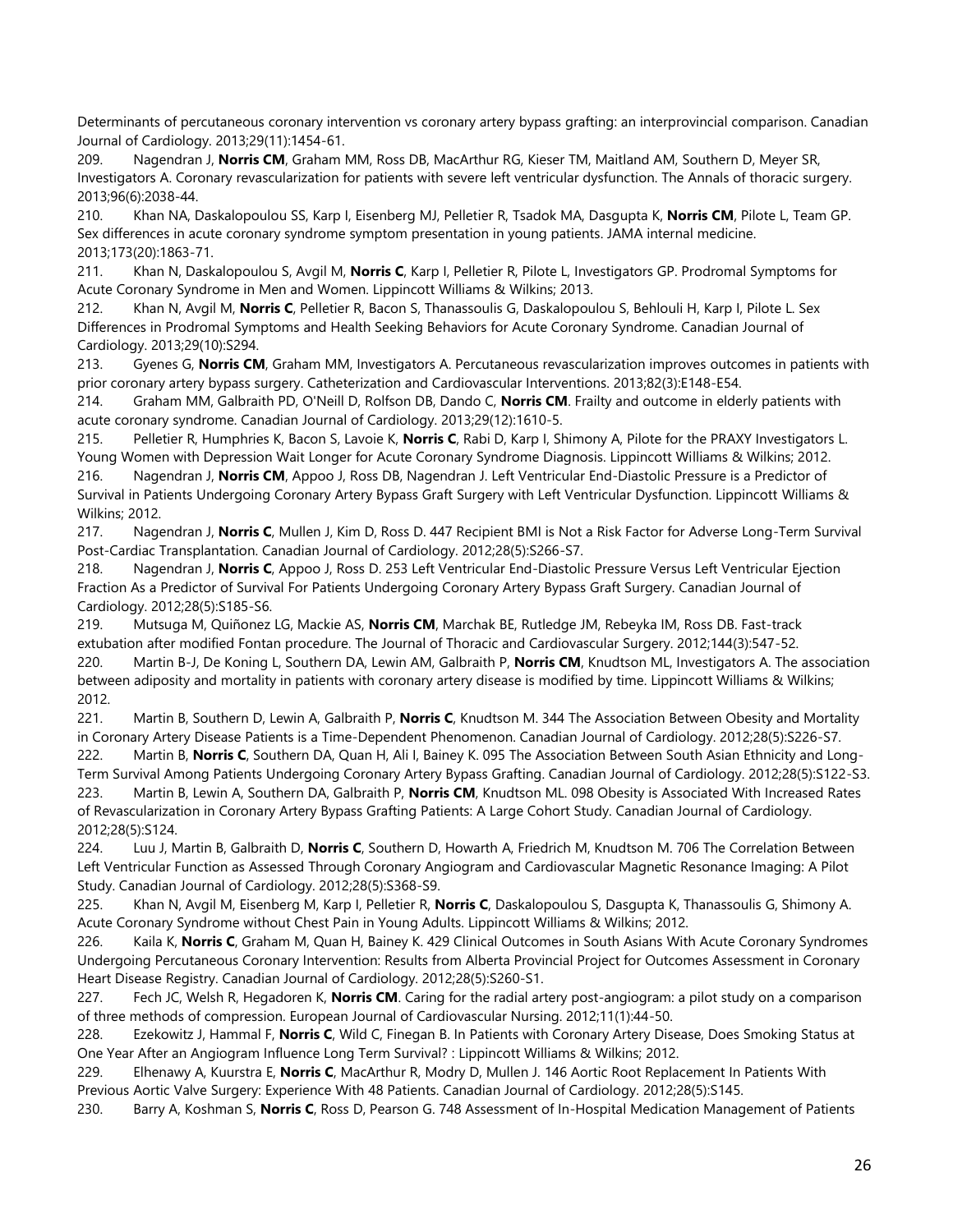Determinants of percutaneous coronary intervention vs coronary artery bypass grafting: an interprovincial comparison. Canadian Journal of Cardiology. 2013;29(11):1454-61.

209. Nagendran J, **Norris CM**, Graham MM, Ross DB, MacArthur RG, Kieser TM, Maitland AM, Southern D, Meyer SR, Investigators A. Coronary revascularization for patients with severe left ventricular dysfunction. The Annals of thoracic surgery. 2013;96(6):2038-44.

210. Khan NA, Daskalopoulou SS, Karp I, Eisenberg MJ, Pelletier R, Tsadok MA, Dasgupta K, **Norris CM**, Pilote L, Team GP. Sex differences in acute coronary syndrome symptom presentation in young patients. JAMA internal medicine. 2013;173(20):1863-71.

211. Khan N, Daskalopoulou S, Avgil M, **Norris C**, Karp I, Pelletier R, Pilote L, Investigators GP. Prodromal Symptoms for Acute Coronary Syndrome in Men and Women. Lippincott Williams & Wilkins; 2013.

212. Khan N, Avgil M, **Norris C**, Pelletier R, Bacon S, Thanassoulis G, Daskalopoulou S, Behlouli H, Karp I, Pilote L. Sex Differences in Prodromal Symptoms and Health Seeking Behaviors for Acute Coronary Syndrome. Canadian Journal of Cardiology. 2013;29(10):S294.

213. Gyenes G, **Norris CM**, Graham MM, Investigators A. Percutaneous revascularization improves outcomes in patients with prior coronary artery bypass surgery. Catheterization and Cardiovascular Interventions. 2013;82(3):E148-E54.

214. Graham MM, Galbraith PD, O'Neill D, Rolfson DB, Dando C, **Norris CM**. Frailty and outcome in elderly patients with acute coronary syndrome. Canadian Journal of Cardiology. 2013;29(12):1610-5.

215. Pelletier R, Humphries K, Bacon S, Lavoie K, **Norris C**, Rabi D, Karp I, Shimony A, Pilote for the PRAXY Investigators L. Young Women with Depression Wait Longer for Acute Coronary Syndrome Diagnosis. Lippincott Williams & Wilkins; 2012.

216. Nagendran J, **Norris CM**, Appoo J, Ross DB, Nagendran J. Left Ventricular End-Diastolic Pressure is a Predictor of Survival in Patients Undergoing Coronary Artery Bypass Graft Surgery with Left Ventricular Dysfunction. Lippincott Williams & Wilkins; 2012.

217. Nagendran J, **Norris C**, Mullen J, Kim D, Ross D. 447 Recipient BMI is Not a Risk Factor for Adverse Long-Term Survival Post-Cardiac Transplantation. Canadian Journal of Cardiology. 2012;28(5):S266-S7.

218. Nagendran J, **Norris C**, Appoo J, Ross D. 253 Left Ventricular End-Diastolic Pressure Versus Left Ventricular Ejection Fraction As a Predictor of Survival For Patients Undergoing Coronary Artery Bypass Graft Surgery. Canadian Journal of Cardiology. 2012;28(5):S185-S6.

219. Mutsuga M, Quiñonez LG, Mackie AS, **Norris CM**, Marchak BE, Rutledge JM, Rebeyka IM, Ross DB. Fast-track extubation after modified Fontan procedure. The Journal of Thoracic and Cardiovascular Surgery. 2012;144(3):547-52.

220. Martin B-J, De Koning L, Southern DA, Lewin AM, Galbraith P, **Norris CM**, Knudtson ML, Investigators A. The association between adiposity and mortality in patients with coronary artery disease is modified by time. Lippincott Williams & Wilkins; 2012.

221. Martin B, Southern D, Lewin A, Galbraith P, **Norris C**, Knudtson M. 344 The Association Between Obesity and Mortality in Coronary Artery Disease Patients is a Time-Dependent Phenomenon. Canadian Journal of Cardiology. 2012;28(5):S226-S7. 222. Martin B, **Norris C**, Southern DA, Quan H, Ali I, Bainey K. 095 The Association Between South Asian Ethnicity and Long-

Term Survival Among Patients Undergoing Coronary Artery Bypass Grafting. Canadian Journal of Cardiology. 2012;28(5):S122-S3. 223. Martin B, Lewin A, Southern DA, Galbraith P, **Norris CM**, Knudtson ML. 098 Obesity is Associated With Increased Rates of Revascularization in Coronary Artery Bypass Grafting Patients: A Large Cohort Study. Canadian Journal of Cardiology. 2012;28(5):S124.

224. Luu J, Martin B, Galbraith D, **Norris C**, Southern D, Howarth A, Friedrich M, Knudtson M. 706 The Correlation Between Left Ventricular Function as Assessed Through Coronary Angiogram and Cardiovascular Magnetic Resonance Imaging: A Pilot Study. Canadian Journal of Cardiology. 2012;28(5):S368-S9.

225. Khan N, Avgil M, Eisenberg M, Karp I, Pelletier R, **Norris C**, Daskalopoulou S, Dasgupta K, Thanassoulis G, Shimony A. Acute Coronary Syndrome without Chest Pain in Young Adults. Lippincott Williams & Wilkins; 2012.

226. Kaila K, **Norris C**, Graham M, Quan H, Bainey K. 429 Clinical Outcomes in South Asians With Acute Coronary Syndromes Undergoing Percutaneous Coronary Intervention: Results from Alberta Provincial Project for Outcomes Assessment in Coronary Heart Disease Registry. Canadian Journal of Cardiology. 2012;28(5):S260-S1.

227. Fech JC, Welsh R, Hegadoren K, **Norris CM**. Caring for the radial artery post-angiogram: a pilot study on a comparison of three methods of compression. European Journal of Cardiovascular Nursing. 2012;11(1):44-50.

228. Ezekowitz J, Hammal F, **Norris C**, Wild C, Finegan B. In Patients with Coronary Artery Disease, Does Smoking Status at One Year After an Angiogram Influence Long Term Survival? : Lippincott Williams & Wilkins; 2012.

229. Elhenawy A, Kuurstra E, **Norris C**, MacArthur R, Modry D, Mullen J. 146 Aortic Root Replacement In Patients With Previous Aortic Valve Surgery: Experience With 48 Patients. Canadian Journal of Cardiology. 2012;28(5):S145.

230. Barry A, Koshman S, **Norris C**, Ross D, Pearson G. 748 Assessment of In-Hospital Medication Management of Patients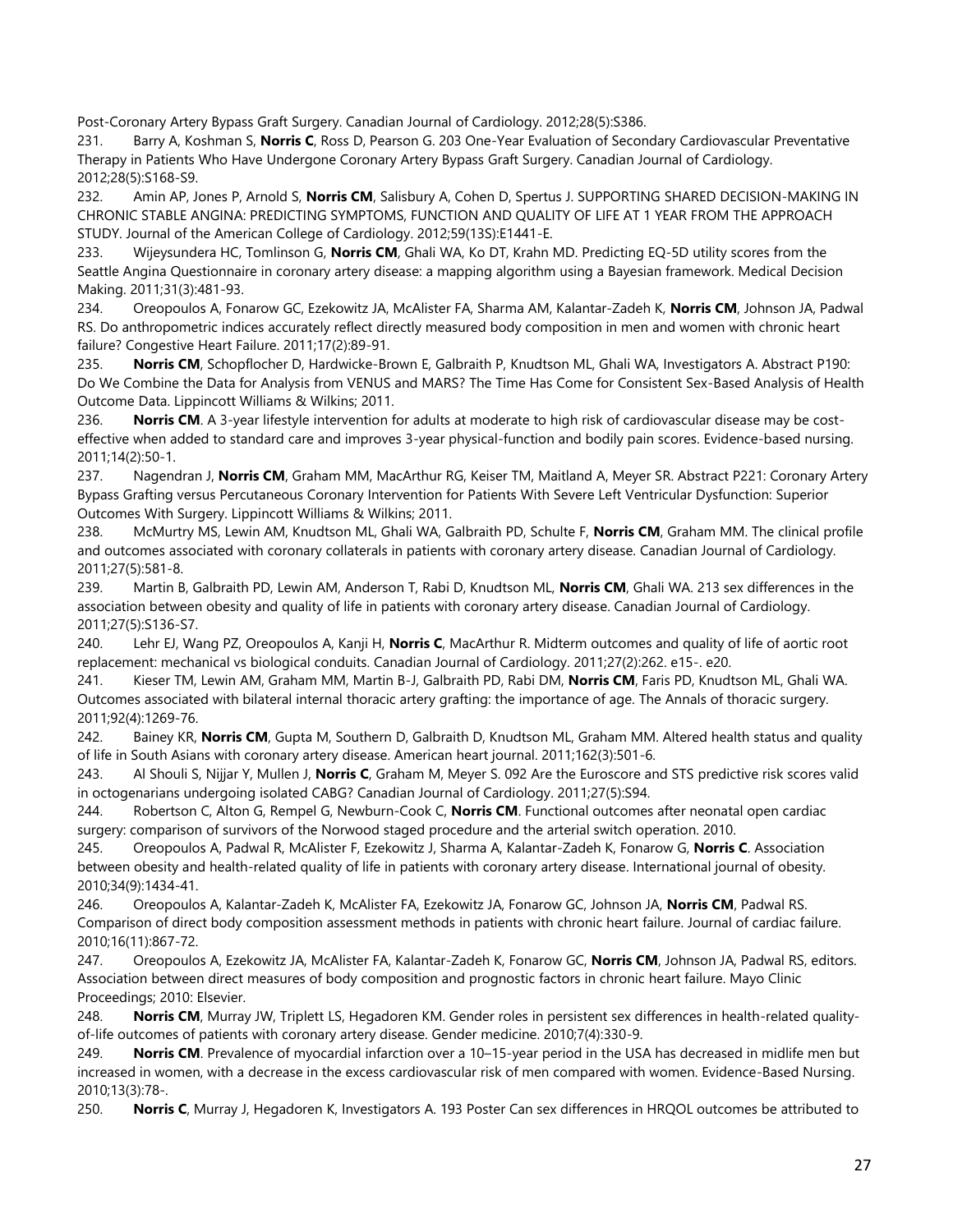Post-Coronary Artery Bypass Graft Surgery. Canadian Journal of Cardiology. 2012;28(5):S386.

231. Barry A, Koshman S, **Norris C**, Ross D, Pearson G. 203 One-Year Evaluation of Secondary Cardiovascular Preventative Therapy in Patients Who Have Undergone Coronary Artery Bypass Graft Surgery. Canadian Journal of Cardiology. 2012;28(5):S168-S9.

232. Amin AP, Jones P, Arnold S, **Norris CM**, Salisbury A, Cohen D, Spertus J. SUPPORTING SHARED DECISION-MAKING IN CHRONIC STABLE ANGINA: PREDICTING SYMPTOMS, FUNCTION AND QUALITY OF LIFE AT 1 YEAR FROM THE APPROACH STUDY. Journal of the American College of Cardiology. 2012;59(13S):E1441-E.

233. Wijeysundera HC, Tomlinson G, **Norris CM**, Ghali WA, Ko DT, Krahn MD. Predicting EQ-5D utility scores from the Seattle Angina Questionnaire in coronary artery disease: a mapping algorithm using a Bayesian framework. Medical Decision Making. 2011;31(3):481-93.

234. Oreopoulos A, Fonarow GC, Ezekowitz JA, McAlister FA, Sharma AM, Kalantar‐Zadeh K, **Norris CM**, Johnson JA, Padwal RS. Do anthropometric indices accurately reflect directly measured body composition in men and women with chronic heart failure? Congestive Heart Failure. 2011;17(2):89-91.

235. **Norris CM**, Schopflocher D, Hardwicke-Brown E, Galbraith P, Knudtson ML, Ghali WA, Investigators A. Abstract P190: Do We Combine the Data for Analysis from VENUS and MARS? The Time Has Come for Consistent Sex-Based Analysis of Health Outcome Data. Lippincott Williams & Wilkins; 2011.

236. **Norris CM**. A 3-year lifestyle intervention for adults at moderate to high risk of cardiovascular disease may be costeffective when added to standard care and improves 3-year physical-function and bodily pain scores. Evidence-based nursing. 2011;14(2):50-1.

237. Nagendran J, **Norris CM**, Graham MM, MacArthur RG, Keiser TM, Maitland A, Meyer SR. Abstract P221: Coronary Artery Bypass Grafting versus Percutaneous Coronary Intervention for Patients With Severe Left Ventricular Dysfunction: Superior Outcomes With Surgery. Lippincott Williams & Wilkins; 2011.

238. McMurtry MS, Lewin AM, Knudtson ML, Ghali WA, Galbraith PD, Schulte F, **Norris CM**, Graham MM. The clinical profile and outcomes associated with coronary collaterals in patients with coronary artery disease. Canadian Journal of Cardiology. 2011;27(5):581-8.

239. Martin B, Galbraith PD, Lewin AM, Anderson T, Rabi D, Knudtson ML, **Norris CM**, Ghali WA. 213 sex differences in the association between obesity and quality of life in patients with coronary artery disease. Canadian Journal of Cardiology. 2011;27(5):S136-S7.

240. Lehr EJ, Wang PZ, Oreopoulos A, Kanji H, **Norris C**, MacArthur R. Midterm outcomes and quality of life of aortic root replacement: mechanical vs biological conduits. Canadian Journal of Cardiology. 2011;27(2):262. e15-. e20.

241. Kieser TM, Lewin AM, Graham MM, Martin B-J, Galbraith PD, Rabi DM, **Norris CM**, Faris PD, Knudtson ML, Ghali WA. Outcomes associated with bilateral internal thoracic artery grafting: the importance of age. The Annals of thoracic surgery. 2011;92(4):1269-76.

242. Bainey KR, **Norris CM**, Gupta M, Southern D, Galbraith D, Knudtson ML, Graham MM. Altered health status and quality of life in South Asians with coronary artery disease. American heart journal. 2011;162(3):501-6.

243. Al Shouli S, Nijjar Y, Mullen J, **Norris C**, Graham M, Meyer S. 092 Are the Euroscore and STS predictive risk scores valid in octogenarians undergoing isolated CABG? Canadian Journal of Cardiology. 2011;27(5):S94.

244. Robertson C, Alton G, Rempel G, Newburn-Cook C, **Norris CM**. Functional outcomes after neonatal open cardiac surgery: comparison of survivors of the Norwood staged procedure and the arterial switch operation. 2010.

245. Oreopoulos A, Padwal R, McAlister F, Ezekowitz J, Sharma A, Kalantar-Zadeh K, Fonarow G, **Norris C**. Association between obesity and health-related quality of life in patients with coronary artery disease. International journal of obesity. 2010;34(9):1434-41.

246. Oreopoulos A, Kalantar-Zadeh K, McAlister FA, Ezekowitz JA, Fonarow GC, Johnson JA, **Norris CM**, Padwal RS. Comparison of direct body composition assessment methods in patients with chronic heart failure. Journal of cardiac failure. 2010;16(11):867-72.

247. Oreopoulos A, Ezekowitz JA, McAlister FA, Kalantar-Zadeh K, Fonarow GC, **Norris CM**, Johnson JA, Padwal RS, editors. Association between direct measures of body composition and prognostic factors in chronic heart failure. Mayo Clinic Proceedings; 2010: Elsevier.

248. **Norris CM**, Murray JW, Triplett LS, Hegadoren KM. Gender roles in persistent sex differences in health-related qualityof-life outcomes of patients with coronary artery disease. Gender medicine. 2010;7(4):330-9.

249. **Norris CM**. Prevalence of myocardial infarction over a 10–15-year period in the USA has decreased in midlife men but increased in women, with a decrease in the excess cardiovascular risk of men compared with women. Evidence-Based Nursing. 2010;13(3):78-.

250. **Norris C**, Murray J, Hegadoren K, Investigators A. 193 Poster Can sex differences in HRQOL outcomes be attributed to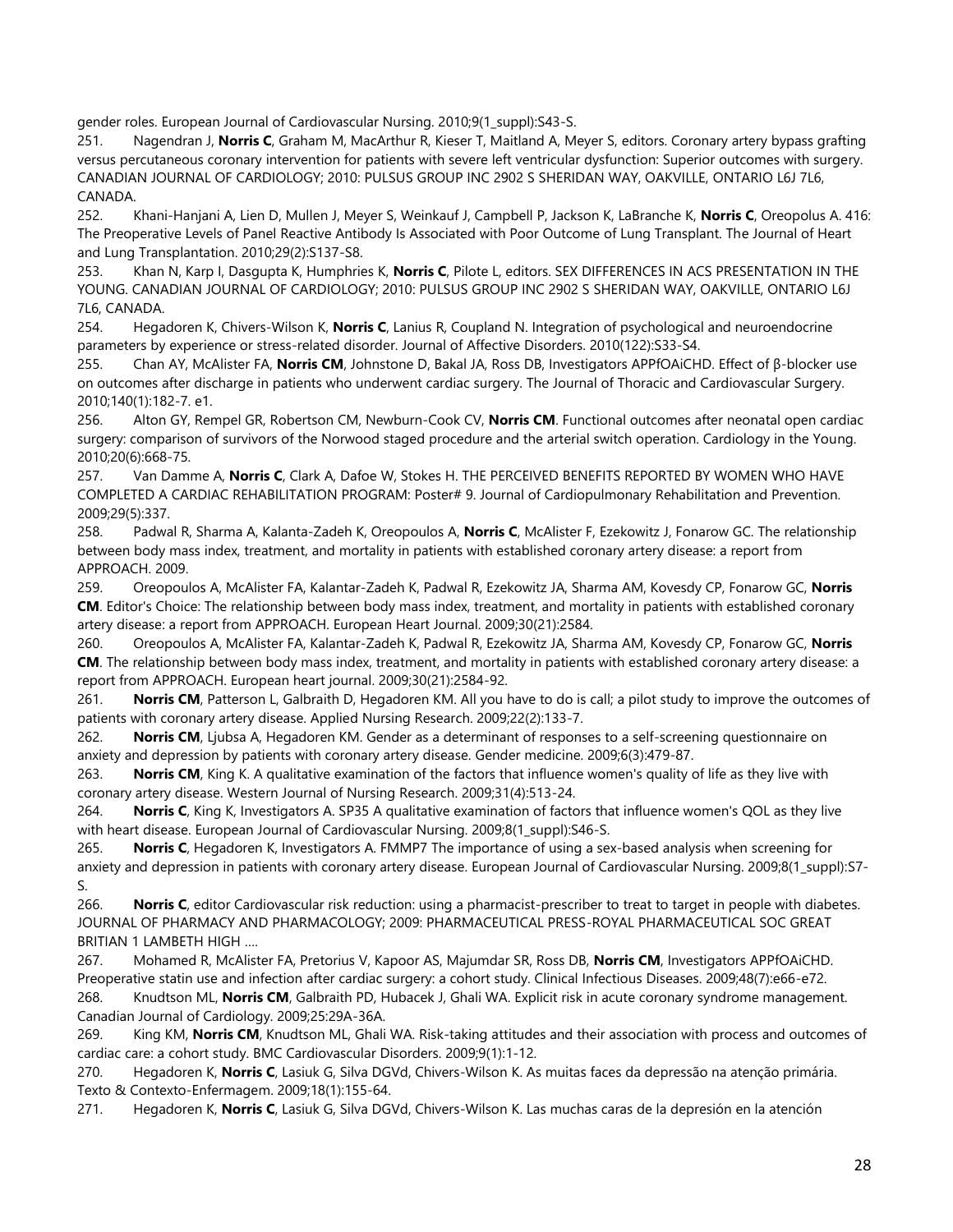gender roles. European Journal of Cardiovascular Nursing. 2010;9(1\_suppl):S43-S.

251. Nagendran J, **Norris C**, Graham M, MacArthur R, Kieser T, Maitland A, Meyer S, editors. Coronary artery bypass grafting versus percutaneous coronary intervention for patients with severe left ventricular dysfunction: Superior outcomes with surgery. CANADIAN JOURNAL OF CARDIOLOGY; 2010: PULSUS GROUP INC 2902 S SHERIDAN WAY, OAKVILLE, ONTARIO L6J 7L6, CANADA.

252. Khani-Hanjani A, Lien D, Mullen J, Meyer S, Weinkauf J, Campbell P, Jackson K, LaBranche K, **Norris C**, Oreopolus A. 416: The Preoperative Levels of Panel Reactive Antibody Is Associated with Poor Outcome of Lung Transplant. The Journal of Heart and Lung Transplantation. 2010;29(2):S137-S8.

253. Khan N, Karp I, Dasgupta K, Humphries K, **Norris C**, Pilote L, editors. SEX DIFFERENCES IN ACS PRESENTATION IN THE YOUNG. CANADIAN JOURNAL OF CARDIOLOGY; 2010: PULSUS GROUP INC 2902 S SHERIDAN WAY, OAKVILLE, ONTARIO L6J 7L6, CANADA.

254. Hegadoren K, Chivers-Wilson K, **Norris C**, Lanius R, Coupland N. Integration of psychological and neuroendocrine parameters by experience or stress-related disorder. Journal of Affective Disorders. 2010(122):S33-S4.

255. Chan AY, McAlister FA, **Norris CM**, Johnstone D, Bakal JA, Ross DB, Investigators APPfOAiCHD. Effect of β-blocker use on outcomes after discharge in patients who underwent cardiac surgery. The Journal of Thoracic and Cardiovascular Surgery. 2010;140(1):182-7. e1.

256. Alton GY, Rempel GR, Robertson CM, Newburn-Cook CV, **Norris CM**. Functional outcomes after neonatal open cardiac surgery: comparison of survivors of the Norwood staged procedure and the arterial switch operation. Cardiology in the Young. 2010;20(6):668-75.

257. Van Damme A, **Norris C**, Clark A, Dafoe W, Stokes H. THE PERCEIVED BENEFITS REPORTED BY WOMEN WHO HAVE COMPLETED A CARDIAC REHABILITATION PROGRAM: Poster# 9. Journal of Cardiopulmonary Rehabilitation and Prevention. 2009;29(5):337.

258. Padwal R, Sharma A, Kalanta-Zadeh K, Oreopoulos A, **Norris C**, McAlister F, Ezekowitz J, Fonarow GC. The relationship between body mass index, treatment, and mortality in patients with established coronary artery disease: a report from APPROACH. 2009.

259. Oreopoulos A, McAlister FA, Kalantar-Zadeh K, Padwal R, Ezekowitz JA, Sharma AM, Kovesdy CP, Fonarow GC, **Norris CM**. Editor's Choice: The relationship between body mass index, treatment, and mortality in patients with established coronary artery disease: a report from APPROACH. European Heart Journal. 2009;30(21):2584.

260. Oreopoulos A, McAlister FA, Kalantar-Zadeh K, Padwal R, Ezekowitz JA, Sharma AM, Kovesdy CP, Fonarow GC, **Norris CM**. The relationship between body mass index, treatment, and mortality in patients with established coronary artery disease: a report from APPROACH. European heart journal. 2009;30(21):2584-92.

261. **Norris CM**, Patterson L, Galbraith D, Hegadoren KM. All you have to do is call; a pilot study to improve the outcomes of patients with coronary artery disease. Applied Nursing Research. 2009;22(2):133-7.

262. **Norris CM**, Ljubsa A, Hegadoren KM. Gender as a determinant of responses to a self-screening questionnaire on anxiety and depression by patients with coronary artery disease. Gender medicine. 2009;6(3):479-87.

263. **Norris CM**, King K. A qualitative examination of the factors that influence women's quality of life as they live with coronary artery disease. Western Journal of Nursing Research. 2009;31(4):513-24.

264. **Norris C**, King K, Investigators A. SP35 A qualitative examination of factors that influence women's QOL as they live with heart disease. European Journal of Cardiovascular Nursing. 2009;8(1\_suppl):S46-S.

265. **Norris C**, Hegadoren K, Investigators A. FMMP7 The importance of using a sex-based analysis when screening for anxiety and depression in patients with coronary artery disease. European Journal of Cardiovascular Nursing. 2009;8(1 suppl):S7-S.

266. **Norris C**, editor Cardiovascular risk reduction: using a pharmacist-prescriber to treat to target in people with diabetes. JOURNAL OF PHARMACY AND PHARMACOLOGY; 2009: PHARMACEUTICAL PRESS-ROYAL PHARMACEUTICAL SOC GREAT BRITIAN 1 LAMBETH HIGH ….

267. Mohamed R, McAlister FA, Pretorius V, Kapoor AS, Majumdar SR, Ross DB, **Norris CM**, Investigators APPfOAiCHD. Preoperative statin use and infection after cardiac surgery: a cohort study. Clinical Infectious Diseases. 2009;48(7):e66-e72. 268. Knudtson ML, **Norris CM**, Galbraith PD, Hubacek J, Ghali WA. Explicit risk in acute coronary syndrome management.

Canadian Journal of Cardiology. 2009;25:29A-36A. 269. King KM, **Norris CM**, Knudtson ML, Ghali WA. Risk-taking attitudes and their association with process and outcomes of cardiac care: a cohort study. BMC Cardiovascular Disorders. 2009;9(1):1-12.

270. Hegadoren K, **Norris C**, Lasiuk G, Silva DGVd, Chivers-Wilson K. As muitas faces da depressão na atenção primária. Texto & Contexto-Enfermagem. 2009;18(1):155-64.

271. Hegadoren K, **Norris C**, Lasiuk G, Silva DGVd, Chivers-Wilson K. Las muchas caras de la depresión en la atención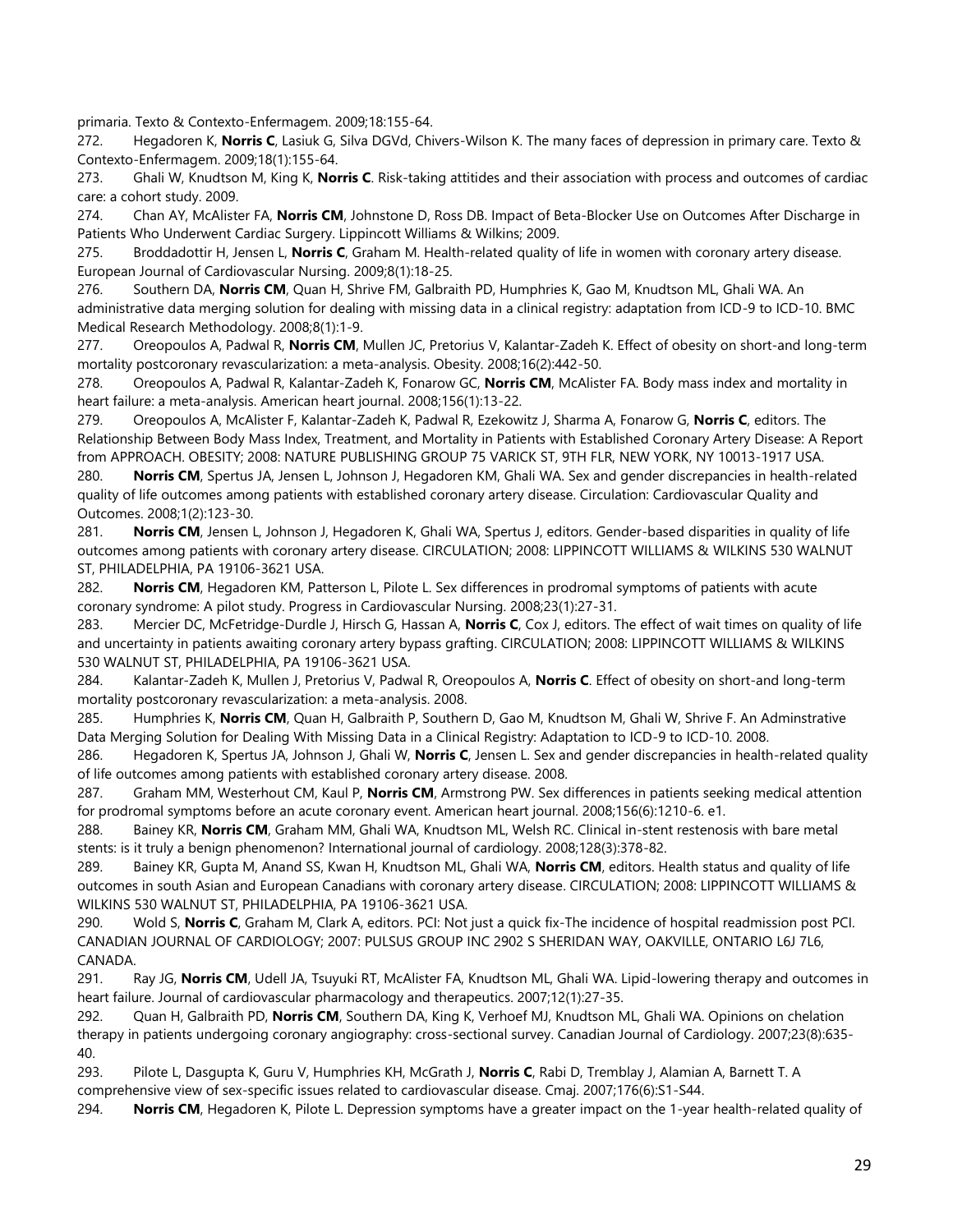primaria. Texto & Contexto-Enfermagem. 2009;18:155-64.

272. Hegadoren K, **Norris C**, Lasiuk G, Silva DGVd, Chivers-Wilson K. The many faces of depression in primary care. Texto & Contexto-Enfermagem. 2009;18(1):155-64.

273. Ghali W, Knudtson M, King K, **Norris C**. Risk-taking attitides and their association with process and outcomes of cardiac care: a cohort study. 2009.

274. Chan AY, McAlister FA, **Norris CM**, Johnstone D, Ross DB. Impact of Beta-Blocker Use on Outcomes After Discharge in Patients Who Underwent Cardiac Surgery. Lippincott Williams & Wilkins; 2009.

275. Broddadottir H, Jensen L, **Norris C**, Graham M. Health-related quality of life in women with coronary artery disease. European Journal of Cardiovascular Nursing. 2009;8(1):18-25.

276. Southern DA, **Norris CM**, Quan H, Shrive FM, Galbraith PD, Humphries K, Gao M, Knudtson ML, Ghali WA. An administrative data merging solution for dealing with missing data in a clinical registry: adaptation from ICD-9 to ICD-10. BMC Medical Research Methodology. 2008;8(1):1-9.

277. Oreopoulos A, Padwal R, **Norris CM**, Mullen JC, Pretorius V, Kalantar-Zadeh K. Effect of obesity on short-and long-term mortality postcoronary revascularization: a meta‐analysis. Obesity. 2008;16(2):442-50.

278. Oreopoulos A, Padwal R, Kalantar-Zadeh K, Fonarow GC, **Norris CM**, McAlister FA. Body mass index and mortality in heart failure: a meta-analysis. American heart journal. 2008;156(1):13-22.

279. Oreopoulos A, McAlister F, Kalantar-Zadeh K, Padwal R, Ezekowitz J, Sharma A, Fonarow G, **Norris C**, editors. The Relationship Between Body Mass Index, Treatment, and Mortality in Patients with Established Coronary Artery Disease: A Report from APPROACH. OBESITY; 2008: NATURE PUBLISHING GROUP 75 VARICK ST, 9TH FLR, NEW YORK, NY 10013-1917 USA.

280. **Norris CM**, Spertus JA, Jensen L, Johnson J, Hegadoren KM, Ghali WA. Sex and gender discrepancies in health-related quality of life outcomes among patients with established coronary artery disease. Circulation: Cardiovascular Quality and Outcomes. 2008;1(2):123-30.

281. **Norris CM**, Jensen L, Johnson J, Hegadoren K, Ghali WA, Spertus J, editors. Gender-based disparities in quality of life outcomes among patients with coronary artery disease. CIRCULATION; 2008: LIPPINCOTT WILLIAMS & WILKINS 530 WALNUT ST, PHILADELPHIA, PA 19106-3621 USA.

282. **Norris CM**, Hegadoren KM, Patterson L, Pilote L. Sex differences in prodromal symptoms of patients with acute coronary syndrome: A pilot study. Progress in Cardiovascular Nursing. 2008;23(1):27-31.

283. Mercier DC, McFetridge-Durdle J, Hirsch G, Hassan A, **Norris C**, Cox J, editors. The effect of wait times on quality of life and uncertainty in patients awaiting coronary artery bypass grafting. CIRCULATION; 2008: LIPPINCOTT WILLIAMS & WILKINS 530 WALNUT ST, PHILADELPHIA, PA 19106-3621 USA.

284. Kalantar-Zadeh K, Mullen J, Pretorius V, Padwal R, Oreopoulos A, **Norris C**. Effect of obesity on short-and long-term mortality postcoronary revascularization: a meta-analysis. 2008.

285. Humphries K, **Norris CM**, Quan H, Galbraith P, Southern D, Gao M, Knudtson M, Ghali W, Shrive F. An Adminstrative Data Merging Solution for Dealing With Missing Data in a Clinical Registry: Adaptation to ICD-9 to ICD-10. 2008.

286. Hegadoren K, Spertus JA, Johnson J, Ghali W, **Norris C**, Jensen L. Sex and gender discrepancies in health-related quality of life outcomes among patients with established coronary artery disease. 2008.

287. Graham MM, Westerhout CM, Kaul P, **Norris CM**, Armstrong PW. Sex differences in patients seeking medical attention for prodromal symptoms before an acute coronary event. American heart journal. 2008;156(6):1210-6. e1.

288. Bainey KR, **Norris CM**, Graham MM, Ghali WA, Knudtson ML, Welsh RC. Clinical in-stent restenosis with bare metal stents: is it truly a benign phenomenon? International journal of cardiology. 2008;128(3):378-82.

289. Bainey KR, Gupta M, Anand SS, Kwan H, Knudtson ML, Ghali WA, **Norris CM**, editors. Health status and quality of life outcomes in south Asian and European Canadians with coronary artery disease. CIRCULATION; 2008: LIPPINCOTT WILLIAMS & WILKINS 530 WALNUT ST, PHILADELPHIA, PA 19106-3621 USA.

290. Wold S, **Norris C**, Graham M, Clark A, editors. PCI: Not just a quick fix-The incidence of hospital readmission post PCI. CANADIAN JOURNAL OF CARDIOLOGY; 2007: PULSUS GROUP INC 2902 S SHERIDAN WAY, OAKVILLE, ONTARIO L6J 7L6, CANADA.

291. Ray JG, **Norris CM**, Udell JA, Tsuyuki RT, McAlister FA, Knudtson ML, Ghali WA. Lipid-lowering therapy and outcomes in heart failure. Journal of cardiovascular pharmacology and therapeutics. 2007;12(1):27-35.

292. Quan H, Galbraith PD, **Norris CM**, Southern DA, King K, Verhoef MJ, Knudtson ML, Ghali WA. Opinions on chelation therapy in patients undergoing coronary angiography: cross-sectional survey. Canadian Journal of Cardiology. 2007;23(8):635- 40.

293. Pilote L, Dasgupta K, Guru V, Humphries KH, McGrath J, **Norris C**, Rabi D, Tremblay J, Alamian A, Barnett T. A comprehensive view of sex-specific issues related to cardiovascular disease. Cmaj. 2007;176(6):S1-S44.

294. **Norris CM**, Hegadoren K, Pilote L. Depression symptoms have a greater impact on the 1-year health-related quality of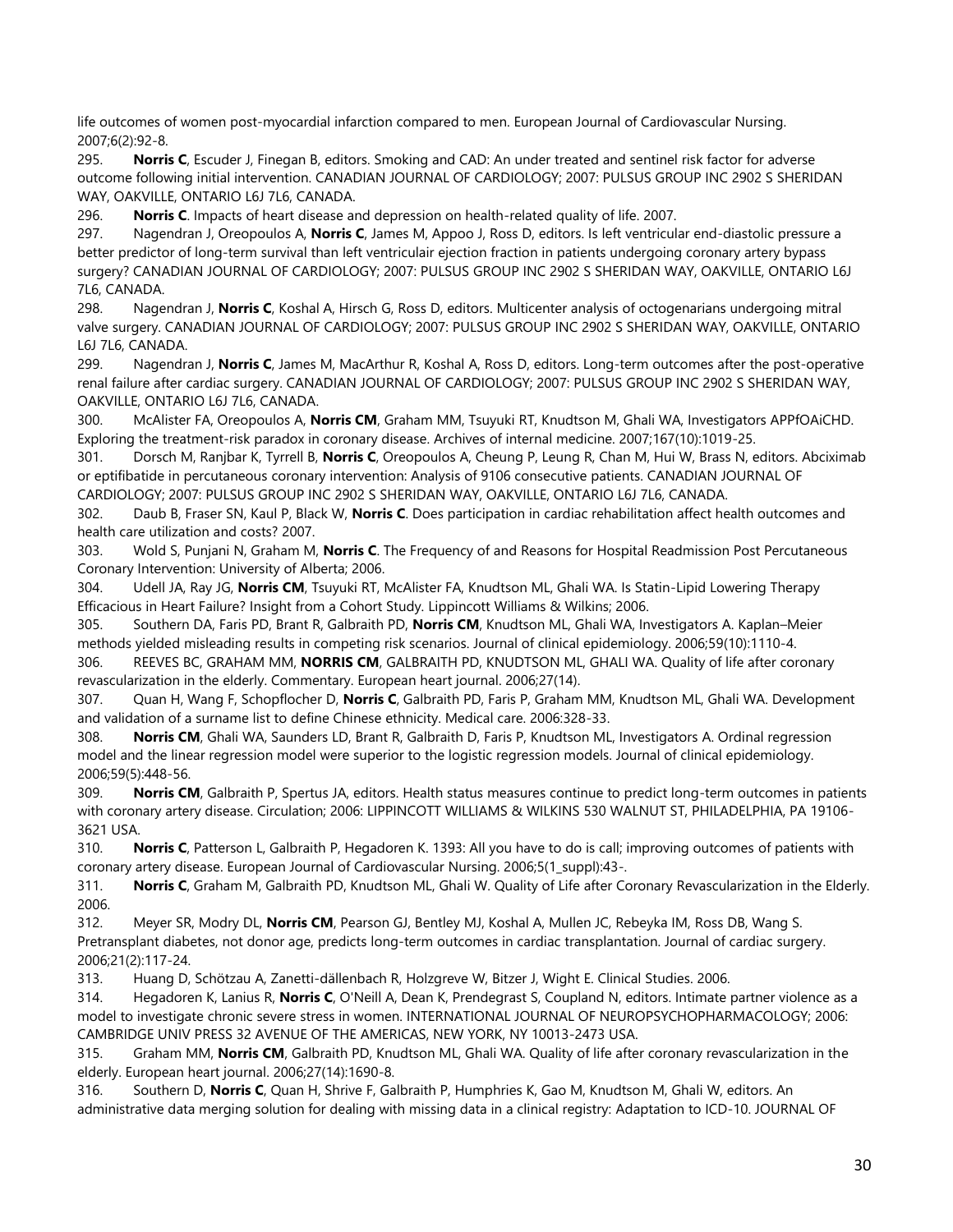life outcomes of women post-myocardial infarction compared to men. European Journal of Cardiovascular Nursing. 2007;6(2):92-8.

295. **Norris C**, Escuder J, Finegan B, editors. Smoking and CAD: An under treated and sentinel risk factor for adverse outcome following initial intervention. CANADIAN JOURNAL OF CARDIOLOGY; 2007: PULSUS GROUP INC 2902 S SHERIDAN WAY, OAKVILLE, ONTARIO L6J 7L6, CANADA.

296. **Norris C**. Impacts of heart disease and depression on health-related quality of life. 2007.

297. Nagendran J, Oreopoulos A, **Norris C**, James M, Appoo J, Ross D, editors. Is left ventricular end-diastolic pressure a better predictor of long-term survival than left ventriculair ejection fraction in patients undergoing coronary artery bypass surgery? CANADIAN JOURNAL OF CARDIOLOGY; 2007: PULSUS GROUP INC 2902 S SHERIDAN WAY, OAKVILLE, ONTARIO L6J 7L6, CANADA.

298. Nagendran J, **Norris C**, Koshal A, Hirsch G, Ross D, editors. Multicenter analysis of octogenarians undergoing mitral valve surgery. CANADIAN JOURNAL OF CARDIOLOGY; 2007: PULSUS GROUP INC 2902 S SHERIDAN WAY, OAKVILLE, ONTARIO L6J 7L6, CANADA.

299. Nagendran J, **Norris C**, James M, MacArthur R, Koshal A, Ross D, editors. Long-term outcomes after the post-operative renal failure after cardiac surgery. CANADIAN JOURNAL OF CARDIOLOGY; 2007: PULSUS GROUP INC 2902 S SHERIDAN WAY, OAKVILLE, ONTARIO L6J 7L6, CANADA.

300. McAlister FA, Oreopoulos A, **Norris CM**, Graham MM, Tsuyuki RT, Knudtson M, Ghali WA, Investigators APPfOAiCHD. Exploring the treatment-risk paradox in coronary disease. Archives of internal medicine. 2007;167(10):1019-25.

301. Dorsch M, Ranjbar K, Tyrrell B, **Norris C**, Oreopoulos A, Cheung P, Leung R, Chan M, Hui W, Brass N, editors. Abciximab or eptifibatide in percutaneous coronary intervention: Analysis of 9106 consecutive patients. CANADIAN JOURNAL OF CARDIOLOGY; 2007: PULSUS GROUP INC 2902 S SHERIDAN WAY, OAKVILLE, ONTARIO L6J 7L6, CANADA.

302. Daub B, Fraser SN, Kaul P, Black W, **Norris C**. Does participation in cardiac rehabilitation affect health outcomes and health care utilization and costs? 2007.

303. Wold S, Punjani N, Graham M, **Norris C**. The Frequency of and Reasons for Hospital Readmission Post Percutaneous Coronary Intervention: University of Alberta; 2006.

304. Udell JA, Ray JG, **Norris CM**, Tsuyuki RT, McAlister FA, Knudtson ML, Ghali WA. Is Statin-Lipid Lowering Therapy Efficacious in Heart Failure? Insight from a Cohort Study. Lippincott Williams & Wilkins; 2006.

305. Southern DA, Faris PD, Brant R, Galbraith PD, **Norris CM**, Knudtson ML, Ghali WA, Investigators A. Kaplan–Meier methods yielded misleading results in competing risk scenarios. Journal of clinical epidemiology. 2006;59(10):1110-4. 306. REEVES BC, GRAHAM MM, **NORRIS CM**, GALBRAITH PD, KNUDTSON ML, GHALI WA. Quality of life after coronary revascularization in the elderly. Commentary. European heart journal. 2006;27(14).

307. Quan H, Wang F, Schopflocher D, **Norris C**, Galbraith PD, Faris P, Graham MM, Knudtson ML, Ghali WA. Development and validation of a surname list to define Chinese ethnicity. Medical care. 2006:328-33.

308. **Norris CM**, Ghali WA, Saunders LD, Brant R, Galbraith D, Faris P, Knudtson ML, Investigators A. Ordinal regression model and the linear regression model were superior to the logistic regression models. Journal of clinical epidemiology. 2006;59(5):448-56.

309. **Norris CM**, Galbraith P, Spertus JA, editors. Health status measures continue to predict long-term outcomes in patients with coronary artery disease. Circulation; 2006: LIPPINCOTT WILLIAMS & WILKINS 530 WALNUT ST, PHILADELPHIA, PA 19106- 3621 USA.

310. **Norris C**, Patterson L, Galbraith P, Hegadoren K. 1393: All you have to do is call; improving outcomes of patients with coronary artery disease. European Journal of Cardiovascular Nursing. 2006;5(1\_suppl):43-.

311. **Norris C**, Graham M, Galbraith PD, Knudtson ML, Ghali W. Quality of Life after Coronary Revascularization in the Elderly. 2006.

312. Meyer SR, Modry DL, **Norris CM**, Pearson GJ, Bentley MJ, Koshal A, Mullen JC, Rebeyka IM, Ross DB, Wang S. Pretransplant diabetes, not donor age, predicts long-term outcomes in cardiac transplantation. Journal of cardiac surgery. 2006;21(2):117-24.

313. Huang D, Schötzau A, Zanetti-dällenbach R, Holzgreve W, Bitzer J, Wight E. Clinical Studies. 2006.

314. Hegadoren K, Lanius R, **Norris C**, O'Neill A, Dean K, Prendegrast S, Coupland N, editors. Intimate partner violence as a model to investigate chronic severe stress in women. INTERNATIONAL JOURNAL OF NEUROPSYCHOPHARMACOLOGY; 2006: CAMBRIDGE UNIV PRESS 32 AVENUE OF THE AMERICAS, NEW YORK, NY 10013-2473 USA.

315. Graham MM, **Norris CM**, Galbraith PD, Knudtson ML, Ghali WA. Quality of life after coronary revascularization in the elderly. European heart journal. 2006;27(14):1690-8.

316. Southern D, **Norris C**, Quan H, Shrive F, Galbraith P, Humphries K, Gao M, Knudtson M, Ghali W, editors. An administrative data merging solution for dealing with missing data in a clinical registry: Adaptation to ICD-10. JOURNAL OF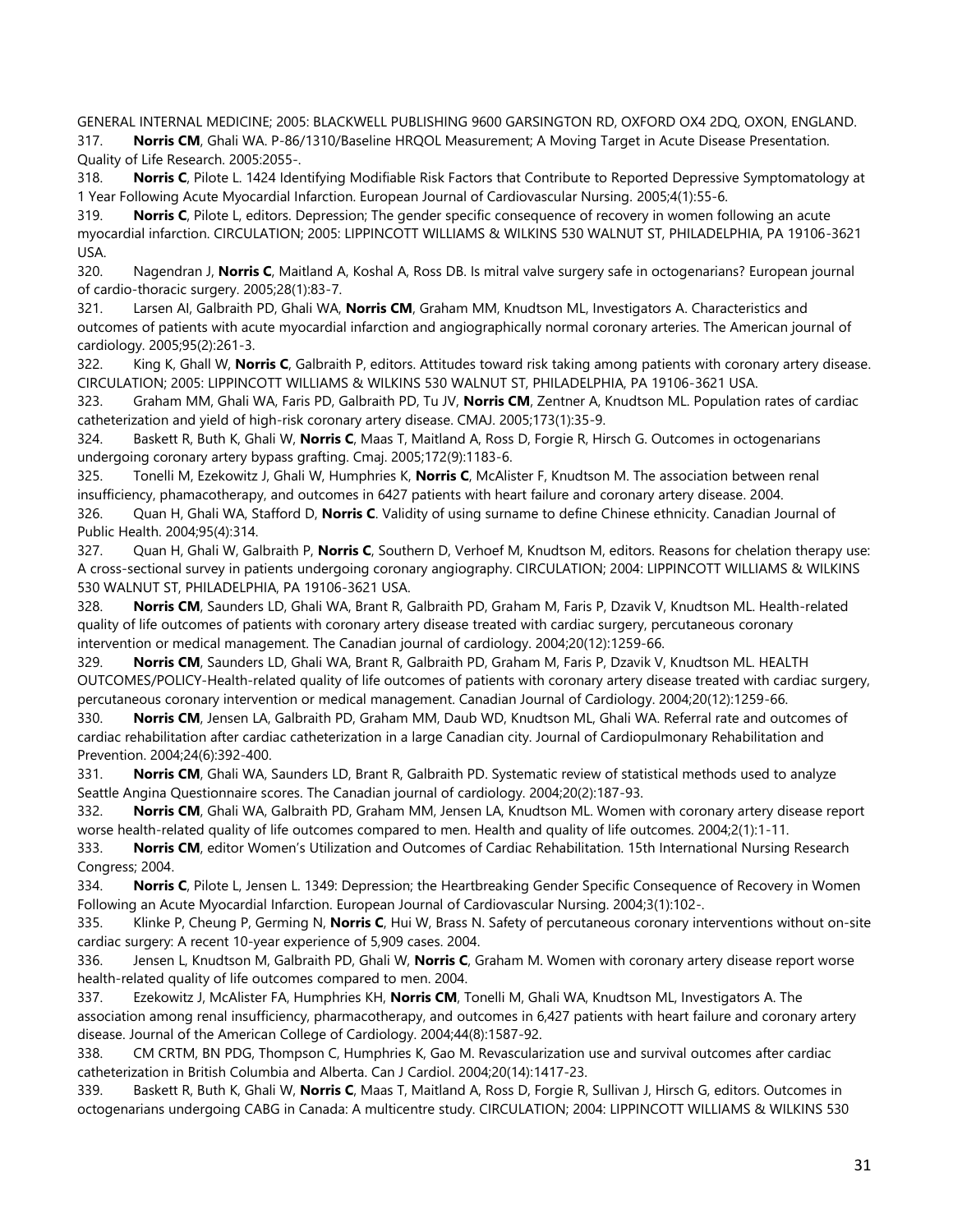GENERAL INTERNAL MEDICINE; 2005: BLACKWELL PUBLISHING 9600 GARSINGTON RD, OXFORD OX4 2DQ, OXON, ENGLAND. 317. **Norris CM**, Ghali WA. P-86/1310/Baseline HRQOL Measurement; A Moving Target in Acute Disease Presentation. Quality of Life Research. 2005:2055-.

318. **Norris C**, Pilote L. 1424 Identifying Modifiable Risk Factors that Contribute to Reported Depressive Symptomatology at 1 Year Following Acute Myocardial Infarction. European Journal of Cardiovascular Nursing. 2005;4(1):55-6.

319. **Norris C**, Pilote L, editors. Depression; The gender specific consequence of recovery in women following an acute myocardial infarction. CIRCULATION; 2005: LIPPINCOTT WILLIAMS & WILKINS 530 WALNUT ST, PHILADELPHIA, PA 19106-3621 USA.

320. Nagendran J, **Norris C**, Maitland A, Koshal A, Ross DB. Is mitral valve surgery safe in octogenarians? European journal of cardio-thoracic surgery. 2005;28(1):83-7.

321. Larsen AI, Galbraith PD, Ghali WA, **Norris CM**, Graham MM, Knudtson ML, Investigators A. Characteristics and outcomes of patients with acute myocardial infarction and angiographically normal coronary arteries. The American journal of cardiology. 2005;95(2):261-3.

322. King K, Ghall W, **Norris C**, Galbraith P, editors. Attitudes toward risk taking among patients with coronary artery disease. CIRCULATION; 2005: LIPPINCOTT WILLIAMS & WILKINS 530 WALNUT ST, PHILADELPHIA, PA 19106-3621 USA.

323. Graham MM, Ghali WA, Faris PD, Galbraith PD, Tu JV, **Norris CM**, Zentner A, Knudtson ML. Population rates of cardiac catheterization and yield of high-risk coronary artery disease. CMAJ. 2005;173(1):35-9.

324. Baskett R, Buth K, Ghali W, **Norris C**, Maas T, Maitland A, Ross D, Forgie R, Hirsch G. Outcomes in octogenarians undergoing coronary artery bypass grafting. Cmaj. 2005;172(9):1183-6.

325. Tonelli M, Ezekowitz J, Ghali W, Humphries K, **Norris C**, McAlister F, Knudtson M. The association between renal insufficiency, phamacotherapy, and outcomes in 6427 patients with heart failure and coronary artery disease. 2004.

326. Quan H, Ghali WA, Stafford D, **Norris C**. Validity of using surname to define Chinese ethnicity. Canadian Journal of Public Health. 2004;95(4):314.

327. Quan H, Ghali W, Galbraith P, **Norris C**, Southern D, Verhoef M, Knudtson M, editors. Reasons for chelation therapy use: A cross-sectional survey in patients undergoing coronary angiography. CIRCULATION; 2004: LIPPINCOTT WILLIAMS & WILKINS 530 WALNUT ST, PHILADELPHIA, PA 19106-3621 USA.

328. **Norris CM**, Saunders LD, Ghali WA, Brant R, Galbraith PD, Graham M, Faris P, Dzavik V, Knudtson ML. Health-related quality of life outcomes of patients with coronary artery disease treated with cardiac surgery, percutaneous coronary intervention or medical management. The Canadian journal of cardiology. 2004;20(12):1259-66.

329. **Norris CM**, Saunders LD, Ghali WA, Brant R, Galbraith PD, Graham M, Faris P, Dzavik V, Knudtson ML. HEALTH OUTCOMES/POLICY-Health-related quality of life outcomes of patients with coronary artery disease treated with cardiac surgery, percutaneous coronary intervention or medical management. Canadian Journal of Cardiology. 2004;20(12):1259-66.

330. **Norris CM**, Jensen LA, Galbraith PD, Graham MM, Daub WD, Knudtson ML, Ghali WA. Referral rate and outcomes of cardiac rehabilitation after cardiac catheterization in a large Canadian city. Journal of Cardiopulmonary Rehabilitation and Prevention. 2004;24(6):392-400.

331. **Norris CM**, Ghali WA, Saunders LD, Brant R, Galbraith PD. Systematic review of statistical methods used to analyze Seattle Angina Questionnaire scores. The Canadian journal of cardiology. 2004;20(2):187-93.

332. **Norris CM**, Ghali WA, Galbraith PD, Graham MM, Jensen LA, Knudtson ML. Women with coronary artery disease report worse health-related quality of life outcomes compared to men. Health and quality of life outcomes. 2004;2(1):1-11.

333. **Norris CM**, editor Women's Utilization and Outcomes of Cardiac Rehabilitation. 15th International Nursing Research Congress; 2004.

334. **Norris C**, Pilote L, Jensen L. 1349: Depression; the Heartbreaking Gender Specific Consequence of Recovery in Women Following an Acute Myocardial Infarction. European Journal of Cardiovascular Nursing. 2004;3(1):102-.

335. Klinke P, Cheung P, Germing N, **Norris C**, Hui W, Brass N. Safety of percutaneous coronary interventions without on-site cardiac surgery: A recent 10-year experience of 5,909 cases. 2004.

336. Jensen L, Knudtson M, Galbraith PD, Ghali W, **Norris C**, Graham M. Women with coronary artery disease report worse health-related quality of life outcomes compared to men. 2004.

337. Ezekowitz J, McAlister FA, Humphries KH, **Norris CM**, Tonelli M, Ghali WA, Knudtson ML, Investigators A. The association among renal insufficiency, pharmacotherapy, and outcomes in 6,427 patients with heart failure and coronary artery disease. Journal of the American College of Cardiology. 2004;44(8):1587-92.

338. CM CRTM, BN PDG, Thompson C, Humphries K, Gao M. Revascularization use and survival outcomes after cardiac catheterization in British Columbia and Alberta. Can J Cardiol. 2004;20(14):1417-23.

339. Baskett R, Buth K, Ghali W, **Norris C**, Maas T, Maitland A, Ross D, Forgie R, Sullivan J, Hirsch G, editors. Outcomes in octogenarians undergoing CABG in Canada: A multicentre study. CIRCULATION; 2004: LIPPINCOTT WILLIAMS & WILKINS 530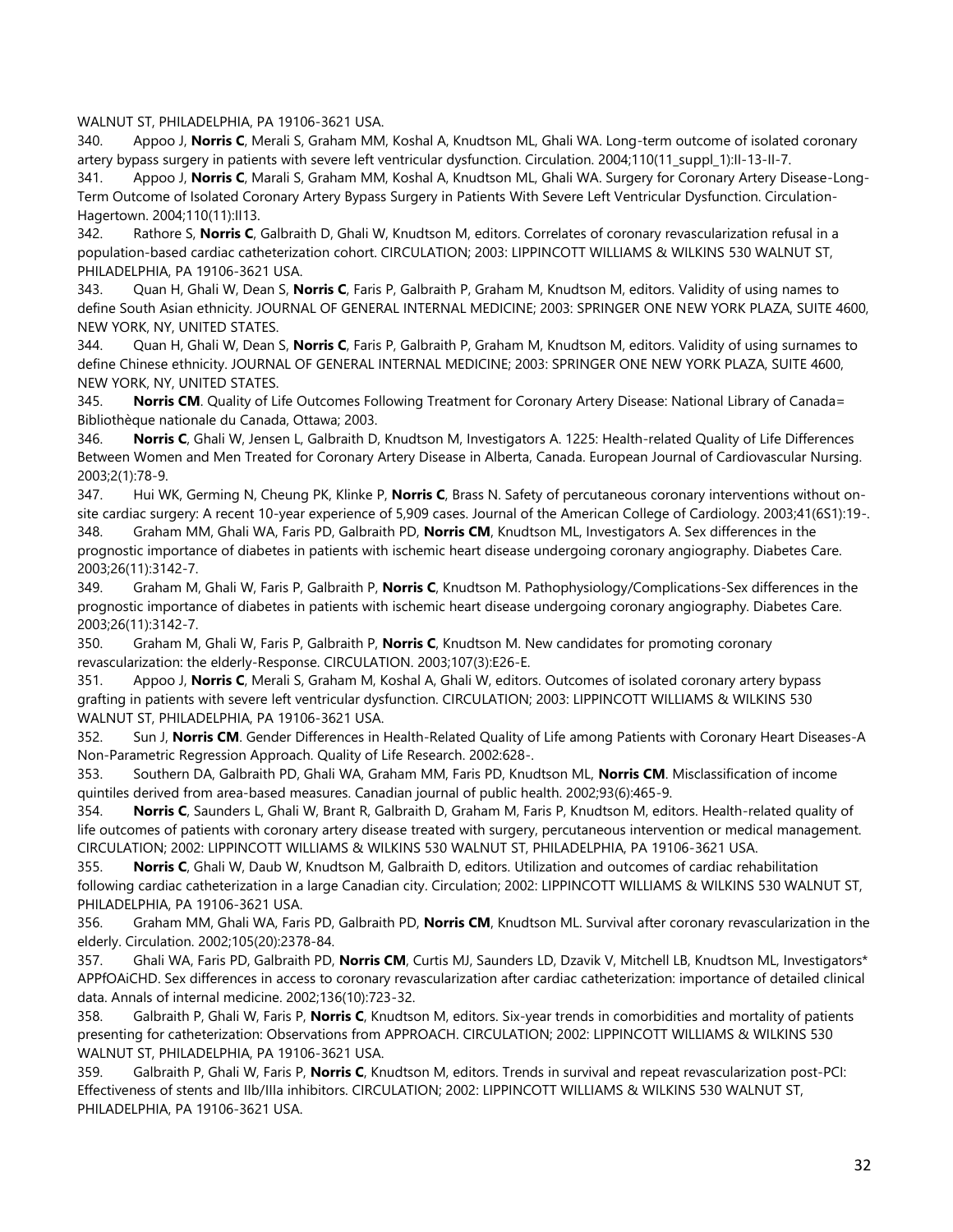#### WALNUT ST, PHILADELPHIA, PA 19106-3621 USA.

340. Appoo J, **Norris C**, Merali S, Graham MM, Koshal A, Knudtson ML, Ghali WA. Long-term outcome of isolated coronary artery bypass surgery in patients with severe left ventricular dysfunction. Circulation. 2004;110(11 suppl 1):II-13-II-7.

341. Appoo J, **Norris C**, Marali S, Graham MM, Koshal A, Knudtson ML, Ghali WA. Surgery for Coronary Artery Disease-Long-Term Outcome of Isolated Coronary Artery Bypass Surgery in Patients With Severe Left Ventricular Dysfunction. Circulation-Hagertown. 2004;110(11):II13.

342. Rathore S, **Norris C**, Galbraith D, Ghali W, Knudtson M, editors. Correlates of coronary revascularization refusal in a population-based cardiac catheterization cohort. CIRCULATION; 2003: LIPPINCOTT WILLIAMS & WILKINS 530 WALNUT ST, PHILADELPHIA, PA 19106-3621 USA.

343. Quan H, Ghali W, Dean S, **Norris C**, Faris P, Galbraith P, Graham M, Knudtson M, editors. Validity of using names to define South Asian ethnicity. JOURNAL OF GENERAL INTERNAL MEDICINE; 2003: SPRINGER ONE NEW YORK PLAZA, SUITE 4600, NEW YORK, NY, UNITED STATES.

344. Quan H, Ghali W, Dean S, **Norris C**, Faris P, Galbraith P, Graham M, Knudtson M, editors. Validity of using surnames to define Chinese ethnicity. JOURNAL OF GENERAL INTERNAL MEDICINE; 2003: SPRINGER ONE NEW YORK PLAZA, SUITE 4600, NEW YORK, NY, UNITED STATES.

345. **Norris CM**. Quality of Life Outcomes Following Treatment for Coronary Artery Disease: National Library of Canada= Bibliothèque nationale du Canada, Ottawa; 2003.

346. **Norris C**, Ghali W, Jensen L, Galbraith D, Knudtson M, Investigators A. 1225: Health-related Quality of Life Differences Between Women and Men Treated for Coronary Artery Disease in Alberta, Canada. European Journal of Cardiovascular Nursing. 2003;2(1):78-9.

347. Hui WK, Germing N, Cheung PK, Klinke P, **Norris C**, Brass N. Safety of percutaneous coronary interventions without onsite cardiac surgery: A recent 10-year experience of 5,909 cases. Journal of the American College of Cardiology. 2003;41(6S1):19-.

348. Graham MM, Ghali WA, Faris PD, Galbraith PD, **Norris CM**, Knudtson ML, Investigators A. Sex differences in the prognostic importance of diabetes in patients with ischemic heart disease undergoing coronary angiography. Diabetes Care. 2003;26(11):3142-7.

349. Graham M, Ghali W, Faris P, Galbraith P, **Norris C**, Knudtson M. Pathophysiology/Complications-Sex differences in the prognostic importance of diabetes in patients with ischemic heart disease undergoing coronary angiography. Diabetes Care. 2003;26(11):3142-7.

350. Graham M, Ghali W, Faris P, Galbraith P, **Norris C**, Knudtson M. New candidates for promoting coronary revascularization: the elderly-Response. CIRCULATION. 2003;107(3):E26-E.

351. Appoo J, **Norris C**, Merali S, Graham M, Koshal A, Ghali W, editors. Outcomes of isolated coronary artery bypass grafting in patients with severe left ventricular dysfunction. CIRCULATION; 2003: LIPPINCOTT WILLIAMS & WILKINS 530 WALNUT ST, PHILADELPHIA, PA 19106-3621 USA.

352. Sun J, **Norris CM**. Gender Differences in Health-Related Quality of Life among Patients with Coronary Heart Diseases-A Non-Parametric Regression Approach. Quality of Life Research. 2002:628-.

353. Southern DA, Galbraith PD, Ghali WA, Graham MM, Faris PD, Knudtson ML, **Norris CM**. Misclassification of income quintiles derived from area-based measures. Canadian journal of public health. 2002;93(6):465-9.

354. **Norris C**, Saunders L, Ghali W, Brant R, Galbraith D, Graham M, Faris P, Knudtson M, editors. Health-related quality of life outcomes of patients with coronary artery disease treated with surgery, percutaneous intervention or medical management. CIRCULATION; 2002: LIPPINCOTT WILLIAMS & WILKINS 530 WALNUT ST, PHILADELPHIA, PA 19106-3621 USA.

355. **Norris C**, Ghali W, Daub W, Knudtson M, Galbraith D, editors. Utilization and outcomes of cardiac rehabilitation following cardiac catheterization in a large Canadian city. Circulation; 2002: LIPPINCOTT WILLIAMS & WILKINS 530 WALNUT ST, PHILADELPHIA, PA 19106-3621 USA.

356. Graham MM, Ghali WA, Faris PD, Galbraith PD, **Norris CM**, Knudtson ML. Survival after coronary revascularization in the elderly. Circulation. 2002;105(20):2378-84.

357. Ghali WA, Faris PD, Galbraith PD, **Norris CM**, Curtis MJ, Saunders LD, Dzavik V, Mitchell LB, Knudtson ML, Investigators\* APPfOAiCHD. Sex differences in access to coronary revascularization after cardiac catheterization: importance of detailed clinical data. Annals of internal medicine. 2002;136(10):723-32.

358. Galbraith P, Ghali W, Faris P, **Norris C**, Knudtson M, editors. Six-year trends in comorbidities and mortality of patients presenting for catheterization: Observations from APPROACH. CIRCULATION; 2002: LIPPINCOTT WILLIAMS & WILKINS 530 WALNUT ST, PHILADELPHIA, PA 19106-3621 USA.

359. Galbraith P, Ghali W, Faris P, **Norris C**, Knudtson M, editors. Trends in survival and repeat revascularization post-PCI: Effectiveness of stents and IIb/IIIa inhibitors. CIRCULATION; 2002: LIPPINCOTT WILLIAMS & WILKINS 530 WALNUT ST, PHILADELPHIA, PA 19106-3621 USA.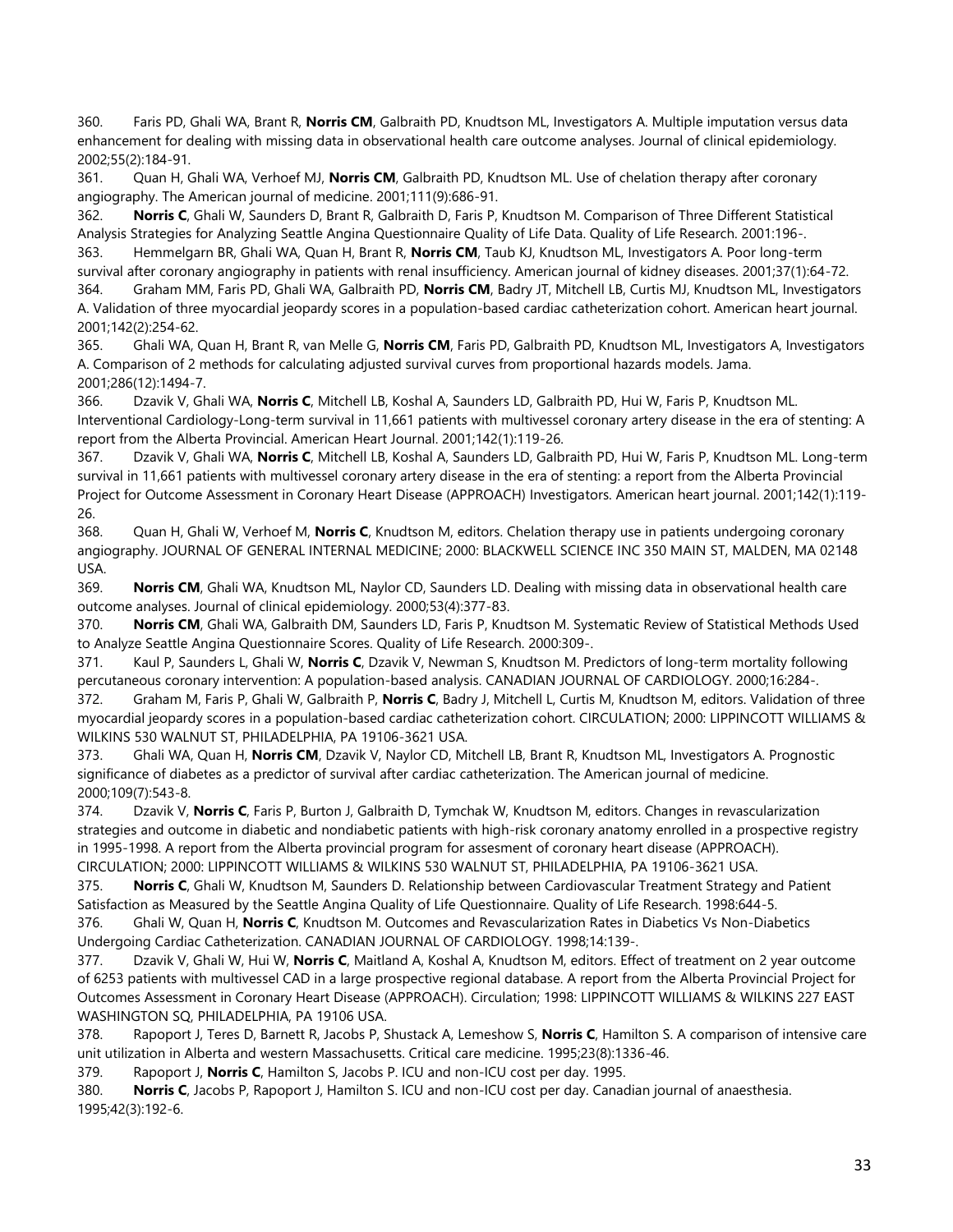360. Faris PD, Ghali WA, Brant R, **Norris CM**, Galbraith PD, Knudtson ML, Investigators A. Multiple imputation versus data enhancement for dealing with missing data in observational health care outcome analyses. Journal of clinical epidemiology. 2002;55(2):184-91.

361. Quan H, Ghali WA, Verhoef MJ, **Norris CM**, Galbraith PD, Knudtson ML. Use of chelation therapy after coronary angiography. The American journal of medicine. 2001;111(9):686-91.

362. **Norris C**, Ghali W, Saunders D, Brant R, Galbraith D, Faris P, Knudtson M. Comparison of Three Different Statistical Analysis Strategies for Analyzing Seattle Angina Questionnaire Quality of Life Data. Quality of Life Research. 2001:196-.

363. Hemmelgarn BR, Ghali WA, Quan H, Brant R, **Norris CM**, Taub KJ, Knudtson ML, Investigators A. Poor long-term survival after coronary angiography in patients with renal insufficiency. American journal of kidney diseases. 2001;37(1):64-72. 364. Graham MM, Faris PD, Ghali WA, Galbraith PD, **Norris CM**, Badry JT, Mitchell LB, Curtis MJ, Knudtson ML, Investigators

A. Validation of three myocardial jeopardy scores in a population-based cardiac catheterization cohort. American heart journal. 2001;142(2):254-62.

365. Ghali WA, Quan H, Brant R, van Melle G, **Norris CM**, Faris PD, Galbraith PD, Knudtson ML, Investigators A, Investigators A. Comparison of 2 methods for calculating adjusted survival curves from proportional hazards models. Jama. 2001;286(12):1494-7.

366. Dzavik V, Ghali WA, **Norris C**, Mitchell LB, Koshal A, Saunders LD, Galbraith PD, Hui W, Faris P, Knudtson ML. Interventional Cardiology-Long-term survival in 11,661 patients with multivessel coronary artery disease in the era of stenting: A report from the Alberta Provincial. American Heart Journal. 2001;142(1):119-26.

367. Dzavik V, Ghali WA, **Norris C**, Mitchell LB, Koshal A, Saunders LD, Galbraith PD, Hui W, Faris P, Knudtson ML. Long-term survival in 11,661 patients with multivessel coronary artery disease in the era of stenting: a report from the Alberta Provincial Project for Outcome Assessment in Coronary Heart Disease (APPROACH) Investigators. American heart journal. 2001;142(1):119- 26.

368. Quan H, Ghali W, Verhoef M, **Norris C**, Knudtson M, editors. Chelation therapy use in patients undergoing coronary angiography. JOURNAL OF GENERAL INTERNAL MEDICINE; 2000: BLACKWELL SCIENCE INC 350 MAIN ST, MALDEN, MA 02148 USA.

369. **Norris CM**, Ghali WA, Knudtson ML, Naylor CD, Saunders LD. Dealing with missing data in observational health care outcome analyses. Journal of clinical epidemiology. 2000;53(4):377-83.

370. **Norris CM**, Ghali WA, Galbraith DM, Saunders LD, Faris P, Knudtson M. Systematic Review of Statistical Methods Used to Analyze Seattle Angina Questionnaire Scores. Quality of Life Research. 2000:309-.

371. Kaul P, Saunders L, Ghali W, **Norris C**, Dzavik V, Newman S, Knudtson M. Predictors of long-term mortality following percutaneous coronary intervention: A population-based analysis. CANADIAN JOURNAL OF CARDIOLOGY. 2000;16:284-.

372. Graham M, Faris P, Ghali W, Galbraith P, **Norris C**, Badry J, Mitchell L, Curtis M, Knudtson M, editors. Validation of three myocardial jeopardy scores in a population-based cardiac catheterization cohort. CIRCULATION; 2000: LIPPINCOTT WILLIAMS & WILKINS 530 WALNUT ST, PHILADELPHIA, PA 19106-3621 USA.

373. Ghali WA, Quan H, **Norris CM**, Dzavik V, Naylor CD, Mitchell LB, Brant R, Knudtson ML, Investigators A. Prognostic significance of diabetes as a predictor of survival after cardiac catheterization. The American journal of medicine. 2000;109(7):543-8.

374. Dzavik V, **Norris C**, Faris P, Burton J, Galbraith D, Tymchak W, Knudtson M, editors. Changes in revascularization strategies and outcome in diabetic and nondiabetic patients with high-risk coronary anatomy enrolled in a prospective registry in 1995-1998. A report from the Alberta provincial program for assesment of coronary heart disease (APPROACH). CIRCULATION; 2000: LIPPINCOTT WILLIAMS & WILKINS 530 WALNUT ST, PHILADELPHIA, PA 19106-3621 USA.

375. **Norris C**, Ghali W, Knudtson M, Saunders D. Relationship between Cardiovascular Treatment Strategy and Patient Satisfaction as Measured by the Seattle Angina Quality of Life Questionnaire. Quality of Life Research. 1998:644-5.

376. Ghali W, Quan H, **Norris C**, Knudtson M. Outcomes and Revascularization Rates in Diabetics Vs Non-Diabetics Undergoing Cardiac Catheterization. CANADIAN JOURNAL OF CARDIOLOGY. 1998;14:139-.

377. Dzavik V, Ghali W, Hui W, **Norris C**, Maitland A, Koshal A, Knudtson M, editors. Effect of treatment on 2 year outcome of 6253 patients with multivessel CAD in a large prospective regional database. A report from the Alberta Provincial Project for Outcomes Assessment in Coronary Heart Disease (APPROACH). Circulation; 1998: LIPPINCOTT WILLIAMS & WILKINS 227 EAST WASHINGTON SQ, PHILADELPHIA, PA 19106 USA.

378. Rapoport J, Teres D, Barnett R, Jacobs P, Shustack A, Lemeshow S, **Norris C**, Hamilton S. A comparison of intensive care unit utilization in Alberta and western Massachusetts. Critical care medicine. 1995;23(8):1336-46.

379. Rapoport J, **Norris C**, Hamilton S, Jacobs P. ICU and non-ICU cost per day. 1995.

380. **Norris C**, Jacobs P, Rapoport J, Hamilton S. ICU and non-ICU cost per day. Canadian journal of anaesthesia. 1995;42(3):192-6.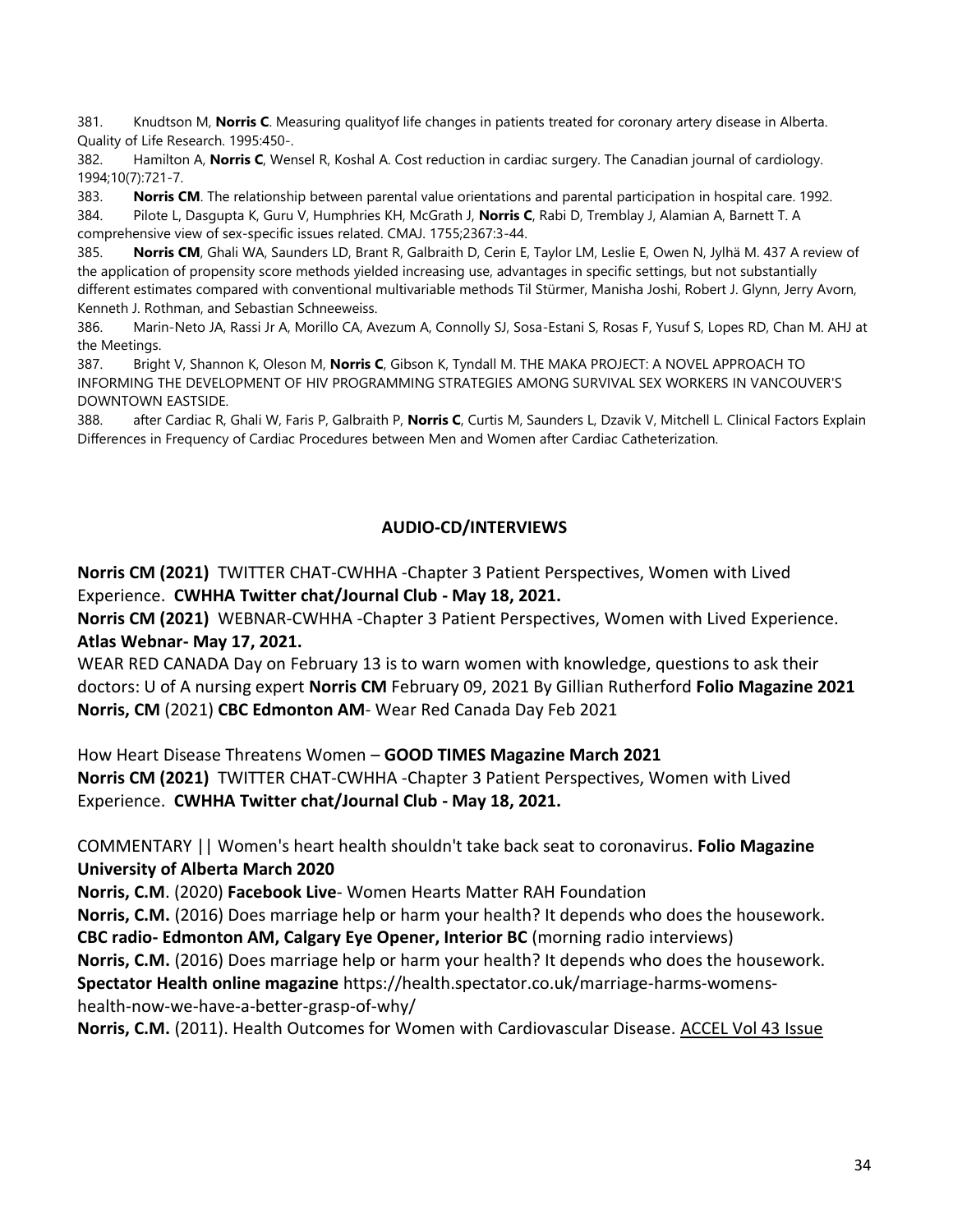381. Knudtson M, **Norris C**. Measuring qualityof life changes in patients treated for coronary artery disease in Alberta. Quality of Life Research. 1995:450-.

382. Hamilton A, **Norris C**, Wensel R, Koshal A. Cost reduction in cardiac surgery. The Canadian journal of cardiology. 1994;10(7):721-7.

383. **Norris CM**. The relationship between parental value orientations and parental participation in hospital care. 1992.

384. Pilote L, Dasgupta K, Guru V, Humphries KH, McGrath J, **Norris C**, Rabi D, Tremblay J, Alamian A, Barnett T. A comprehensive view of sex-specific issues related. CMAJ. 1755;2367:3-44.

385. **Norris CM**, Ghali WA, Saunders LD, Brant R, Galbraith D, Cerin E, Taylor LM, Leslie E, Owen N, Jylhä M. 437 A review of the application of propensity score methods yielded increasing use, advantages in specific settings, but not substantially different estimates compared with conventional multivariable methods Til Stürmer, Manisha Joshi, Robert J. Glynn, Jerry Avorn, Kenneth J. Rothman, and Sebastian Schneeweiss.

386. Marin-Neto JA, Rassi Jr A, Morillo CA, Avezum A, Connolly SJ, Sosa-Estani S, Rosas F, Yusuf S, Lopes RD, Chan M. AHJ at the Meetings.

387. Bright V, Shannon K, Oleson M, **Norris C**, Gibson K, Tyndall M. THE MAKA PROJECT: A NOVEL APPROACH TO INFORMING THE DEVELOPMENT OF HIV PROGRAMMING STRATEGIES AMONG SURVIVAL SEX WORKERS IN VANCOUVER'S DOWNTOWN EASTSIDE.

388. after Cardiac R, Ghali W, Faris P, Galbraith P, **Norris C**, Curtis M, Saunders L, Dzavik V, Mitchell L. Clinical Factors Explain Differences in Frequency of Cardiac Procedures between Men and Women after Cardiac Catheterization.

## **AUDIO-CD/INTERVIEWS**

**Norris CM (2021)** TWITTER CHAT-CWHHA -Chapter 3 Patient Perspectives, Women with Lived Experience. **CWHHA Twitter chat/Journal Club - May 18, 2021.**

**Norris CM (2021)** WEBNAR-CWHHA -Chapter 3 Patient Perspectives, Women with Lived Experience. **Atlas Webnar- May 17, 2021.**

WEAR RED CANADA Day on February 13 is to warn women with knowledge, questions to ask their doctors: U of A nursing expert **Norris CM** February 09, 2021 By Gillian Rutherford **Folio Magazine 2021 Norris, CM** (2021) **CBC Edmonton AM**- Wear Red Canada Day Feb 2021

How Heart Disease Threatens Women – **GOOD TIMES Magazine March 2021 Norris CM (2021)** TWITTER CHAT-CWHHA -Chapter 3 Patient Perspectives, Women with Lived Experience. **CWHHA Twitter chat/Journal Club - May 18, 2021.**

COMMENTARY || Women's heart health shouldn't take back seat to coronavirus. **Folio Magazine University of Alberta March 2020**

**Norris, C.M**. (2020) **Facebook Live**- Women Hearts Matter RAH Foundation

**Norris, C.M.** (2016) Does marriage help or harm your health? It depends who does the housework. **CBC radio- Edmonton AM, Calgary Eye Opener, Interior BC** (morning radio interviews)

**Norris, C.M.** (2016) Does marriage help or harm your health? It depends who does the housework.

**Spectator Health online magazine** https://health.spectator.co.uk/marriage-harms-womenshealth-now-we-have-a-better-grasp-of-why/

**Norris, C.M.** (2011). Health Outcomes for Women with Cardiovascular Disease. ACCEL Vol 43 Issue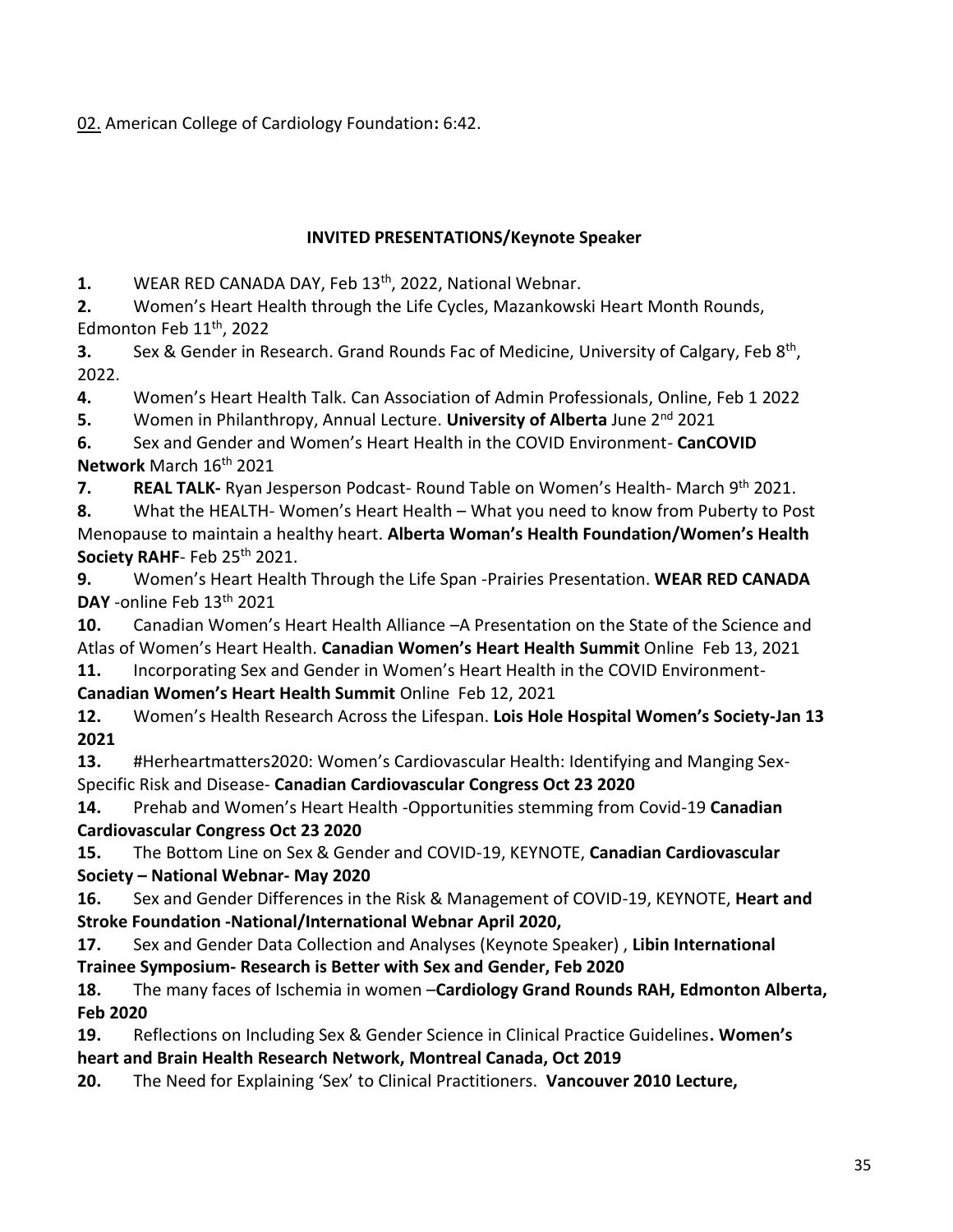02. American College of Cardiology Foundation**:** 6:42.

# **INVITED PRESENTATIONS/Keynote Speaker**

**1.** WEAR RED CANADA DAY, Feb 13th, 2022, National Webnar.

**2.** Women's Heart Health through the Life Cycles, Mazankowski Heart Month Rounds, Edmonton Feb  $11<sup>th</sup>$ , 2022

**3.** Sex & Gender in Research. Grand Rounds Fac of Medicine, University of Calgary, Feb 8<sup>th</sup>, 2022.

**4.** Women's Heart Health Talk. Can Association of Admin Professionals, Online, Feb 1 2022

**5.** Women in Philanthropy, Annual Lecture. **University of Alberta** June 2nd 2021

**6.** Sex and Gender and Women's Heart Health in the COVID Environment- **CanCOVID Network** March 16th 2021

**7. REAL TALK-** Ryan Jesperson Podcast- Round Table on Women's Health- March 9<sup>th</sup> 2021.

**8.** What the HEALTH- Women's Heart Health – What you need to know from Puberty to Post Menopause to maintain a healthy heart. **Alberta Woman's Health Foundation/Women's Health**  Society RAHF- Feb 25<sup>th</sup> 2021.

**9.** Women's Heart Health Through the Life Span -Prairies Presentation. **WEAR RED CANADA DAY** -online Feb 13th 2021

**10.** Canadian Women's Heart Health Alliance –A Presentation on the State of the Science and Atlas of Women's Heart Health. **Canadian Women's Heart Health Summit** Online Feb 13, 2021

**11.** Incorporating Sex and Gender in Women's Heart Health in the COVID Environment-

**Canadian Women's Heart Health Summit** Online Feb 12, 2021

**12.** Women's Health Research Across the Lifespan. **Lois Hole Hospital Women's Society-Jan 13 2021**

**13.** #Herheartmatters2020: Women's Cardiovascular Health: Identifying and Manging Sex-Specific Risk and Disease- **Canadian Cardiovascular Congress Oct 23 2020**

**14.** Prehab and Women's Heart Health -Opportunities stemming from Covid-19 **Canadian Cardiovascular Congress Oct 23 2020**

**15.** The Bottom Line on Sex & Gender and COVID-19, KEYNOTE, **Canadian Cardiovascular Society – National Webnar- May 2020**

**16.** Sex and Gender Differences in the Risk & Management of COVID-19, KEYNOTE, **Heart and Stroke Foundation -National/International Webnar April 2020,** 

**17.** Sex and Gender Data Collection and Analyses (Keynote Speaker) , **Libin International Trainee Symposium- Research is Better with Sex and Gender, Feb 2020**

**18.** The many faces of Ischemia in women –**Cardiology Grand Rounds RAH, Edmonton Alberta, Feb 2020**

**19.** Reflections on Including Sex & Gender Science in Clinical Practice Guidelines**. Women's heart and Brain Health Research Network, Montreal Canada, Oct 2019**

**20.** The Need for Explaining 'Sex' to Clinical Practitioners. **Vancouver 2010 Lecture,**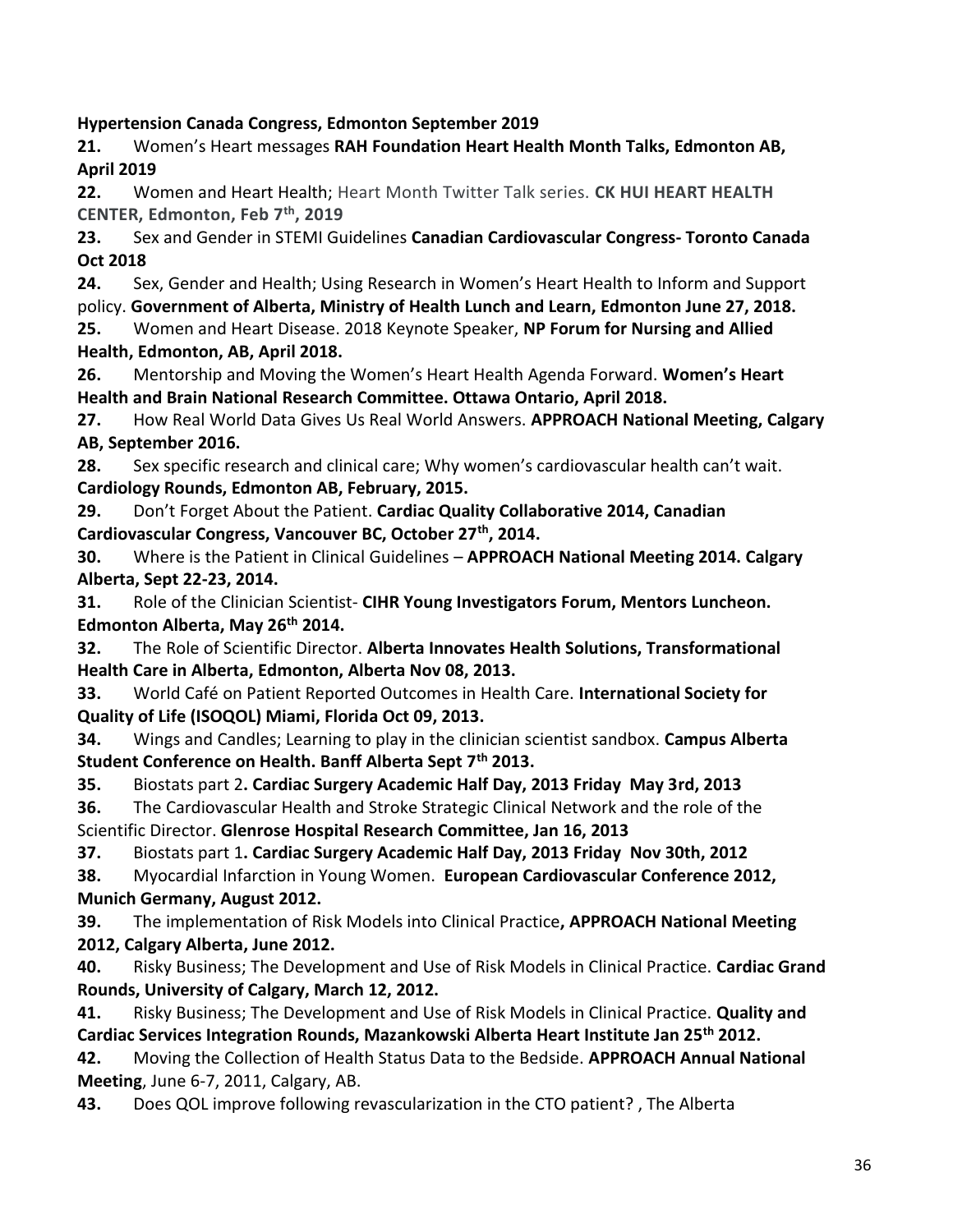**Hypertension Canada Congress, Edmonton September 2019**

**21.** Women's Heart messages **RAH Foundation Heart Health Month Talks, Edmonton AB, April 2019** 

**22.** Women and Heart Health; Heart Month Twitter Talk series. **CK HUI HEART HEALTH CENTER, Edmonton, Feb 7th, 2019**

**23.** Sex and Gender in STEMI Guidelines **Canadian Cardiovascular Congress- Toronto Canada Oct 2018**

**24.** Sex, Gender and Health; Using Research in Women's Heart Health to Inform and Support policy. **Government of Alberta, Ministry of Health Lunch and Learn, Edmonton June 27, 2018. 25.** Women and Heart Disease. 2018 Keynote Speaker, **NP Forum for Nursing and Allied** 

# **Health, Edmonton, AB, April 2018.**

**26.** Mentorship and Moving the Women's Heart Health Agenda Forward. **Women's Heart Health and Brain National Research Committee. Ottawa Ontario, April 2018.**

**27.** How Real World Data Gives Us Real World Answers. **APPROACH National Meeting, Calgary AB, September 2016.**

**28.** Sex specific research and clinical care; Why women's cardiovascular health can't wait. **Cardiology Rounds, Edmonton AB, February, 2015.**

**29.** Don't Forget About the Patient. **Cardiac Quality Collaborative 2014, Canadian Cardiovascular Congress, Vancouver BC, October 27th, 2014.**

**30.** Where is the Patient in Clinical Guidelines – **APPROACH National Meeting 2014. Calgary Alberta, Sept 22-23, 2014.**

**31.** Role of the Clinician Scientist- **CIHR Young Investigators Forum, Mentors Luncheon. Edmonton Alberta, May 26th 2014.** 

**32.** The Role of Scientific Director. **Alberta Innovates Health Solutions, Transformational Health Care in Alberta, Edmonton, Alberta Nov 08, 2013.**

**33.** World Café on Patient Reported Outcomes in Health Care. **International Society for Quality of Life (ISOQOL) Miami, Florida Oct 09, 2013.** 

**34.** Wings and Candles; Learning to play in the clinician scientist sandbox. **Campus Alberta Student Conference on Health. Banff Alberta Sept 7th 2013.**

**35.** Biostats part 2**. Cardiac Surgery Academic Half Day, 2013 Friday May 3rd, 2013**

**36.** The Cardiovascular Health and Stroke Strategic Clinical Network and the role of the Scientific Director. **Glenrose Hospital Research Committee, Jan 16, 2013**

**37.** Biostats part 1**. Cardiac Surgery Academic Half Day, 2013 Friday Nov 30th, 2012**

**38.** Myocardial Infarction in Young Women. **European Cardiovascular Conference 2012, Munich Germany, August 2012.**

**39.** The implementation of Risk Models into Clinical Practice**, APPROACH National Meeting 2012, Calgary Alberta, June 2012.**

**40.** Risky Business; The Development and Use of Risk Models in Clinical Practice. **Cardiac Grand Rounds, University of Calgary, March 12, 2012.** 

**41.** Risky Business; The Development and Use of Risk Models in Clinical Practice. **Quality and Cardiac Services Integration Rounds, Mazankowski Alberta Heart Institute Jan 25th 2012.**

**42.** Moving the Collection of Health Status Data to the Bedside. **APPROACH Annual National Meeting**, June 6-7, 2011, Calgary, AB.

**43.** Does QOL improve following revascularization in the CTO patient? , The Alberta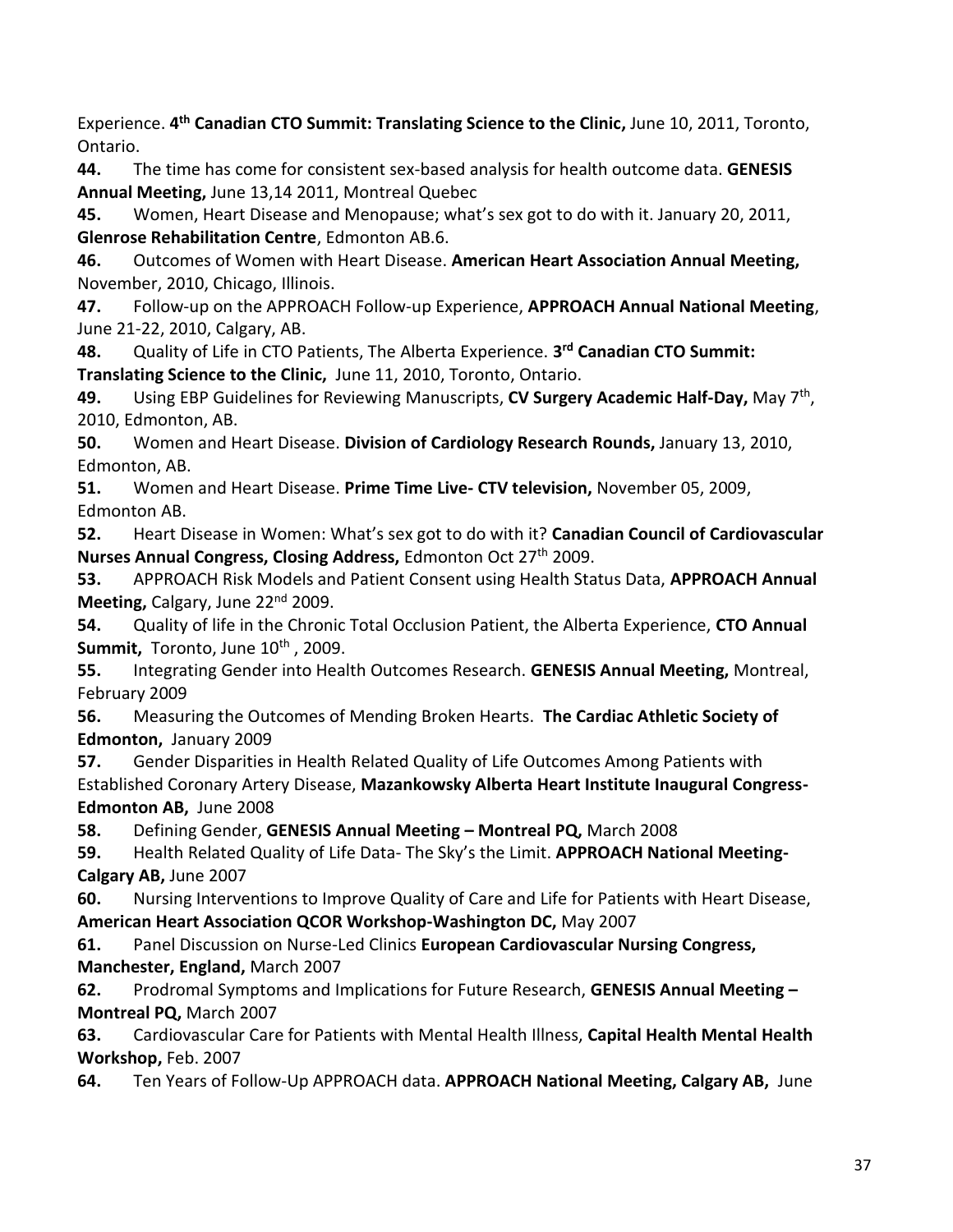Experience. **4 th Canadian CTO Summit: Translating Science to the Clinic,** June 10, 2011, Toronto, Ontario.

**44.** The time has come for consistent sex-based analysis for health outcome data. **GENESIS Annual Meeting,** June 13,14 2011, Montreal Quebec

**45.** Women, Heart Disease and Menopause; what's sex got to do with it. January 20, 2011, **Glenrose Rehabilitation Centre**, Edmonton AB.6.

**46.** Outcomes of Women with Heart Disease. **American Heart Association Annual Meeting,**  November, 2010, Chicago, Illinois.

**47.** Follow-up on the APPROACH Follow-up Experience, **APPROACH Annual National Meeting**, June 21-22, 2010, Calgary, AB.

**48.** Quality of Life in CTO Patients, The Alberta Experience. **3 rd Canadian CTO Summit: Translating Science to the Clinic,** June 11, 2010, Toronto, Ontario.

49. Using EBP Guidelines for Reviewing Manuscripts, CV Surgery Academic Half-Day, May 7<sup>th</sup>, 2010, Edmonton, AB.

**50.** Women and Heart Disease. **Division of Cardiology Research Rounds,** January 13, 2010, Edmonton, AB.

**51.** Women and Heart Disease. **Prime Time Live- CTV television,** November 05, 2009, Edmonton AB.

**52.** Heart Disease in Women: What's sex got to do with it? **Canadian Council of Cardiovascular Nurses Annual Congress, Closing Address, Edmonton Oct 27<sup>th</sup> 2009.** 

**53.** APPROACH Risk Models and Patient Consent using Health Status Data, **APPROACH Annual**  Meeting, Calgary, June 22<sup>nd</sup> 2009.

**54.** Quality of life in the Chronic Total Occlusion Patient, the Alberta Experience, **CTO Annual**  Summit, Toronto, June 10<sup>th</sup>, 2009.

**55.** Integrating Gender into Health Outcomes Research. **GENESIS Annual Meeting,** Montreal, February 2009

**56.** Measuring the Outcomes of Mending Broken Hearts. **The Cardiac Athletic Society of Edmonton,** January 2009

**57.** Gender Disparities in Health Related Quality of Life Outcomes Among Patients with Established Coronary Artery Disease, **Mazankowsky Alberta Heart Institute Inaugural Congress-Edmonton AB,** June 2008

**58.** Defining Gender, **GENESIS Annual Meeting – Montreal PQ,** March 2008

**59.** Health Related Quality of Life Data- The Sky's the Limit. **APPROACH National Meeting-Calgary AB,** June 2007

**60.** Nursing Interventions to Improve Quality of Care and Life for Patients with Heart Disease, **American Heart Association QCOR Workshop-Washington DC,** May 2007

**61.** Panel Discussion on Nurse-Led Clinics **European Cardiovascular Nursing Congress, Manchester, England,** March 2007

**62.** Prodromal Symptoms and Implications for Future Research, **GENESIS Annual Meeting – Montreal PQ,** March 2007

**63.** Cardiovascular Care for Patients with Mental Health Illness, **Capital Health Mental Health Workshop,** Feb. 2007

**64.** Ten Years of Follow-Up APPROACH data. **APPROACH National Meeting, Calgary AB,** June